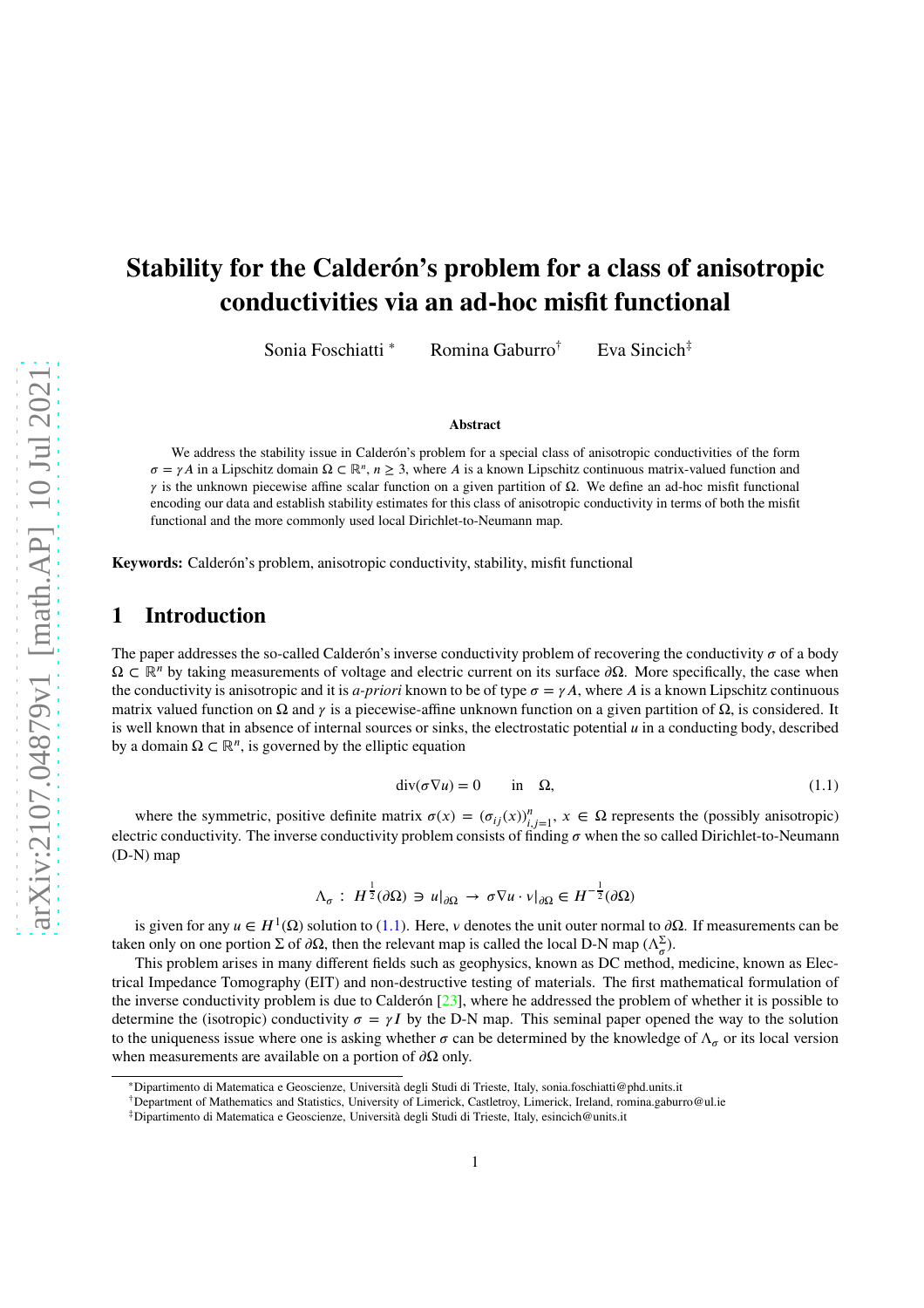# **Stability for the Calderón's problem for a class of anisotropic conductivities via an ad-hoc misfit functional**

Sonia Foschiatti <sup>∗</sup> Romina Gaburro† Eva Sincich‡

#### **Abstract**

We address the stability issue in Calderón's problem for a special class of anisotropic conductivities of the form  $\sigma = \gamma A$  in a Lipschitz domain  $\Omega \subset \mathbb{R}^n$ ,  $n \geq 3$ , where *A* is a known Lipschitz continuous matrix-valued function and  $\gamma$  is the unknown piecewise affine scalar function on a given partition of  $\Omega$ . We define an ad-hoc misfit functional encoding our data and establish stability estimates for this class of anisotropic conductivity in terms of both the misfit functional and the more commonly used local Dirichlet-to-Neumann map.

**Keywords:** Calderón's problem, anisotropic conductivity, stability, misfit functional

# **1 Introduction**

The paper addresses the so-called Calderón's inverse conductivity problem of recovering the conductivity  $\sigma$  of a body Ω *⊂* ℝ*<sup>𝑛</sup>* by taking measurements of voltage and electric current on its surface *𝜕*Ω. More specifically, the case when the conductivity is anisotropic and it is *a-priori* known to be of type  $\sigma = \gamma A$ , where *A* is a known Lipschitz continuous matrix valued function on Ω and *γ* is a piecewise-affine unknown function on a given partition of  $Ω$ , is considered. It is well known that in absence of internal sources or sinks, the electrostatic potential  $\mu$  in a conducting body, described by a domain  $\Omega \subset \mathbb{R}^n$ , is governed by the elliptic equation

$$
\operatorname{div}(\sigma \nabla u) = 0 \qquad \text{in} \quad \Omega,\tag{1.1}
$$

<span id="page-0-0"></span>where the symmetric, positive definite matrix  $\sigma(x) = (\sigma_{ij}(x))_{i,j=1}^n$ ,  $x \in \Omega$  represents the (possibly anisotropic) electric conductivity. The inverse conductivity problem consists of finding  $\sigma$  when the so called Dirichlet-to-Neumann (D-N) map

$$
\Lambda_{\sigma}: H^{\frac{1}{2}}(\partial\Omega) \ni u|_{\partial\Omega} \to \sigma \nabla u \cdot v|_{\partial\Omega} \in H^{-\frac{1}{2}}(\partial\Omega)
$$

is given for any  $u \in H^1(\Omega)$  solution to [\(1.1\)](#page-0-0). Here, *v* denotes the unit outer normal to  $\partial\Omega$ . If measurements can be taken only on one portion  $\Sigma$  of  $\partial\Omega$ , then the relevant map is called the local D-N map  $(\Lambda_{\sigma}^{\Sigma})$ .

This problem arises in many different fields such as geophysics, known as DC method, medicine, known as Electrical Impedance Tomography (EIT) and non-destructive testing of materials. The first mathematical formulation of the inverse conductivity problem is due to Calderón [\[23\]](#page-28-0), where he addressed the problem of whether it is possible to determine the (isotropic) conductivity  $\sigma = \gamma I$  by the D-N map. This seminal paper opened the way to the solution to the uniqueness issue where one is asking whether  $\sigma$  can be determined by the knowledge of  $\Lambda_{\sigma}$  or its local version when measurements are available on a portion of  $\partial\Omega$  only.

<sup>∗</sup>Dipartimento di Matematica e Geoscienze, Università degli Studi di Trieste, Italy, sonia.foschiatti@phd.units.it

<sup>†</sup>Department of Mathematics and Statistics, University of Limerick, Castletroy, Limerick, Ireland, romina.gaburro@ul.ie

<sup>‡</sup>Dipartimento di Matematica e Geoscienze, Università degli Studi di Trieste, Italy, esincich@units.it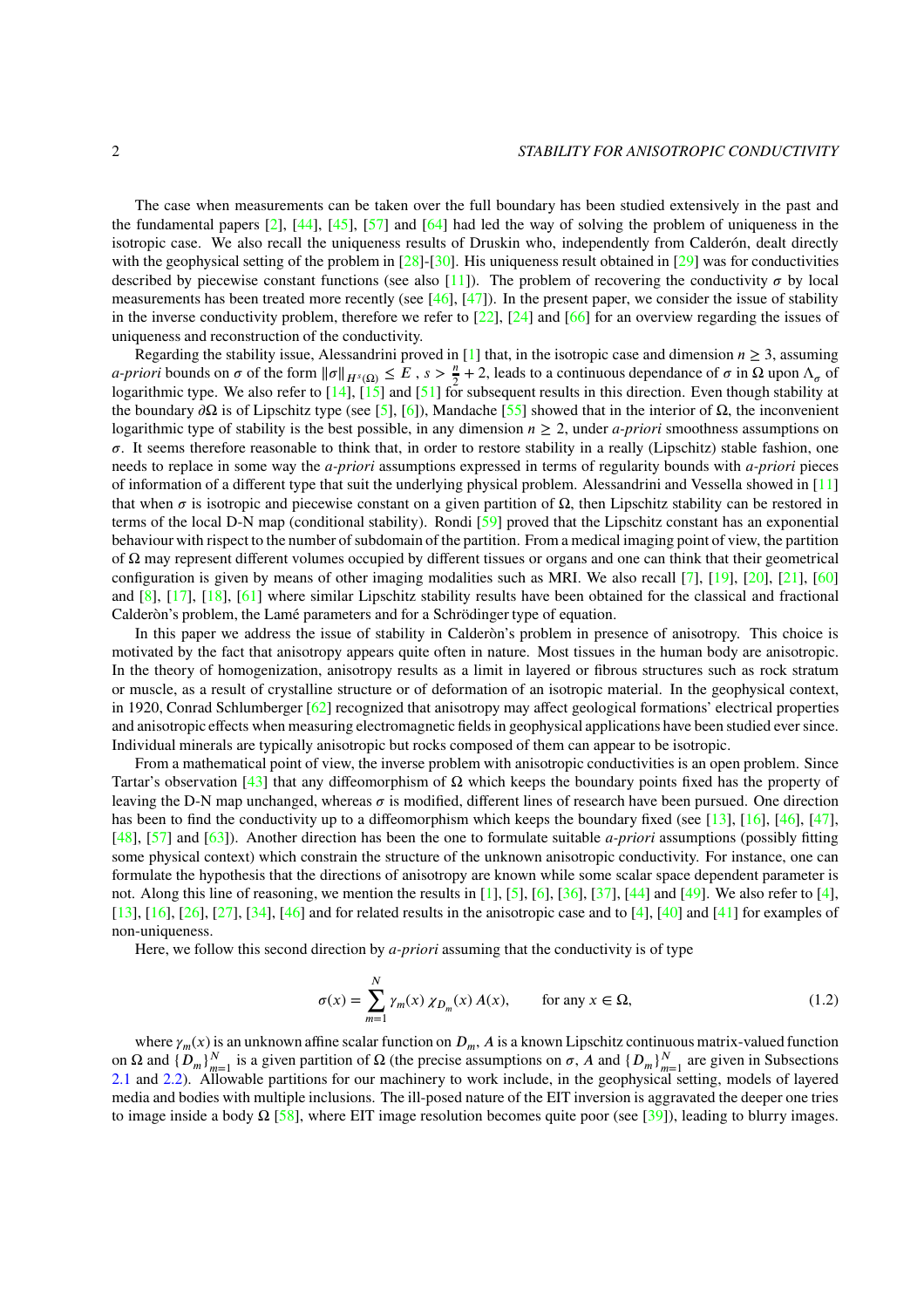The case when measurements can be taken over the full boundary has been studied extensively in the past and the fundamental papers [\[2\]](#page-26-0), [\[44\]](#page-29-0), [\[45\]](#page-29-1), [\[57\]](#page-29-2) and [\[64\]](#page-30-0) had led the way of solving the problem of uniqueness in the isotropic case. We also recall the uniqueness results of Druskin who, independently from Calderón, dealt directly with the geophysical setting of the problem in  $[28]$ -[\[30\]](#page-28-2). His uniqueness result obtained in [\[29\]](#page-28-3) was for conductivities described by piecewise constant functions (see also [\[11\]](#page-27-0)). The problem of recovering the conductivity  $\sigma$  by local measurements has been treated more recently (see  $[46]$ ,  $[47]$ ). In the present paper, we consider the issue of stability in the inverse conductivity problem, therefore we refer to  $[22]$ ,  $[24]$  and  $[66]$  for an overview regarding the issues of uniqueness and reconstruction of the conductivity.

Regarding the stability issue, Alessandrini proved in [\[1\]](#page-26-1) that, in the isotropic case and dimension  $n \geq 3$ , assuming  $a$ -*priori* bounds on  $\sigma$  of the form  $\|\sigma\|_{H^s(\Omega)} \leq E$ ,  $s > \frac{n}{2} + 2$ , leads to a continuous dependance of  $\sigma$  in  $\Omega$  upon  $\Lambda_\sigma$  of logarithmic type. We also refer to  $[14]$ ,  $[15]$  and  $[51]$  for subsequent results in this direction. Even though stability at the boundary  $\partial\Omega$  is of Lipschitz type (see [\[5\]](#page-27-3), [\[6\]](#page-27-4)), Mandache [\[55\]](#page-29-6) showed that in the interior of  $\Omega$ , the inconvenient logarithmic type of stability is the best possible, in any dimension  $n \geq 2$ , under *a-priori* smoothness assumptions on  $\sigma$ . It seems therefore reasonable to think that, in order to restore stability in a really (Lipschitz) stable fashion, one needs to replace in some way the *a-priori* assumptions expressed in terms of regularity bounds with *a-priori* pieces of information of a different type that suit the underlying physical problem. Alessandrini and Vessella showed in [\[11\]](#page-27-0) that when *σ* is isotropic and piecewise constant on a given partition of  $Ω$ , then Lipschitz stability can be restored in terms of the local D-N map (conditional stability). Rondi [\[59\]](#page-29-7) proved that the Lipschitz constant has an exponential behaviour with rispect to the number of subdomain of the partition. From a medical imaging point of view, the partition of Ω may represent different volumes occupied by different tissues or organs and one can think that their geometrical configuration is given by means of other imaging modalities such as MRI. We also recall [\[7\]](#page-27-5), [\[19\]](#page-27-6), [\[20\]](#page-27-7), [\[21\]](#page-27-8), [\[60\]](#page-29-8) and [\[8\]](#page-27-9), [\[17\]](#page-27-10), [\[18\]](#page-27-11), [\[61\]](#page-30-2) where similar Lipschitz stability results have been obtained for the classical and fractional Calderòn's problem, the Lamé parameters and for a Schrödinger type of equation.

In this paper we address the issue of stability in Calderòn's problem in presence of anisotropy. This choice is motivated by the fact that anisotropy appears quite often in nature. Most tissues in the human body are anisotropic. In the theory of homogenization, anisotropy results as a limit in layered or fibrous structures such as rock stratum or muscle, as a result of crystalline structure or of deformation of an isotropic material. In the geophysical context, in 1920, Conrad Schlumberger [\[62\]](#page-30-3) recognized that anisotropy may affect geological formations' electrical properties and anisotropic effects when measuring electromagnetic fields in geophysical applications have been studied ever since. Individual minerals are typically anisotropic but rocks composed of them can appear to be isotropic.

From a mathematical point of view, the inverse problem with anisotropic conductivities is an open problem. Since Tartar's observation [\[43\]](#page-29-9) that any diffeomorphism of  $\Omega$  which keeps the boundary points fixed has the property of leaving the D-N map unchanged, whereas  $\sigma$  is modified, different lines of research have been pursued. One direction has been to find the conductivity up to a diffeomorphism which keeps the boundary fixed (see [\[13\]](#page-27-12), [\[16\]](#page-27-13), [\[46\]](#page-29-3), [\[47\]](#page-29-4), [\[48\]](#page-29-10), [\[57\]](#page-29-2) and [\[63\]](#page-30-4)). Another direction has been the one to formulate suitable *a-priori* assumptions (possibly fitting some physical context) which constrain the structure of the unknown anisotropic conductivity. For instance, one can formulate the hypothesis that the directions of anisotropy are known while some scalar space dependent parameter is not. Along this line of reasoning, we mention the results in [\[1\]](#page-26-1), [\[5\]](#page-27-3), [\[6\]](#page-27-4), [\[36\]](#page-28-6), [\[37\]](#page-28-7), [\[44\]](#page-29-0) and [\[49\]](#page-29-11). We also refer to [\[4\]](#page-27-14), [\[13\]](#page-27-12), [\[16\]](#page-27-13), [\[26\]](#page-28-8), [\[27\]](#page-28-9), [\[34\]](#page-28-10), [\[46\]](#page-29-3) and for related results in the anisotropic case and to [\[4\]](#page-27-14), [\[40\]](#page-28-11) and [\[41\]](#page-29-12) for examples of non-uniqueness.

<span id="page-1-0"></span>Here, we follow this second direction by *a-priori* assuming that the conductivity is of type

$$
\sigma(x) = \sum_{m=1}^{N} \gamma_m(x) \chi_{D_m}(x) A(x), \qquad \text{for any } x \in \Omega,
$$
\n(1.2)

where  $\gamma_m(x)$  is an unknown affine scalar function on  $D_m$ , A is a known Lipschitz continuous matrix-valued function on Ω and  ${D_m}_{m=1}^N$  is a given partition of Ω (the precise assumptions on *σ*, *A* and  ${D_m}_{m=1}^N$  are given in Subsections [2.1](#page-3-0) and [2.2\)](#page-4-0). Allowable partitions for our machinery to work include, in the geophysical setting, models of layered media and bodies with multiple inclusions. The ill-posed nature of the EIT inversion is aggravated the deeper one tries to image inside a body  $\Omega$  [\[58\]](#page-29-13), where EIT image resolution becomes quite poor (see [\[39\]](#page-28-12)), leading to blurry images.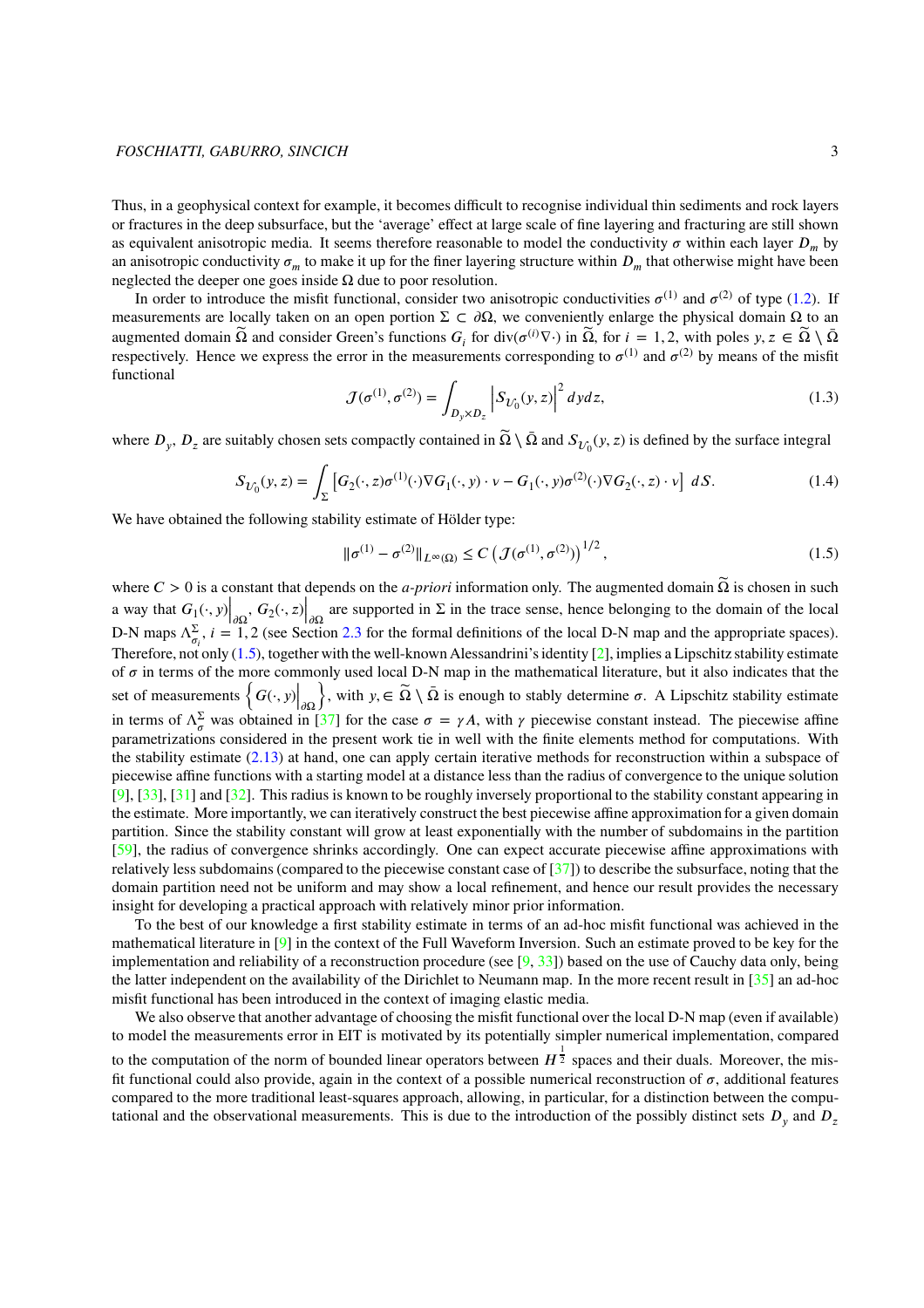Thus, in a geophysical context for example, it becomes difficult to recognise individual thin sediments and rock layers or fractures in the deep subsurface, but the 'average' effect at large scale of fine layering and fracturing are still shown as equivalent anisotropic media. It seems therefore reasonable to model the conductivity  $\sigma$  within each layer  $D_m$  by an anisotropic conductivity  $\sigma_m$  to make it up for the finer layering structure within  $D_m$  that otherwise might have been neglected the deeper one goes inside  $\Omega$  due to poor resolution.

In order to introduce the misfit functional, consider two anisotropic conductivities  $\sigma^{(1)}$  and  $\sigma^{(2)}$  of type [\(1.2\)](#page-1-0). If measurements are locally taken on an open portion  $\Sigma \subset \partial \Omega$ , we conveniently enlarge the physical domain Ω to an augmented domain  $\widetilde{\Omega}$  and consider Green's functions  $G_i$  for div( $\sigma^{(i)}\nabla \cdot$ ) in  $\widetilde{\Omega}$ , for  $i = 1, 2$ , with poles  $y, z \in \widetilde{\Omega} \setminus \overline{\Omega}$ respectively. Hence we express the error in the measurements corresponding to  $\sigma^{(1)}$  and  $\sigma^{(2)}$  by means of the misfit functional

$$
\mathcal{J}(\sigma^{(1)}, \sigma^{(2)}) = \int_{D_y \times D_z} \left| S_{U_0}(y, z) \right|^2 dy dz,
$$
\n(1.3)

where  $D_y$ ,  $D_z$  are suitably chosen sets compactly contained in  $\widetilde{\Omega} \setminus \bar{\Omega}$  and  $S_{\mathcal{U}_0}(y, z)$  is defined by the surface integral

$$
S_{\mathcal{U}_0}(y,z) = \int_{\Sigma} \left[ G_2(\cdot,z)\sigma^{(1)}(\cdot)\nabla G_1(\cdot,y) \cdot \mathbf{v} - G_1(\cdot,y)\sigma^{(2)}(\cdot)\nabla G_2(\cdot,z) \cdot \mathbf{v} \right] dS. \tag{1.4}
$$

We have obtained the following stability estimate of Hölder type:

<span id="page-2-0"></span>
$$
\|\sigma^{(1)} - \sigma^{(2)}\|_{L^{\infty}(\Omega)} \le C \left(\mathcal{J}(\sigma^{(1)}, \sigma^{(2)})\right)^{1/2},\tag{1.5}
$$

where  $C > 0$  is a constant that depends on the *a-priori* information only. The augmented domain  $\tilde{\Omega}$  is chosen in such a way that  $G_1(\cdot, y) \Big|_{\partial \Omega}$ <br>D N maps  $\Delta \Sigma$   $i = 1$  $\left. \frac{G_2(\cdot, z)}{2} \right|_{\partial \Omega}$ are supported in  $\Sigma$  in the trace sense, hence belonging to the domain of the local D-N maps  $\Lambda_{\sigma_i}^{\Sigma}$ ,  $i = 1, 2$  (see Section [2.3](#page-5-0) for the formal definitions of the local D-N map and the appropriate spaces). Therefore, not only  $(1.5)$ , together with the well-known Alessandrini's identity  $[2]$ , implies a Lipschitz stability estimate of  $\sigma$  in terms of the more commonly used local D-N map in the mathematical literature, but it also indicates that the set of measurements  $\left\{ G(\cdot, y) \middle|_{\partial \Omega} \right\}$  $\},$  with  $y, \in \tilde{\Omega} \setminus \bar{\Omega}$  is enough to stably determine  $\sigma$ . A Lipschitz stability estimate in terms of  $\Lambda_{\sigma}^{\Sigma}$  was obtained in [\[37\]](#page-28-7) for the case  $\sigma = \gamma A$ , with  $\gamma$  piecewise constant instead. The piecewise affine parametrizations considered in the present work tie in well with the finite elements method for computations. With the stability estimate [\(2.13\)](#page-6-0) at hand, one can apply certain iterative methods for reconstruction within a subspace of piecewise affine functions with a starting model at a distance less than the radius of convergence to the unique solution [\[9\]](#page-27-15), [\[33\]](#page-28-13), [\[31\]](#page-28-14) and [32]. This radius is known to be roughly inversely proportional to the stability constant appearing in the estimate. More importantly, we can iteratively construct the best piecewise affine approximation for a given domain partition. Since the stability constant will grow at least exponentially with the number of subdomains in the partition [\[59\]](#page-29-7), the radius of convergence shrinks accordingly. One can expect accurate piecewise affine approximations with relatively less subdomains (compared to the piecewise constant case of [\[37\]](#page-28-7)) to describe the subsurface, noting that the domain partition need not be uniform and may show a local refinement, and hence our result provides the necessary insight for developing a practical approach with relatively minor prior information.

To the best of our knowledge a first stability estimate in terms of an ad-hoc misfit functional was achieved in the mathematical literature in [\[9\]](#page-27-15) in the context of the Full Waveform Inversion. Such an estimate proved to be key for the implementation and reliability of a reconstruction procedure (see  $[9, 33]$  $[9, 33]$ ) based on the use of Cauchy data only, being the latter independent on the availability of the Dirichlet to Neumann map. In the more recent result in [\[35\]](#page-28-15) an ad-hoc misfit functional has been introduced in the context of imaging elastic media.

We also observe that another advantage of choosing the misfit functional over the local D-N map (even if available) to model the measurements error in EIT is motivated by its potentially simpler numerical implementation, compared

to the computation of the norm of bounded linear operators between  $H^{\frac{1}{2}}$  spaces and their duals. Moreover, the misfit functional could also provide, again in the context of a possible numerical reconstruction of  $\sigma$ , additional features compared to the more traditional least-squares approach, allowing, in particular, for a distinction between the computational and the observational measurements. This is due to the introduction of the possibly distinct sets  $D_y$  and  $D_z$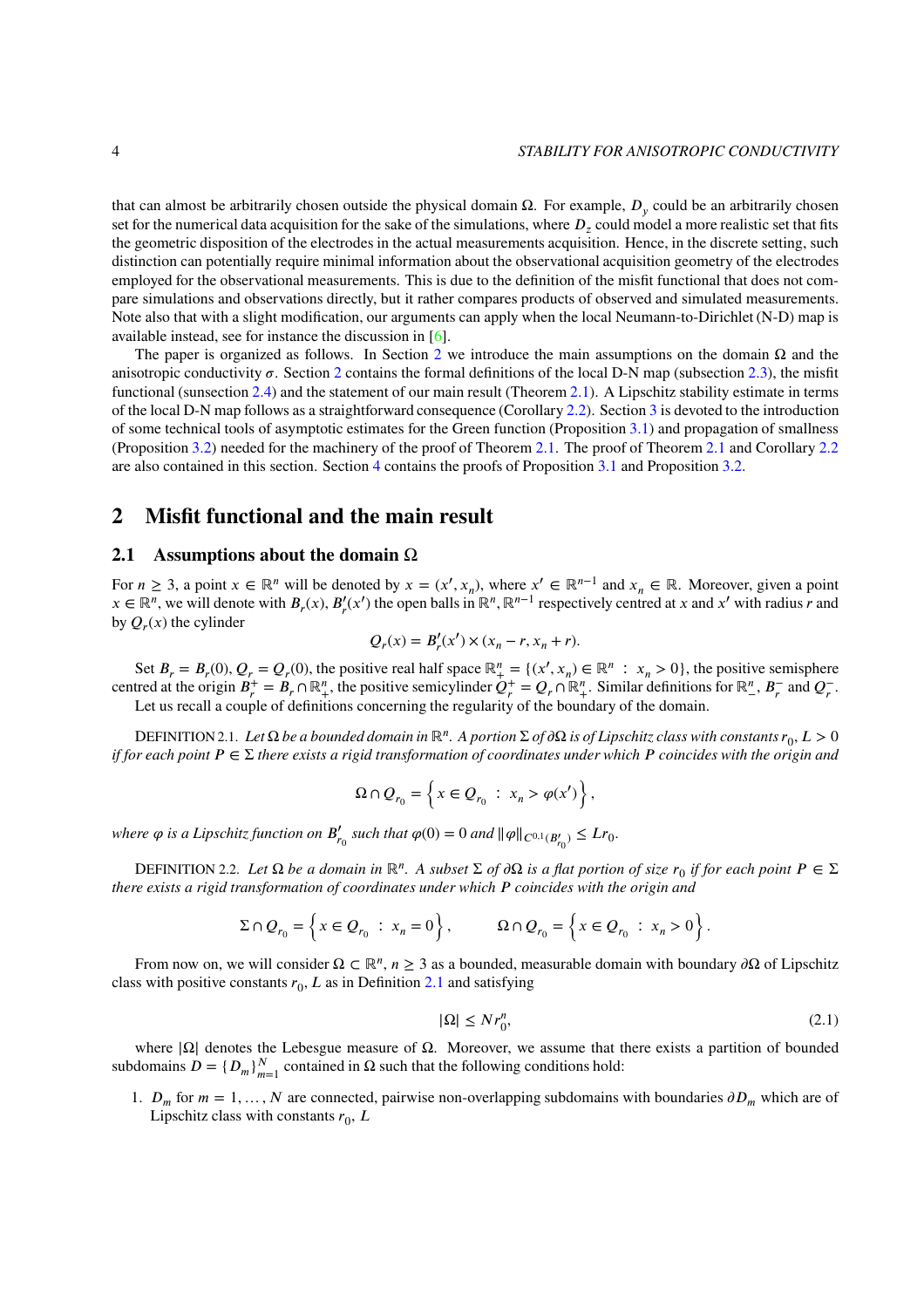that can almost be arbitrarily chosen outside the physical domain  $\Omega$ . For example,  $D_y$  could be an arbitrarily chosen set for the numerical data acquisition for the sake of the simulations, where  $D_z$  could model a more realistic set that fits the geometric disposition of the electrodes in the actual measurements acquisition. Hence, in the discrete setting, such distinction can potentially require minimal information about the observational acquisition geometry of the electrodes employed for the observational measurements. This is due to the definition of the misfit functional that does not compare simulations and observations directly, but it rather compares products of observed and simulated measurements. Note also that with a slight modification, our arguments can apply when the local Neumann-to-Dirichlet (N-D) map is available instead, see for instance the discussion in [\[6\]](#page-27-4).

The paper is organized as follows. In Section [2](#page-3-1) we introduce the main assumptions on the domain  $\Omega$  and the anisotropic conductivity  $\sigma$ . Section [2](#page-3-1) contains the formal definitions of the local D-N map (subsection [2.3\)](#page-5-0), the misfit functional (sunsection [2.4\)](#page-5-1) and the statement of our main result (Theorem [2.1\)](#page-6-1). A Lipschitz stability estimate in terms of the local D-N map follows as a straightforward consequence (Corollary [2.2\)](#page-7-0). Section [3](#page-7-1) is devoted to the introduction of some technical tools of asymptotic estimates for the Green function (Proposition [3.1\)](#page-7-2) and propagation of smallness (Proposition [3.2\)](#page-9-0) needed for the machinery of the proof of Theorem [2.1.](#page-6-1) The proof of Theorem [2.1](#page-6-1) and Corollary [2.2](#page-7-0) are also contained in this section. Section [4](#page-19-0) contains the proofs of Proposition [3.1](#page-7-2) and Proposition [3.2.](#page-9-0)

# <span id="page-3-1"></span><span id="page-3-0"></span>**2 Misfit functional and the main result**

## **2.1 Assumptions about the domain** Ω

For  $n \geq 3$ , a point  $x \in \mathbb{R}^n$  will be denoted by  $x = (x', x_n)$ , where  $x' \in \mathbb{R}^{n-1}$  and  $x_n \in \mathbb{R}$ . Moreover, given a point  $x \in \mathbb{R}^n$ , we will denote with  $B_r(x)$ ,  $B'_r(x')$  the open balls in  $\mathbb{R}^n$ ,  $\mathbb{R}^{n-1}$  respectively centred at x and x' with radius r and by  $Q_r(x)$  the cylinder

$$
Q_r(x) = B'_r(x') \times (x_n - r, x_n + r).
$$

Set  $B_r = B_r(0)$ ,  $Q_r = Q_r(0)$ , the positive real half space  $\mathbb{R}^n_+ = \{(x', x_n) \in \mathbb{R}^n : x_n > 0\}$ , the positive semisphere centred at the origin  $B_r^+ = B_r \cap \mathbb{R}^n_+$ , the positive semicylinder  $Q_r^+ = Q_r \cap \mathbb{R}^n_+$ . Similar definitions for  $\mathbb{R}^n_-$ ,  $B_r^-$  and  $Q_r^-$ . Let us recall a couple of definitions concerning the regularity of the boundary of the domain.

<span id="page-3-2"></span>DEFINITION 2.1. Let Ω be a bounded domain in  $\mathbb{R}^n$ . A portion  $\Sigma$  of  $\partial\Omega$  is of Lipschitz class with constants  $r_0$ ,  $L>0$ *if for each point*  $P \in \Sigma$  *there exists a rigid transformation of coordinates under which*  $P$  *coincides with the origin and* 

$$
\Omega \cap Q_{r_0} = \left\{ x \in Q_{r_0} : x_n > \varphi(x') \right\},\,
$$

where  $\varphi$  is a Lipschitz function on  $B'_{r_0}$  such that  $\varphi(0) = 0$  and  $\|\varphi\|_{C^{0,1}(B'_{r_0})} \leq Lr_0$ .

<span id="page-3-3"></span>**DEFINITION** 2.2. *Let* Ω *be a domain in* ℝ<sup>*n*</sup>. A subset Σ of ∂Ω is a flat portion of size  $r_0$  if for each point  $P \in \Sigma$ *there exists a rigid transformation of coordinates under which 𝑃 coincides with the origin and*

$$
\Sigma \cap Q_{r_0} = \left\{ x \in Q_{r_0} : x_n = 0 \right\}, \qquad \Omega \cap Q_{r_0} = \left\{ x \in Q_{r_0} : x_n > 0 \right\}.
$$

From now on, we will consider Ω ⊂ ℝ<sup>*n*</sup>, *n* ≥ 3 as a bounded, measurable domain with boundary ∂Ω of Lipschitz class with positive constants  $r_0$ ,  $L$  as in Definition [2.1](#page-3-2) and satisfying

$$
|\Omega| \le N r_0^n,\tag{2.1}
$$

where  $|\Omega|$  denotes the Lebesgue measure of  $\Omega$ . Moreover, we assume that there exists a partition of bounded subdomains  $D = \{D_m\}_{m=1}^N$  contained in  $\Omega$  such that the following conditions hold:

1.  $D_m$  for  $m = 1, ..., N$  are connected, pairwise non-overlapping subdomains with boundaries  $\partial D_m$  which are of Lipschitz class with constants  $r_0$ ,  $L$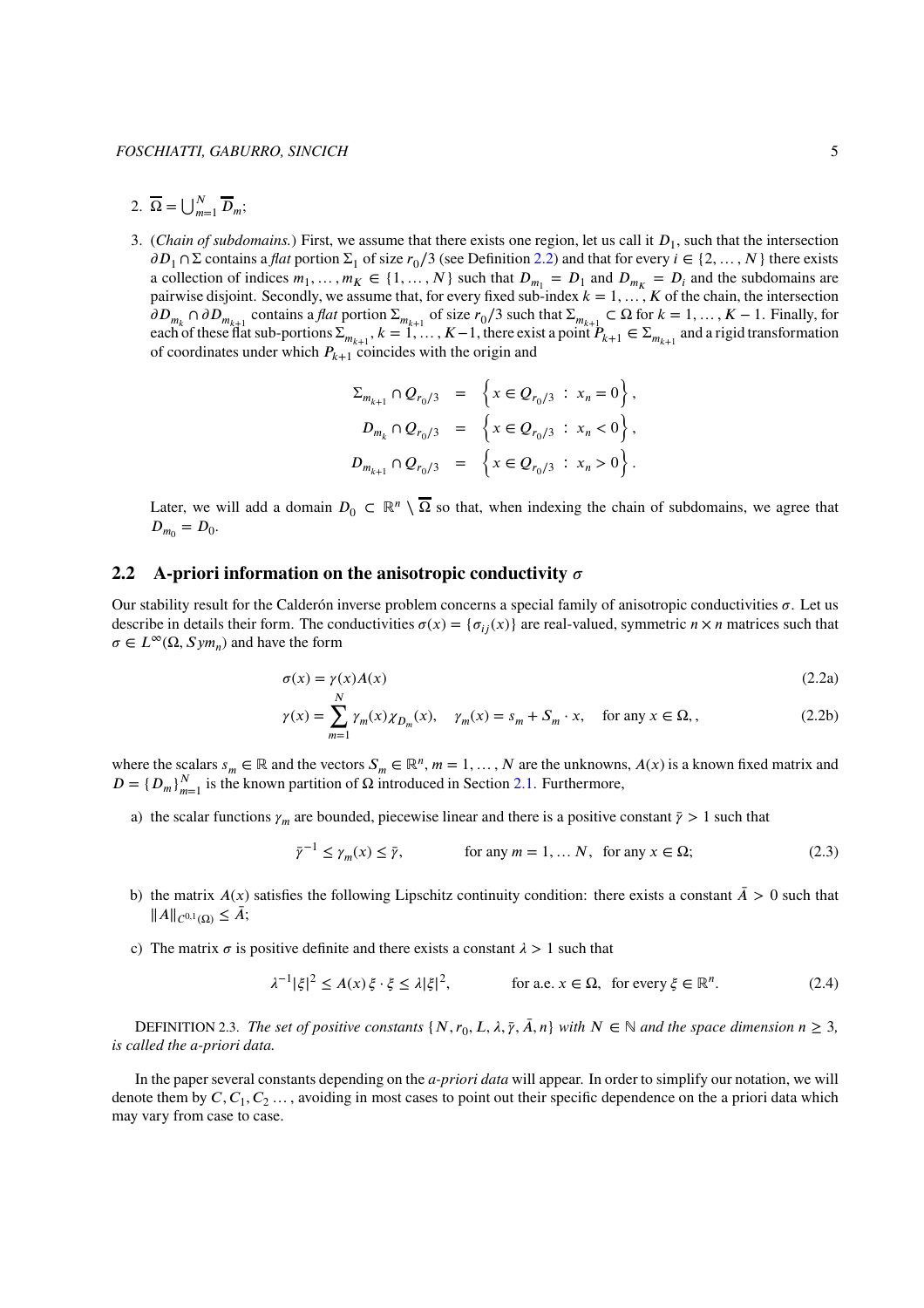- 2.  $\overline{\Omega} = \bigcup_{m=1}^{N} \overline{D}_m;$
- 3. (*Chain of subdomains*.) First, we assume that there exists one region, let us call it  $D_1$ , such that the intersection  $\partial D_1 \cap \Sigma$  contains a *flat* portion  $\Sigma_1$  of size  $r_0/3$  (see Definition [2.2\)](#page-3-3) and that for every  $i \in \{2, ..., N\}$  there exists a collection of indices  $m_1, \ldots, m_K \in \{1, \ldots, N\}$  such that  $D_{m_1} = D_1$  and  $D_{m_K} = D_i$  and the subdomains are pairwise disjoint. Secondly, we assume that, for every fixed sub-index  $k = 1, \ldots, K$  of the chain, the intersection  $\partial D_{m_k} \cap \partial D_{m_{k+1}}$  contains a *flat* portion  $\Sigma_{m_{k+1}}$  of size  $r_0/3$  such that  $\Sigma_{m_{k+1}} \subset \Omega$  for  $k = 1, ..., K-1$ . Finally, for each of these flat sub-portions  $\Sigma_{m_{k+1}}$ ,  $k = 1, ..., K-1$ , there exist a point  $P_{k+1} \in \Sigma_{m_{k+1}}$  and a rigid transformation of coordinates under which  $P_{k+1}$  coincides with the origin and

$$
\Sigma_{m_{k+1}} \cap Q_{r_0/3} = \left\{ x \in Q_{r_0/3} : x_n = 0 \right\},
$$
  
\n
$$
D_{m_k} \cap Q_{r_0/3} = \left\{ x \in Q_{r_0/3} : x_n < 0 \right\},
$$
  
\n
$$
D_{m_{k+1}} \cap Q_{r_0/3} = \left\{ x \in Q_{r_0/3} : x_n > 0 \right\}.
$$

Later, we will add a domain  $D_0 \subset \mathbb{R}^n \setminus \overline{\Omega}$  so that, when indexing the chain of subdomains, we agree that  $D_{m_0} = D_0.$ 

## <span id="page-4-0"></span>**2.2** A-priori information on the anisotropic conductivity  $\sigma$

Our stability result for the Calderón inverse problem concerns a special family of anisotropic conductivities  $\sigma$ . Let us describe in details their form. The conductivities  $\sigma(x) = \{\sigma_{ij}(x)\}\$  are real-valued, symmetric  $n \times n$  matrices such that  $\sigma \in L^{\infty}(\Omega, Sym_n)$  and have the form

$$
\sigma(x) = \gamma(x)A(x) \tag{2.2a}
$$

$$
\gamma(x) = \sum_{m=1}^{N} \gamma_m(x) \chi_{D_m}(x), \quad \gamma_m(x) = s_m + S_m \cdot x, \quad \text{for any } x \in \Omega, \tag{2.2b}
$$

where the scalars  $s_m \in \mathbb{R}$  and the vectors  $S_m \in \mathbb{R}^n$ ,  $m = 1, ..., N$  are the unknowns,  $A(x)$  is a known fixed matrix and  $D = \{D_m\}_{m=1}^N$  is the known partition of  $\Omega$  introduced in Section [2.1.](#page-3-0) Furthermore,

a) the scalar functions  $\gamma_m$  are bounded, piecewise linear and there is a positive constant  $\bar{\gamma} > 1$  such that

$$
\bar{\gamma}^{-1} \le \gamma_m(x) \le \bar{\gamma}, \qquad \text{for any } m = 1, \dots N, \text{ for any } x \in \Omega; \tag{2.3}
$$

- b) the matrix  $A(x)$  satisfies the following Lipschitz continuity condition: there exists a constant  $\bar{A} > 0$  such that  $||A||_{C^{0,1}(\Omega)} \leq \bar{A};$
- c) The matrix  $\sigma$  is positive definite and there exists a constant  $\lambda > 1$  such that

$$
\lambda^{-1}|\xi|^2 \le A(x)\,\xi \cdot \xi \le \lambda|\xi|^2, \qquad \text{for a.e. } x \in \Omega, \text{ for every } \xi \in \mathbb{R}^n. \tag{2.4}
$$

DEFINITION 2.3. *The set of positive constants*  $\{N, r_0, L, \lambda, \overline{\gamma}, \overline{A}, n\}$  with  $N \in \mathbb{N}$  and the space dimension  $n \geq 3$ , *is called the a-priori data.*

In the paper several constants depending on the *a-priori data* will appear. In order to simplify our notation, we will denote them by  $C, C_1, C_2, \ldots$ , avoiding in most cases to point out their specific dependence on the a priori data which may vary from case to case.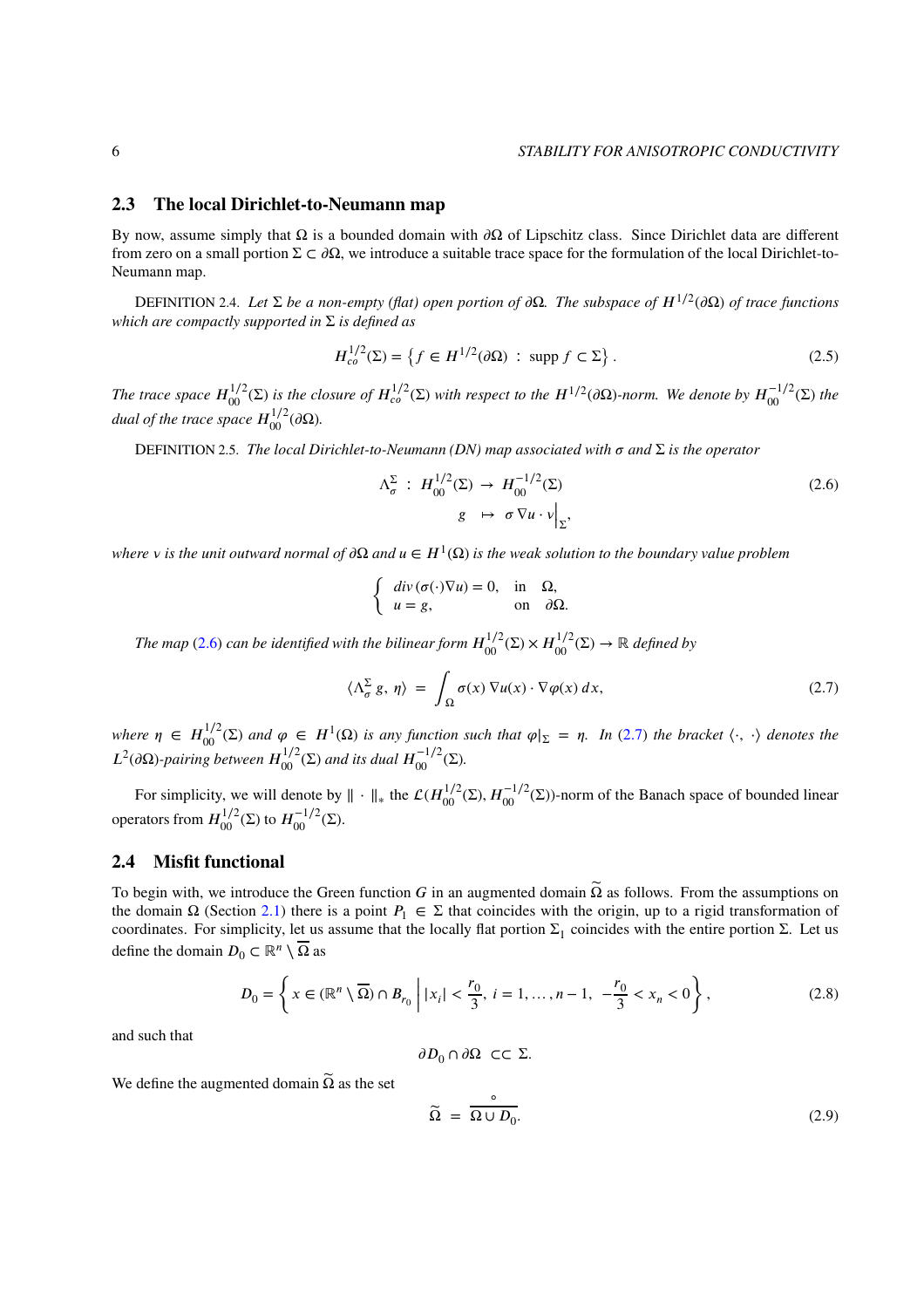### <span id="page-5-0"></span>**2.3 The local Dirichlet-to-Neumann map**

By now, assume simply that  $\Omega$  is a bounded domain with  $\partial\Omega$  of Lipschitz class. Since Dirichlet data are different from zero on a small portion  $\Sigma \subset \partial \Omega$ , we introduce a suitable trace space for the formulation of the local Dirichlet-to-Neumann map.

DEFINITION 2.4. *Let* Σ *be a non-empty (flat) open portion of*  $\partial \Omega$ *. The subspace of*  $H^{1/2}(\partial \Omega)$  *of trace functions which are compactly supported in* Σ *is defined as*

$$
H_{co}^{1/2}(\Sigma) = \left\{ f \in H^{1/2}(\partial \Omega) \, : \, \text{supp } f \subset \Sigma \right\}. \tag{2.5}
$$

*The trace space*  $H_{00}^{1/2}(\Sigma)$  is the closure of  $H_{co}^{1/2}(\Sigma)$  with respect to the  $H^{1/2}(\partial\Omega)$ -norm. We denote by  $H_{00}^{-1/2}(\Sigma)$  the *dual of the trace space*  $H_{00}^{1/2}(\partial\Omega)$ .

DEFINITION 2.5. *The local Dirichlet-to-Neumann (DN) map associated with 𝜎 and* Σ *is the operator*

<span id="page-5-2"></span>
$$
\Lambda_{\sigma}^{\Sigma} : H_{00}^{1/2}(\Sigma) \to H_{00}^{-1/2}(\Sigma)
$$
\n
$$
g \mapsto \sigma \nabla u \cdot v \Big|_{\Sigma},
$$
\n(2.6)

*where v is the unit outward normal of ∂Ω and*  $u ∈ H^1(Ω)$  *is the weak solution to the boundary value problem* 

<span id="page-5-3"></span>
$$
\begin{cases}\n\ div(\sigma(\cdot)\nabla u) = 0, & \text{in} \quad \Omega, \\
u = g, & \text{on} \quad \partial\Omega.\n\end{cases}
$$

*The map* [\(2.6\)](#page-5-2) *can be identified with the bilinear form*  $H_{00}^{1/2}(\Sigma) \times H_{00}^{1/2}(\Sigma) \to \mathbb{R}$  *defined by* 

$$
\langle \Lambda_{\sigma}^{\Sigma} g, \eta \rangle = \int_{\Omega} \sigma(x) \, \nabla u(x) \cdot \nabla \varphi(x) \, dx,\tag{2.7}
$$

 $\mathcal{L}$  *where*  $\eta \in H_{00}^{1/2}(\Sigma)$  *and*  $\varphi \in H^1(\Omega)$  *is any function such that*  $\varphi|_{\Sigma} = \eta$ *. In* [\(2.7\)](#page-5-3) *the bracket*  $\langle \cdot, \cdot \rangle$  *denotes the*  $L^2(\partial\Omega)$ -pairing between  $H_{00}^{1/2}(\Sigma)$  and its dual  $H_{00}^{-1/2}(\Sigma)$ .

For simplicity, we will denote by  $\|\cdot\|_*$  the  $\mathcal{L}(H_{00}^{1/2}(\Sigma), H_{00}^{-1/2}(\Sigma))$ -norm of the Banach space of bounded linear operators from  $H_{00}^{1/2}$ (Σ) to  $H_{00}^{-1/2}$ (Σ).

### <span id="page-5-1"></span>**2.4 Misfit functional**

To begin with, we introduce the Green function *G* in an augmented domain  $\tilde{\Omega}$  as follows. From the assumptions on the domain  $\Omega$  (Section [2.1\)](#page-3-0) there is a point  $P_1 \in \Sigma$  that coincides with the origin, up to a rigid transformation of coordinates. For simplicity, let us assume that the locally flat portion  $\Sigma_1$  coincides with the entire portion  $\Sigma$ . Let us define the domain  $D_0 \subset \mathbb{R}^n \setminus \overline{\Omega}$  as

<span id="page-5-5"></span>
$$
D_0 = \left\{ x \in (\mathbb{R}^n \setminus \overline{\Omega}) \cap B_{r_0} \mid |x_i| < \frac{r_0}{3}, \ i = 1, \dots, n - 1, \ -\frac{r_0}{3} < x_n < 0 \right\},\tag{2.8}
$$

and such that

$$
\partial D_0 \cap \partial \Omega \ \subset \subset \Sigma.
$$

We define the augmented domain  $\tilde{\Omega}$  as the set

<span id="page-5-4"></span>
$$
\widetilde{\Omega} = \frac{\circ}{\Omega \cup D_0}.\tag{2.9}
$$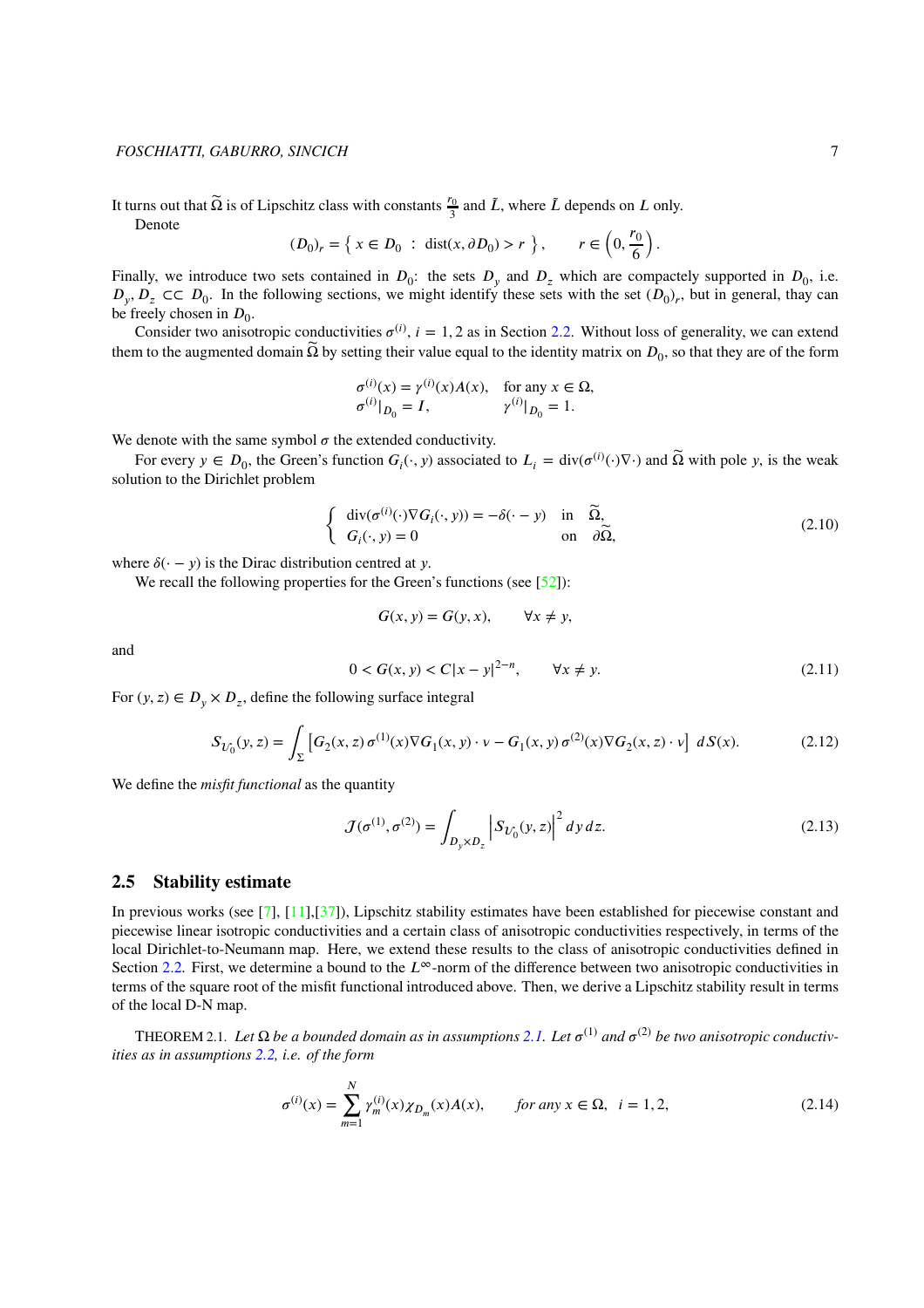It turns out that  $\tilde{\Omega}$  is of Lipschitz class with constants  $\frac{r_0}{3}$  and  $\tilde{L}$ , where  $\tilde{L}$  depends on  $L$  only.

Denote

$$
(D_0)_r = \left\{ x \in D_0 \; : \; \text{dist}(x, \partial D_0) > r \; \right\}, \qquad r \in \left(0, \frac{r_0}{6}\right).
$$

Finally, we introduce two sets contained in  $D_0$ : the sets  $D_y$  and  $D_z$  which are compactely supported in  $D_0$ , i.e.  $D_y, D_z \subset C$   $D_0$ . In the following sections, we might identify these sets with the set  $(D_0)_r$ , but in general, thay can be freely chosen in  $D_0$ .

Consider two anisotropic conductivities  $\sigma^{(i)}$ ,  $i = 1, 2$  as in Section [2.2.](#page-4-0) Without loss of generality, we can extend them to the augmented domain  $\widetilde{\Omega}$  by setting their value equal to the identity matrix on  $D_0,$  so that they are of the form

$$
\sigma^{(i)}(x) = \gamma^{(i)}(x)A(x)
$$
, for any  $x \in \Omega$ ,  
\n $\sigma^{(i)}|_{D_0} = I$ ,  $\gamma^{(i)}|_{D_0} = 1$ .

We denote with the same symbol  $\sigma$  the extended conductivity.

<span id="page-6-2"></span>For every  $y \in D_0$ , the Green's function  $G_i(\cdot, y)$  associated to  $L_i = \text{div}(\sigma^{(i)}(\cdot) \nabla \cdot)$  and  $\tilde{\Omega}$  with pole *y*, is the weak solution to the Dirichlet problem

$$
\begin{cases}\n\operatorname{div}(\sigma^{(i)}(\cdot)\nabla G_i(\cdot, y)) = -\delta(\cdot - y) & \text{in } \widetilde{\Omega}, \\
G_i(\cdot, y) = 0 & \text{on } \partial\widetilde{\Omega},\n\end{cases}
$$
\n(2.10)

where  $\delta(\cdot - y)$  is the Dirac distribution centred at *y*.

We recall the following properties for the Green's functions (see [\[52\]](#page-29-14)):

$$
G(x, y) = G(y, x), \qquad \forall x \neq y,
$$

<span id="page-6-3"></span>and

$$
0 < G(x, y) < C|x - y|^{2-n}, \qquad \forall x \neq y. \tag{2.11}
$$

For  $(y, z) \in D_y \times D_z$ , define the following surface integral

$$
S_{U_0}(y, z) = \int_{\Sigma} \left[ G_2(x, z) \, \sigma^{(1)}(x) \nabla G_1(x, y) \cdot \nu - G_1(x, y) \, \sigma^{(2)}(x) \nabla G_2(x, z) \cdot \nu \right] \, dS(x). \tag{2.12}
$$

We define the *misfit functional* as the quantity

<span id="page-6-0"></span>
$$
\mathcal{J}(\sigma^{(1)}, \sigma^{(2)}) = \int_{D_y \times D_z} \left| S_{\mathcal{U}_0}(y, z) \right|^2 dy \, dz. \tag{2.13}
$$

## **2.5 Stability estimate**

In previous works (see [\[7\]](#page-27-5), [\[11\]](#page-27-0),[\[37\]](#page-28-7)), Lipschitz stability estimates have been established for piecewise constant and piecewise linear isotropic conductivities and a certain class of anisotropic conductivities respectively, in terms of the local Dirichlet-to-Neumann map. Here, we extend these results to the class of anisotropic conductivities defined in Section [2.2.](#page-4-0) First, we determine a bound to the  $L^\infty$ -norm of the difference between two anisotropic conductivities in terms of the square root of the misfit functional introduced above. Then, we derive a Lipschitz stability result in terms of the local D-N map.

<span id="page-6-1"></span>THEOREM [2.1.](#page-3-0) Let  $\Omega$  be a bounded domain as in assumptions 2.1. Let  $\sigma^{(1)}$  and  $\sigma^{(2)}$  be two anisotropic conductiv*ities as in assumptions [2.2,](#page-4-0) i.e. of the form*

$$
\sigma^{(i)}(x) = \sum_{m=1}^{N} \gamma_m^{(i)}(x) \chi_{D_m}(x) A(x), \qquad \text{for any } x \in \Omega, \ \ i = 1, 2,
$$
 (2.14)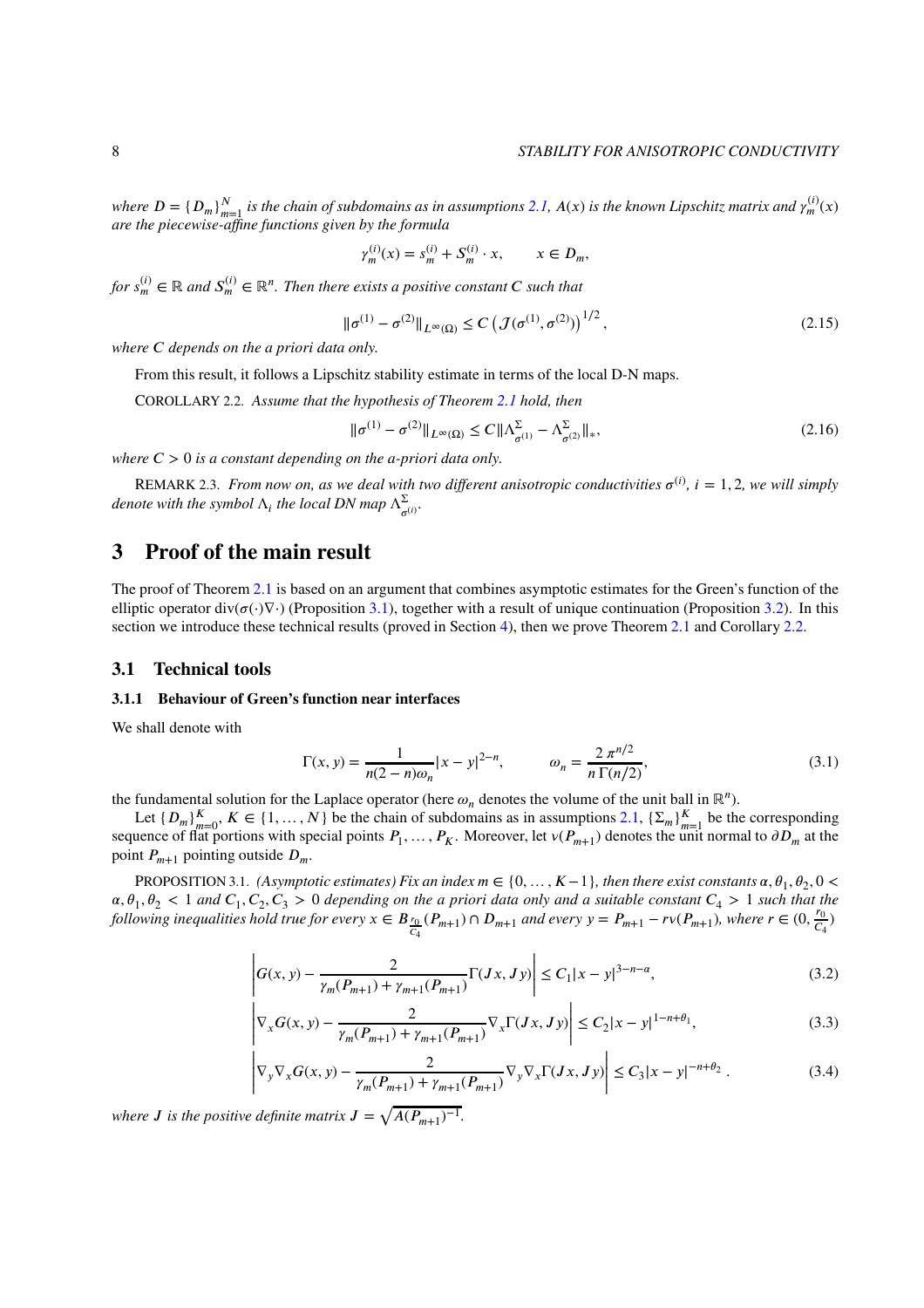where  $D = \{D_m\}_{m=1}^N$  is the chain of subdomains as in assumptions [2.1,](#page-3-0)  $A(x)$  is the known Lipschitz matrix and  $\gamma_m^{(i)}(x)$ *are the piecewise-affine functions given by the formula*

$$
\gamma_m^{(i)}(x) = s_m^{(i)} + S_m^{(i)} \cdot x, \qquad x \in D_m,
$$

<span id="page-7-3"></span> $f$ *or*  $s_m^{(i)} \in \mathbb{R}$  and  $S_m^{(i)} \in \mathbb{R}^n$ . Then there exists a positive constant  $C$  such that

$$
\|\sigma^{(1)} - \sigma^{(2)}\|_{L^{\infty}(\Omega)} \le C \left(\mathcal{J}(\sigma^{(1)}, \sigma^{(2)})\right)^{1/2},\tag{2.15}
$$

*where 𝐶 depends on the a priori data only.*

From this result, it follows a Lipschitz stability estimate in terms of the local D-N maps.

<span id="page-7-0"></span>COROLLARY 2.2. *Assume that the hypothesis of Theorem [2.1](#page-6-1) hold, then*

<span id="page-7-6"></span>
$$
\|\sigma^{(1)} - \sigma^{(2)}\|_{L^{\infty}(\Omega)} \le C \|\Lambda_{\sigma^{(1)}}^{\Sigma} - \Lambda_{\sigma^{(2)}}^{\Sigma}\|_{*},
$$
\n(2.16)

*where*  $C > 0$  *is a constant depending on the a-priori data only.* 

REMARK 2.3. *From now on, as we deal with two different anisotropic conductivities*  $\sigma^{(i)}$ ,  $i = 1, 2$ , we will simply *denote with the symbol*  $\Lambda_i$  *the local DN map*  $\Lambda_{\sigma^{(i)}}^{\Sigma}$ .

# <span id="page-7-1"></span>**3 Proof of the main result**

The proof of Theorem [2.1](#page-6-1) is based on an argument that combines asymptotic estimates for the Green's function of the elliptic operator div( $\sigma(\cdot) \nabla \cdot$ ) (Proposition [3.1\)](#page-7-2), together with a result of unique continuation (Proposition [3.2\)](#page-9-0). In this section we introduce these technical results (proved in Section [4\)](#page-19-0), then we prove Theorem [2.1](#page-6-1) and Corollary [2.2.](#page-7-0)

#### <span id="page-7-7"></span>**3.1 Technical tools**

#### **3.1.1 Behaviour of Green's function near interfaces**

We shall denote with

<span id="page-7-5"></span>
$$
\Gamma(x, y) = \frac{1}{n(2-n)\omega_n} |x - y|^{2-n}, \qquad \omega_n = \frac{2 \pi^{n/2}}{n \Gamma(n/2)},
$$
\n(3.1)

the fundamental solution for the Laplace operator (here  $\omega_n$  denotes the volume of the unit ball in ℝ<sup>*n*</sup>).

Let  $\{D_m\}_{m=0}^K$ ,  $K \in \{1, ..., N\}$  be the chain of subdomains as in assumptions [2.1,](#page-3-0)  $\{\Sigma_m\}_{m=1}^K$  be the corresponding sequence of flat portions with special points  $P_1, \ldots, P_K$ . Moreover, let  $v(P_{m+1})$  denotes the unit normal to  $\partial D_m$  at the point  $P_{m+1}$  pointing outside  $D_m$ .

<span id="page-7-2"></span>PROPOSITION 3.1. *(Asymptotic estimates) Fix an index*  $m \in \{0, ..., K-1\}$ , then there exist constants  $\alpha, \theta_1, \theta_2, 0 <$  $\alpha, \theta_1, \theta_2 < 1$  and  $C_1, C_2, C_3 > 0$  depending on the a priori data only and a suitable constant  $C_4 > 1$  such that the *following inequalities hold true for every*  $x \in B_{\frac{r_0}{r_0}}$  $\frac{r_0}{c_4}(P_{m+1}) \cap D_{m+1}$  and every  $y = P_{m+1} - r \nu(P_{m+1})$ , where  $r \in (0, \frac{r_0}{c_4})$  $\frac{r_0}{C_4}$ 

<span id="page-7-4"></span>
$$
\left| G(x, y) - \frac{2}{\gamma_m(P_{m+1}) + \gamma_{m+1}(P_{m+1})} \Gamma(Jx, Jy) \right| \le C_1 |x - y|^{3 - n - \alpha}, \tag{3.2}
$$

$$
\left| \nabla_x G(x, y) - \frac{2}{\gamma_m(P_{m+1}) + \gamma_{m+1}(P_{m+1})} \nabla_x \Gamma(Jx, Jy) \right| \le C_2 |x - y|^{1 - n + \theta_1},\tag{3.3}
$$

$$
\left| \nabla_y \nabla_x G(x, y) - \frac{2}{\gamma_m(P_{m+1}) + \gamma_{m+1}(P_{m+1})} \nabla_y \nabla_x \Gamma(Jx, Jy) \right| \le C_3 |x - y|^{-n + \theta_2} . \tag{3.4}
$$

where *J* is the positive definite matrix  $J = \sqrt{A(P_{m+1})^{-1}}$ .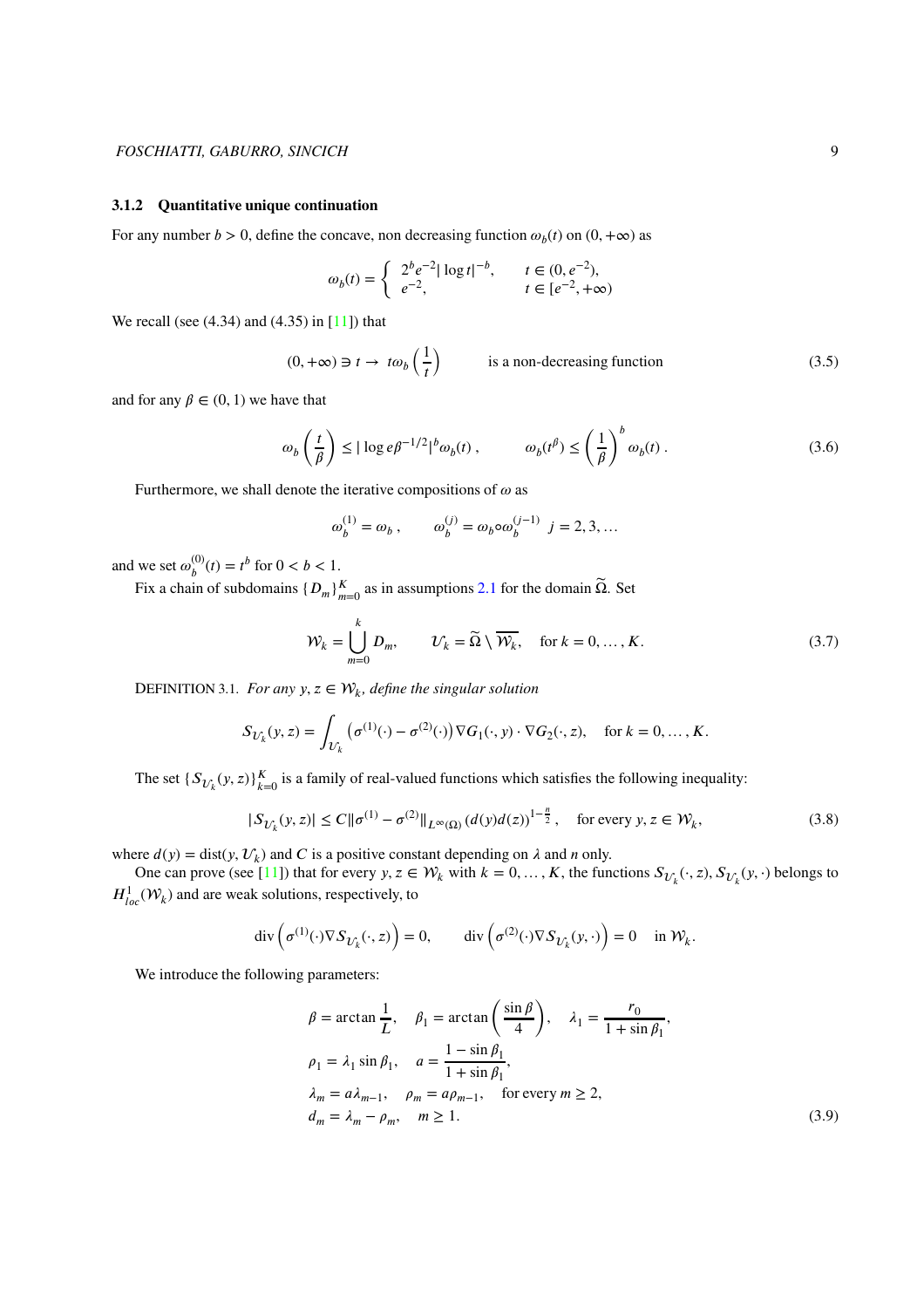#### <span id="page-8-0"></span>**3.1.2 Quantitative unique continuation**

For any number *b* > 0, define the concave, non decreasing function  $\omega_b(t)$  on  $(0, +\infty)$  as

$$
\omega_b(t) = \begin{cases} 2^b e^{-2} |\log t|^{-b}, & t \in (0, e^{-2}), \\ e^{-2}, & t \in [e^{-2}, +\infty) \end{cases}
$$

We recall (see (4.34) and (4.35) in [\[11\]](#page-27-0)) that

<span id="page-8-1"></span>
$$
(0, +\infty) \ni t \to t\omega_b\left(\frac{1}{t}\right) \qquad \text{is a non-decreasing function} \tag{3.5}
$$

and for any  $\beta \in (0, 1)$  we have that

<span id="page-8-4"></span>
$$
\omega_b \left(\frac{t}{\beta}\right) \le |\log e \beta^{-1/2}|^b \omega_b(t) , \qquad \omega_b(t^{\beta}) \le \left(\frac{1}{\beta}\right)^b \omega_b(t) . \tag{3.6}
$$

Furthermore, we shall denote the iterative compositions of  $\omega$  as

<span id="page-8-2"></span>
$$
\omega_b^{(1)} = \omega_b , \qquad \omega_b^{(j)} = \omega_b \circ \omega_b^{(j-1)} \ \ j = 2, 3, ...
$$

and we set  $\omega_k^{(0)}$  $_{b}^{(0)}(t) = t^{b}$  for  $0 < b < 1$ .

Fix a chain of subdomains  $\{D_m\}_{m=0}^K$  as in assumptions [2.1](#page-3-0) for the domain  $\tilde{\Omega}$ . Set

$$
\mathcal{W}_k = \bigcup_{m=0}^k D_m, \qquad \mathcal{U}_k = \widetilde{\Omega} \setminus \overline{\mathcal{W}_k}, \quad \text{for } k = 0, \dots, K. \tag{3.7}
$$

DEFINITION 3.1. *For any*  $y, z \in \mathcal{W}_k$ , *define the singular solution* 

$$
S_{\mathcal{U}_k}(y,z) = \int_{\mathcal{U}_k} \left( \sigma^{(1)}(\cdot) - \sigma^{(2)}(\cdot) \right) \nabla G_1(\cdot, y) \cdot \nabla G_2(\cdot, z), \quad \text{for } k = 0, \dots, K.
$$

The set  $\{S_{\mathcal{U}_k}(y, z)\}_{k=0}^K$  is a family of real-valued functions which satisfies the following inequality:

$$
|S_{\mathcal{U}_k}(y,z)| \le C \|\sigma^{(1)} - \sigma^{(2)}\|_{L^{\infty}(\Omega)} \left(d(y)d(z)\right)^{1-\frac{n}{2}}, \quad \text{for every } y, z \in \mathcal{W}_k,
$$
\n
$$
(3.8)
$$

where  $d(y) = \text{dist}(y, \mathcal{U}_k)$  and *C* is a positive constant depending on  $\lambda$  and *n* only.

One can prove (see [\[11\]](#page-27-0)) that for every  $y, z \in \mathcal{W}_k$  with  $k = 0, ..., K$ , the functions  $S_{\mathcal{U}_k}(\cdot, z), S_{\mathcal{U}_k}(y, \cdot)$  belongs to  $H^1_{loc}(\mathcal{W}_k)$  and are weak solutions, respectively, to

$$
\operatorname{div}\left(\sigma^{(1)}(\cdot)\nabla S_{\mathcal{U}_k}(\cdot,z)\right)=0, \qquad \operatorname{div}\left(\sigma^{(2)}(\cdot)\nabla S_{\mathcal{U}_k}(y,\cdot)\right)=0 \quad \text{ in } \mathcal{W}_k.
$$

We introduce the following parameters:

<span id="page-8-3"></span>
$$
\beta = \arctan \frac{1}{L}, \quad \beta_1 = \arctan \left( \frac{\sin \beta}{4} \right), \quad \lambda_1 = \frac{r_0}{1 + \sin \beta_1},
$$
  
\n
$$
\rho_1 = \lambda_1 \sin \beta_1, \quad a = \frac{1 - \sin \beta_1}{1 + \sin \beta_1},
$$
  
\n
$$
\lambda_m = a\lambda_{m-1}, \quad \rho_m = a\rho_{m-1}, \quad \text{for every } m \ge 2,
$$
  
\n
$$
d_m = \lambda_m - \rho_m, \quad m \ge 1.
$$
  
\n(3.9)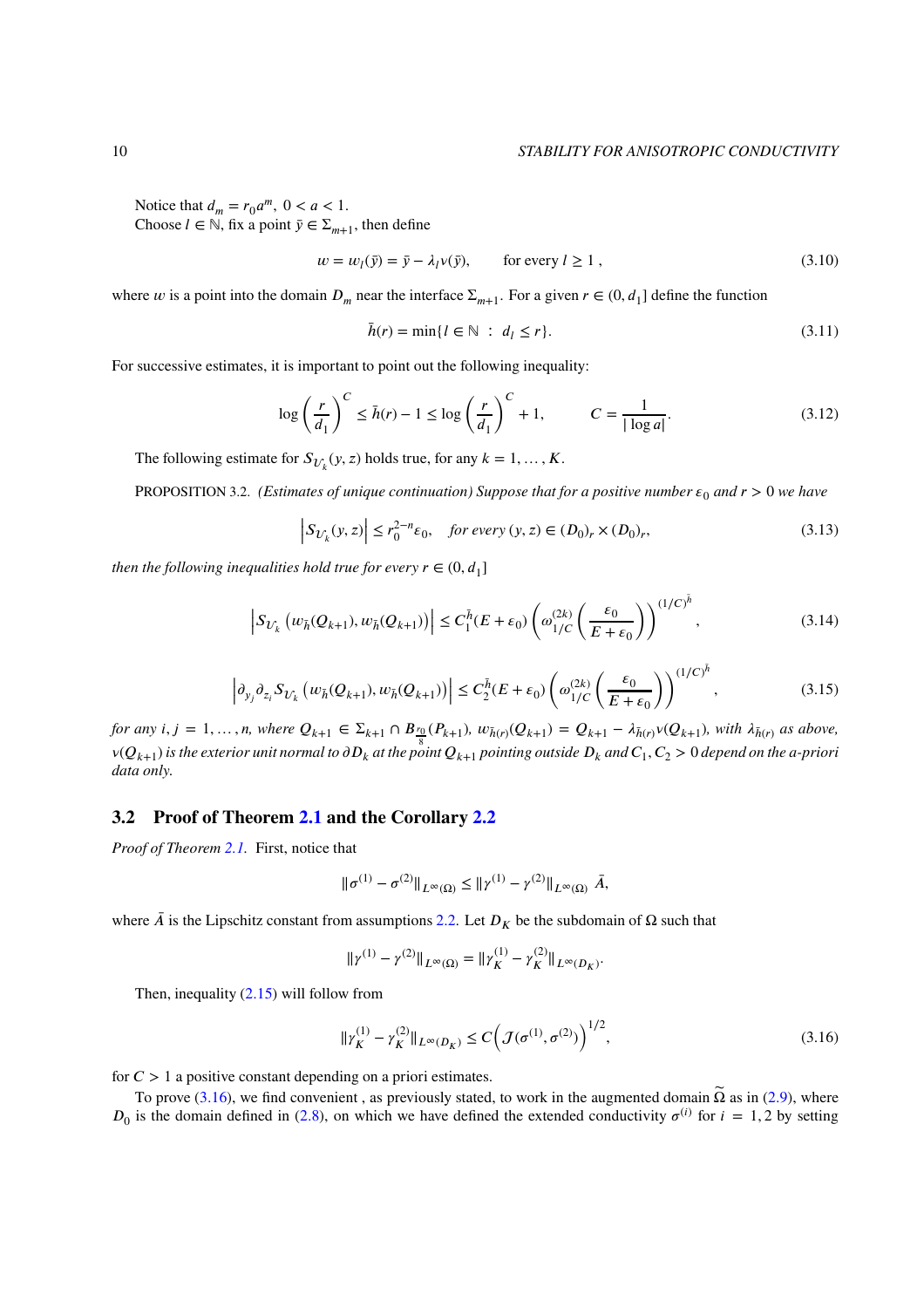#### 10 *STABILITY FOR ANISOTROPIC CONDUCTIVITY*

Notice that  $d_m = r_0 a^m$ ,  $0 < a < 1$ . Choose  $l \in \mathbb{N}$ , fix a point  $\bar{y} \in \Sigma_{m+1}$ , then define

$$
w = w_l(\bar{y}) = \bar{y} - \lambda_l v(\bar{y}), \qquad \text{for every } l \ge 1,
$$
\n(3.10)

where *w* is a point into the domain  $D_m$  near the interface  $\Sigma_{m+1}$ . For a given  $r \in (0, d_1]$  define the function

<span id="page-9-2"></span>
$$
\bar{h}(r) = \min\{l \in \mathbb{N} \ : \ d_l \le r\}.\tag{3.11}
$$

For successive estimates, it is important to point out the following inequality:

<span id="page-9-4"></span>
$$
\log\left(\frac{r}{d_1}\right)^C \le \bar{h}(r) - 1 \le \log\left(\frac{r}{d_1}\right)^C + 1, \qquad C = \frac{1}{|\log a|}.\tag{3.12}
$$

The following estimate for  $S_{\mathcal{U}_k}(y, z)$  holds true, for any  $k = 1, ..., K$ .

<span id="page-9-0"></span>PROPOSITION 3.2. *(Estimates of unique continuation) Suppose that for a positive number*  $\varepsilon_0$  and  $r > 0$  we have

<span id="page-9-5"></span>
$$
\left| S_{\mathcal{U}_k}(y, z) \right| \le r_0^{2-n} \varepsilon_0, \quad \text{for every } (y, z) \in (D_0)_r \times (D_0)_r,
$$
\n
$$
(3.13)
$$

*then the following inequalities hold true for every*  $r \in (0, d_1]$ 

$$
\left| S_{\mathcal{U}_k} \left( w_{\bar{h}}(Q_{k+1}), w_{\bar{h}}(Q_{k+1}) \right) \right| \le C_1^{\bar{h}} (E + \varepsilon_0) \left( \omega_{1/C}^{(2k)} \left( \frac{\varepsilon_0}{E + \varepsilon_0} \right) \right)^{(1/C)^{\bar{h}}}, \tag{3.14}
$$

$$
\left| \partial_{y_j} \partial_{z_i} S_{U_k} \left( w_{\bar{h}}(Q_{k+1}), w_{\bar{h}}(Q_{k+1}) \right) \right| \le C_2^{\bar{h}}(E + \varepsilon_0) \left( \omega_{1/C}^{(2k)} \left( \frac{\varepsilon_0}{E + \varepsilon_0} \right) \right)^{(1/C)^{\bar{h}}}, \tag{3.15}
$$

<span id="page-9-3"></span>for any  $i, j = 1, ..., n$ , where  $Q_{k+1} \in \Sigma_{k+1} \cap B_{\frac{r_0}{8}}(P_{k+1}), w_{\bar{h}(r)}(Q_{k+1}) = Q_{k+1} - \lambda_{\bar{h}(r)} \vee (Q_{k+1}),$  with  $\lambda_{\bar{h}(r)}$  as above, v( $Q_{k+1}$ ) is the exterior unit normal to  $\partial D_k$  at the point  $Q_{k+1}$  pointing outside  $D_k$  and  $C_1,C_2>0$  depend on the a-priori *data only.*

## **3.2 Proof of Theorem [2.1](#page-6-1) and the Corollary [2.2](#page-7-0)**

*Proof of Theorem [2.1.](#page-6-1)* First, notice that

$$
\|\sigma^{(1)} - \sigma^{(2)}\|_{L^{\infty}(\Omega)} \leq \|\gamma^{(1)} - \gamma^{(2)}\|_{L^{\infty}(\Omega)} \bar{A},
$$

where  $\bar{A}$  is the Lipschitz constant from assumptions [2.2.](#page-4-0) Let  $D_K$  be the subdomain of Ω such that

$$
\|\gamma^{(1)}-\gamma^{(2)}\|_{L^\infty(\Omega)}=\|\gamma_K^{(1)}-\gamma_K^{(2)}\|_{L^\infty(D_K)}.
$$

Then, inequality  $(2.15)$  will follow from

<span id="page-9-1"></span>
$$
\|\gamma_K^{(1)} - \gamma_K^{(2)}\|_{L^\infty(D_K)} \le C \left( \mathcal{J}(\sigma^{(1)}, \sigma^{(2)}) \right)^{1/2},\tag{3.16}
$$

for  $C > 1$  a positive constant depending on a priori estimates.

To prove [\(3.16\)](#page-9-1), we find convenient, as previously stated, to work in the augmented domain  $\tilde{\Omega}$  as in [\(2.9\)](#page-5-4), where  $D_0$  is the domain defined in [\(2.8\)](#page-5-5), on which we have defined the extended conductivity  $\sigma^{(i)}$  for  $i = 1, 2$  by setting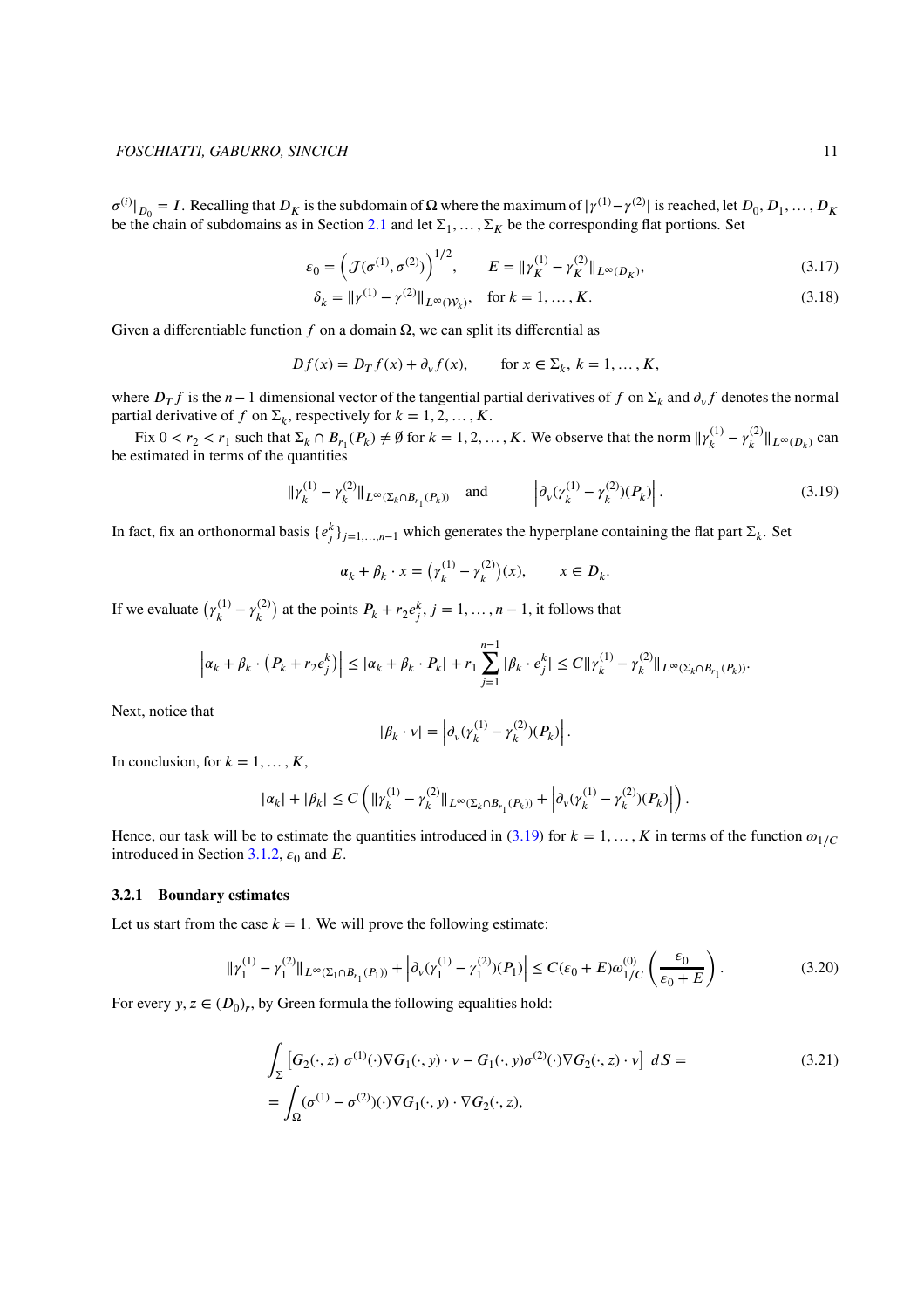$\sigma^{(i)}|_{D_0} = I$ . Recalling that  $D_K$  is the subdomain of  $\Omega$  where the maximum of  $|\gamma^{(1)} - \gamma^{(2)}|$  is reached, let  $D_0, D_1, \ldots, D_K$ be the chain of subdomains as in Section [2.1](#page-3-0) and let  $\Sigma_1, \ldots, \Sigma_K$  be the corresponding flat portions. Set

$$
\varepsilon_0 = \left( \mathcal{J}(\sigma^{(1)}, \sigma^{(2)}) \right)^{1/2}, \qquad E = ||\gamma_K^{(1)} - \gamma_K^{(2)}||_{L^\infty(D_K)}, \tag{3.17}
$$

$$
\delta_k = ||\gamma^{(1)} - \gamma^{(2)}||_{L^{\infty}(\mathcal{W}_k)}, \quad \text{for } k = 1, ..., K.
$$
 (3.18)

Given a differentiable function  $f$  on a domain  $\Omega$ , we can split its differential as

$$
Df(x) = D_T f(x) + \partial_v f(x), \quad \text{for } x \in \Sigma_k, k = 1, \dots, K,
$$

where  $D_T f$  is the  $n-1$  dimensional vector of the tangential partial derivatives of  $f$  on  $\Sigma_k$  and  $\partial_v f$  denotes the normal partial derivative of *f* on  $\Sigma_k$ , respectively for  $k = 1, 2, ..., K$ .

Fix  $0 < r_2 < r_1$  such that  $\Sigma_k \cap B_{r_1}(P_k) \neq \emptyset$  for  $k = 1, 2, ..., K$ . We observe that the norm  $||\gamma_k^{(1)}||$  $\gamma_k^{(1)} - \gamma_k^{(2)}$  $\|k^{(2)}\|_{L^{\infty}(D_k)}$  can be estimated in terms of the quantities

<span id="page-10-0"></span>
$$
\|\gamma_k^{(1)} - \gamma_k^{(2)}\|_{L^\infty(\Sigma_k \cap B_{r_1}(P_k))} \quad \text{and} \quad \left|\partial_\nu(\gamma_k^{(1)} - \gamma_k^{(2)})(P_k)\right|.
$$
 (3.19)

In fact, fix an orthonormal basis  $\{e_j^k\}_{j=1,\dots,n-1}$  which generates the hyperplane containing the flat part  $\Sigma_k$ . Set

$$
\alpha_k + \beta_k \cdot x = \left(\gamma_k^{(1)} - \gamma_k^{(2)}\right)(x), \qquad x \in D_k.
$$

If we evaluate  $(\gamma_k^{(1)})$  $\gamma_k^{(1)} - \gamma_k^{(2)}$  $\binom{2}{k}$  at the points  $P_k + r_2 e_j^k$ ,  $j = 1, \ldots, n-1$ , it follows that

$$
\left| \alpha_k + \beta_k \cdot (P_k + r_2 e_j^k) \right| \leq |\alpha_k + \beta_k \cdot P_k| + r_1 \sum_{j=1}^{n-1} |\beta_k \cdot e_j^k| \leq C ||\gamma_k^{(1)} - \gamma_k^{(2)}||_{L^\infty(\Sigma_k \cap B_{r_1}(P_k))}.
$$

Next, notice that

<span id="page-10-1"></span>
$$
|\beta_k \cdot v| = \left| \partial_v (\gamma_k^{(1)} - \gamma_k^{(2)})(P_k) \right|.
$$

In conclusion, for  $k = 1, \ldots, K$ ,

$$
|\alpha_k|+|\beta_k|\leq C\left(\|\gamma^{(1)}_k-\gamma^{(2)}_k\|_{L^\infty(\Sigma_k\cap B_{r_1}(P_k))}+\left|\partial_{\nu}(\gamma^{(1)}_k-\gamma^{(2)}_k)(P_k)\right|\right).
$$

Hence, our task will be to estimate the quantities introduced in  $(3.19)$  for  $k = 1, \ldots, K$  in terms of the function  $\omega_{1/C}$ introduced in Section [3.1.2,](#page-8-0)  $\epsilon_0$  and *E*.

#### **3.2.1 Boundary estimates**

<span id="page-10-2"></span>Let us start from the case  $k = 1$ . We will prove the following estimate:

$$
\| \gamma_1^{(1)} - \gamma_1^{(2)} \|_{L^\infty(\Sigma_1 \cap B_{r_1}(P_1))} + \left| \partial_v (\gamma_1^{(1)} - \gamma_1^{(2)}) (P_1) \right| \le C(\varepsilon_0 + E) \omega_{1/C}^{(0)} \left( \frac{\varepsilon_0}{\varepsilon_0 + E} \right). \tag{3.20}
$$

For every *y*,  $z \in (D_0)_r$ , by Green formula the following equalities hold:

$$
\int_{\Sigma} \left[ G_2(\cdot, z) \, \sigma^{(1)}(\cdot) \nabla G_1(\cdot, y) \cdot \nu - G_1(\cdot, y) \sigma^{(2)}(\cdot) \nabla G_2(\cdot, z) \cdot \nu \right] \, dS =
$$
\n
$$
= \int_{\Omega} (\sigma^{(1)} - \sigma^{(2)})(\cdot) \nabla G_1(\cdot, y) \cdot \nabla G_2(\cdot, z), \tag{3.21}
$$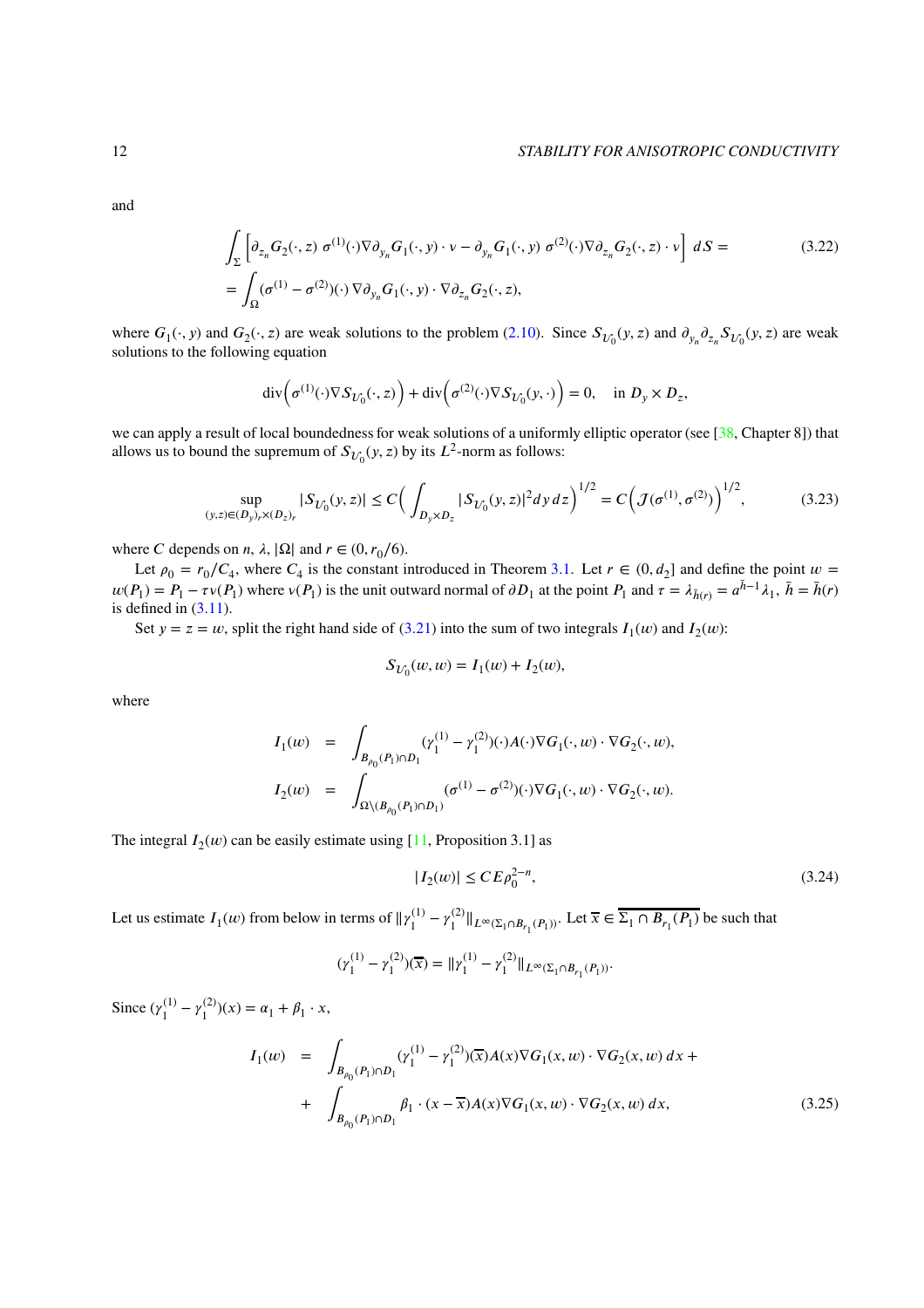#### 12 *STABILITY FOR ANISOTROPIC CONDUCTIVITY*

and

$$
\int_{\Sigma} \left[ \partial_{z_n} G_2(\cdot, z) \, \sigma^{(1)}(\cdot) \nabla \partial_{y_n} G_1(\cdot, y) \cdot \nu - \partial_{y_n} G_1(\cdot, y) \, \sigma^{(2)}(\cdot) \nabla \partial_{z_n} G_2(\cdot, z) \cdot \nu \right] \, dS =
$$
\n
$$
= \int_{\Omega} (\sigma^{(1)} - \sigma^{(2)})(\cdot) \, \nabla \partial_{y_n} G_1(\cdot, y) \cdot \nabla \partial_{z_n} G_2(\cdot, z), \tag{3.22}
$$

where  $G_1(\cdot, y)$  and  $G_2(\cdot, z)$  are weak solutions to the problem [\(2.10\)](#page-6-2). Since  $S_{\mathcal{U}_0}(y, z)$  and  $\partial_{y_n} \partial_{z_n} S_{\mathcal{U}_0}(y, z)$  are weak solutions to the following equation

<span id="page-11-2"></span>
$$
\operatorname{div}\left(\sigma^{(1)}(\cdot)\nabla S_{U_0}(\cdot,z)\right) + \operatorname{div}\left(\sigma^{(2)}(\cdot)\nabla S_{U_0}(y,\cdot)\right) = 0, \quad \text{in } D_y \times D_z,
$$

we can apply a result of local boundedness for weak solutions of a uniformly elliptic operator (see [\[38,](#page-28-16) Chapter 8]) that allows us to bound the supremum of  $S_{U_0}(y, z)$  by its  $L^2$ -norm as follows:

$$
\sup_{(y,z)\in(D_y)_r\times(D_z)_r} |S_{U_0}(y,z)| \le C \Big(\int_{D_y\times D_z} |S_{U_0}(y,z)|^2 dy \, dz\Big)^{1/2} = C \Big(\mathcal{J}(\sigma^{(1)}, \sigma^{(2)})\Big)^{1/2},\tag{3.23}
$$

where *C* depends on *n*,  $\lambda$ ,  $|\Omega|$  and  $r \in (0, r_0/6)$ .

Let  $\rho_0 = r_0/C_4$ , where  $C_4$  is the constant introduced in Theorem [3.1.](#page-7-2) Let  $r \in (0, d_2]$  and define the point  $w =$  $w(P_1) = P_1 - \tau v(P_1)$  where  $v(P_1)$  is the unit outward normal of  $\partial D_1$  at the point  $P_1$  and  $\tau = \lambda_{\bar{h}(r)} = a^{\bar{h}-1}\lambda_1$ ,  $\bar{h} = \bar{h}(r)$ is defined in  $(3.11)$ .

Set  $y = z = w$ , split the right hand side of [\(3.21\)](#page-10-1) into the sum of two integrals  $I_1(w)$  and  $I_2(w)$ :

<span id="page-11-0"></span>
$$
S_{U_0}(w, w) = I_1(w) + I_2(w),
$$

where

$$
I_1(w) = \int_{B_{\rho_0}(P_1) \cap D_1} (\gamma_1^{(1)} - \gamma_1^{(2)})(\cdot) A(\cdot) \nabla G_1(\cdot, w) \cdot \nabla G_2(\cdot, w),
$$
  

$$
I_2(w) = \int_{\Omega \setminus (B_{\rho_0}(P_1) \cap D_1)} (\sigma^{(1)} - \sigma^{(2)})(\cdot) \nabla G_1(\cdot, w) \cdot \nabla G_2(\cdot, w).
$$

The integral  $I_2(w)$  can be easily estimate using [\[11,](#page-27-0) Proposition 3.1] as

<span id="page-11-1"></span>
$$
|I_2(w)| \le C E \rho_0^{2-n},\tag{3.24}
$$

Let us estimate  $I_1(w)$  from below in terms of  $\|\gamma_1^{(1)}\|$  $\gamma_1^{(1)} - \gamma_1^{(2)}$  $\|L_1^{(2)}\|_{L^\infty(\Sigma_1 \cap B_{r_1}(P_1))}$ . Let  $\overline{x}$  ∈  $\Sigma_1 \cap B_{r_1}(P_1)$  be such that

$$
(\gamma_1^{(1)} - \gamma_1^{(2)})(\overline{x}) = ||\gamma_1^{(1)} - \gamma_1^{(2)}||_{L^{\infty}(\Sigma_1 \cap B_{r_1}(P_1))}.
$$

Since  $(\gamma_1^{(1)}$  $\gamma_1^{(1)} - \gamma_1^{(2)}$  $\binom{(2)}{1}(x) = \alpha_1 + \beta_1 \cdot x,$ 

<span id="page-11-3"></span>
$$
I_1(w) = \int_{B_{\rho_0}(P_1) \cap D_1} (\gamma_1^{(1)} - \gamma_1^{(2)})(\overline{x}) A(x) \nabla G_1(x, w) \cdot \nabla G_2(x, w) dx + \int_{B_{\rho_0}(P_1) \cap D_1} \beta_1 \cdot (x - \overline{x}) A(x) \nabla G_1(x, w) \cdot \nabla G_2(x, w) dx,
$$
\n(3.25)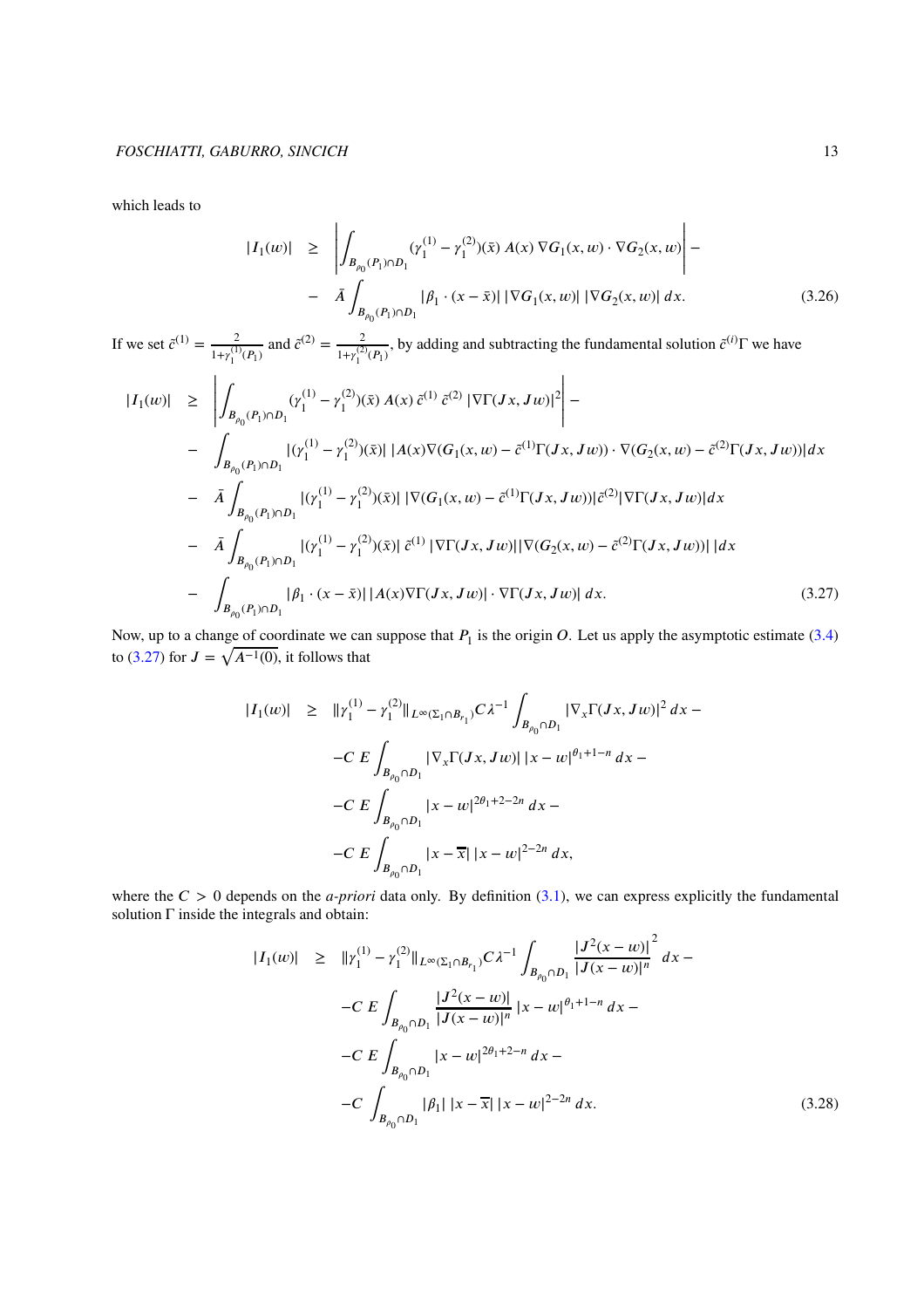which leads to

<span id="page-12-2"></span>
$$
|I_1(w)| \geq \left| \int_{B_{\rho_0}(P_1) \cap D_1} (\gamma_1^{(1)} - \gamma_1^{(2)})(\bar{x}) A(x) \nabla G_1(x, w) \cdot \nabla G_2(x, w) \right| -
$$
  
-  $\bar{A} \int_{B_{\rho_0}(P_1) \cap D_1} |\beta_1 \cdot (x - \bar{x})| |\nabla G_1(x, w)| |\nabla G_2(x, w)| dx.$  (3.26)

If we set  $\tilde{c}^{(1)} = \frac{2}{1-(1)}$  $\frac{2}{1+\gamma_1^{(1)}(P_1)}$  and  $\tilde{c}^{(2)} = \frac{2}{1+\gamma_1^{(2)}}$  $\frac{2}{1+\gamma_1^{(2)}(P_1)}$ , by adding and subtracting the fundamental solution  $\tilde{c}^{(i)}\Gamma$  we have

<span id="page-12-0"></span>
$$
\begin{split}\n|I_{1}(w)| &\geq \left| \int_{B_{\rho_{0}}(P_{1}) \cap D_{1}} (\gamma_{1}^{(1)} - \gamma_{1}^{(2)})(\bar{x}) A(x) \, \tilde{c}^{(1)} \, \tilde{c}^{(2)} \, |\nabla \Gamma(Jx, Jw)|^{2} \right| - \\
&\quad - \int_{B_{\rho_{0}}(P_{1}) \cap D_{1}} |(\gamma_{1}^{(1)} - \gamma_{1}^{(2)})(\bar{x})| |A(x) \nabla (G_{1}(x, w) - \tilde{c}^{(1)} \Gamma(Jx, Jw)) \cdot \nabla (G_{2}(x, w) - \tilde{c}^{(2)} \Gamma(Jx, Jw))| dx \\
&= \bar{A} \int_{B_{\rho_{0}}(P_{1}) \cap D_{1}} |(\gamma_{1}^{(1)} - \gamma_{1}^{(2)})(\bar{x})| |\nabla (G_{1}(x, w) - \tilde{c}^{(1)} \Gamma(Jx, Jw))| \tilde{c}^{(2)} |\nabla \Gamma(Jx, Jw)| dx \\
&= \bar{A} \int_{B_{\rho_{0}}(P_{1}) \cap D_{1}} |(\gamma_{1}^{(1)} - \gamma_{1}^{(2)})(\bar{x})| \, \tilde{c}^{(1)} |\nabla \Gamma(Jx, Jw)| |\nabla (G_{2}(x, w) - \tilde{c}^{(2)} \Gamma(Jx, Jw))| | dx \\
&= \int_{B_{\rho_{0}}(P_{1}) \cap D_{1}} |\beta_{1} \cdot (x - \bar{x})| |A(x) \nabla \Gamma(Jx, Jw)| \cdot \nabla \Gamma(Jx, Jw)| dx. \tag{3.27}\n\end{split}
$$

Now, up to a change of coordinate we can suppose that  $P_1$  is the origin  $O$ . Let us apply the asymptotic estimate [\(3.4\)](#page-7-4) to [\(3.27\)](#page-12-0) for  $J = \sqrt{A^{-1}(0)}$ , it follows that

$$
|I_1(w)| \geq ||\gamma_1^{(1)} - \gamma_1^{(2)}||_{L^{\infty}(\Sigma_1 \cap B_{r_1})} C \lambda^{-1} \int_{B_{\rho_0} \cap D_1} |\nabla_x \Gamma(Jx, Jw)|^2 dx -
$$
  

$$
- C E \int_{B_{\rho_0} \cap D_1} |\nabla_x \Gamma(Jx, Jw)| |x - w|^{\theta_1 + 1 - n} dx -
$$
  

$$
- C E \int_{B_{\rho_0} \cap D_1} |x - w|^{2\theta_1 + 2 - 2n} dx -
$$
  

$$
- C E \int_{B_{\rho_0} \cap D_1} |x - \overline{x}| |x - w|^{2 - 2n} dx,
$$

where the  $C > 0$  depends on the *a-priori* data only. By definition [\(3.1\)](#page-7-5), we can express explicitly the fundamental solution  $\Gamma$  inside the integrals and obtain:

<span id="page-12-1"></span>
$$
|I_{1}(w)| \geq ||\gamma_{1}^{(1)} - \gamma_{1}^{(2)}||_{L^{\infty}(\Sigma_{1} \cap B_{r_{1}})} C \lambda^{-1} \int_{B_{\rho_{0}} \cap D_{1}} \frac{|J^{2}(x - w)|^{2}}{|J(x - w)|^{n}} dx -
$$
  
\n
$$
-C E \int_{B_{\rho_{0}} \cap D_{1}} \frac{|J^{2}(x - w)|}{|J(x - w)|^{n}} |x - w|^{a_{1}+1-n} dx -
$$
  
\n
$$
-C E \int_{B_{\rho_{0}} \cap D_{1}} |x - w|^{2a_{1}+2-n} dx -
$$
  
\n
$$
-C \int_{B_{\rho_{0}} \cap D_{1}} |\beta_{1}| |x - \overline{x}| |x - w|^{2-2n} dx.
$$
\n(3.28)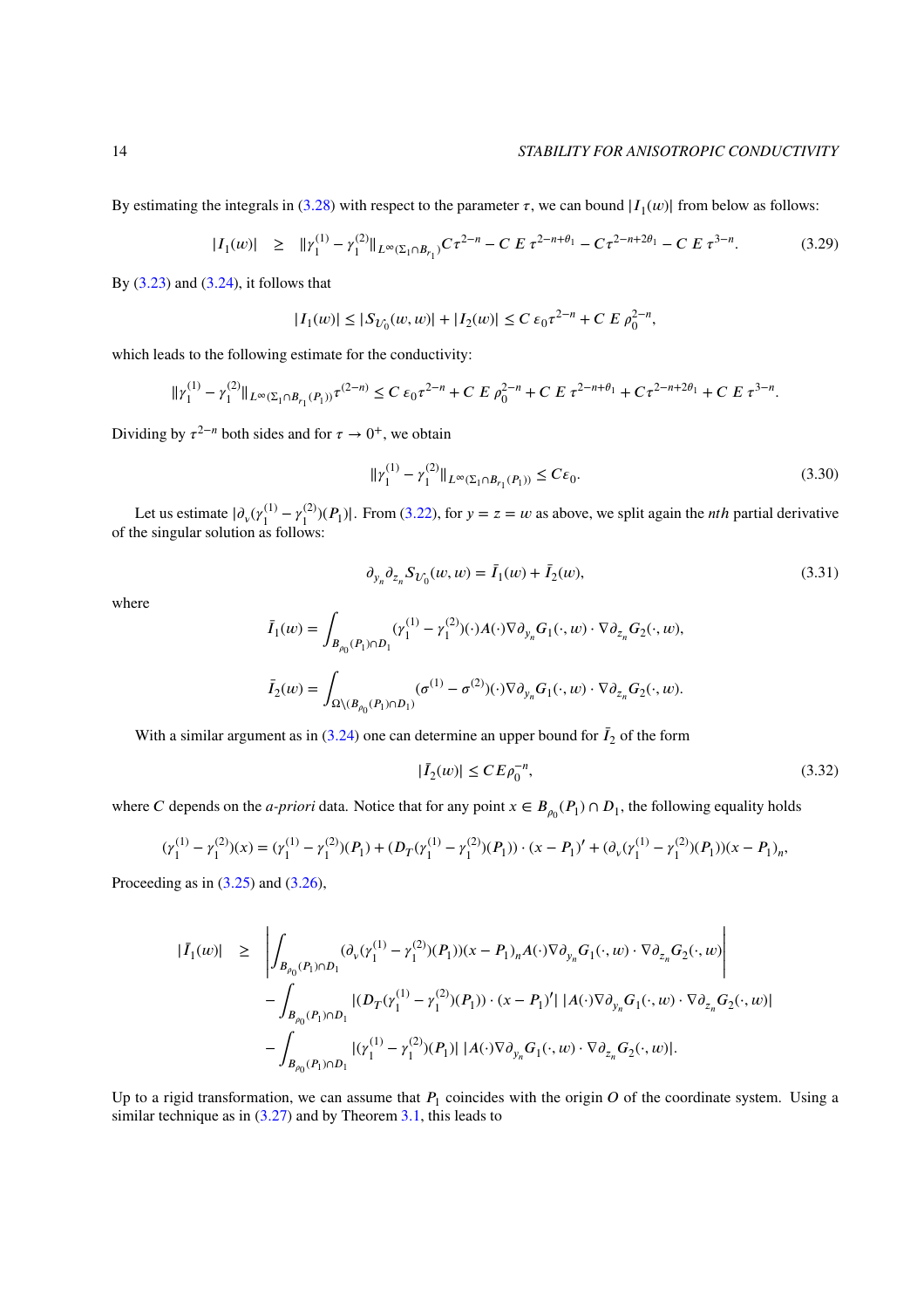By estimating the integrals in [\(3.28\)](#page-12-1) with respect to the parameter  $\tau$ , we can bound  $|I_1(w)|$  from below as follows:

$$
|I_1(w)| \geq ||\gamma_1^{(1)} - \gamma_1^{(2)}||_{L^{\infty}(\Sigma_1 \cap B_{r_1})} C \tau^{2-n} - C E \tau^{2-n+\theta_1} - C \tau^{2-n+2\theta_1} - C E \tau^{3-n}.
$$
 (3.29)

By  $(3.23)$  and  $(3.24)$ , it follows that

$$
|I_1(w)| \le |S_{U_0}(w, w)| + |I_2(w)| \le C \, \varepsilon_0 \tau^{2-n} + C \, E \, \rho_0^{2-n},
$$

which leads to the following estimate for the conductivity:

$$
\|\gamma_1^{(1)}-\gamma_1^{(2)}\|_{L^\infty(\Sigma_1\cap B_{r_1}(P_1))}\tau^{(2-n)}\leq C\,\varepsilon_0\tau^{2-n}+C\,E\,\rho_0^{2-n}+C\,E\,\tau^{2-n+\theta_1}+C\,\tau^{2-n+2\theta_1}+C\,E\,\tau^{3-n}.
$$

<span id="page-13-0"></span>Dividing by  $\tau^{2-n}$  both sides and for  $\tau \to 0^+$ , we obtain

$$
\|\gamma_1^{(1)} - \gamma_1^{(2)}\|_{L^\infty(\Sigma_1 \cap B_{r_1}(P_1))} \le C\varepsilon_0.
$$
\n(3.30)

Let us estimate  $|\partial_{\nu}(y_1^{(1)})|$  $\gamma_1^{(1)} - \gamma_1^{(2)}$ Let us estimate  $|\partial_v(y_1^{(1)} - y_1^{(2)})(P_1)|$ . From [\(3.22\)](#page-11-2), for  $y = z = w$  as above, we split again the *nth* partial derivative of the singular solution as follows:

$$
\partial_{y_n} \partial_{z_n} S_{U_0}(w, w) = \bar{I}_1(w) + \bar{I}_2(w), \tag{3.31}
$$

where

$$
\overline{I}_1(w) = \int_{B_{\rho_0}(P_1) \cap D_1} (\gamma_1^{(1)} - \gamma_1^{(2)}) (\cdot) A(\cdot) \nabla \partial_{y_n} G_1(\cdot, w) \cdot \nabla \partial_{z_n} G_2(\cdot, w),
$$
  

$$
\overline{I}_2(w) = \int_{\Omega \setminus (B_{\rho_0}(P_1) \cap D_1)} (\sigma^{(1)} - \sigma^{(2)}) (\cdot) \nabla \partial_{y_n} G_1(\cdot, w) \cdot \nabla \partial_{z_n} G_2(\cdot, w).
$$

With a similar argument as in  $(3.24)$  one can determine an upper bound for  $\bar{I}_2$  of the form

$$
|\bar{I}_2(w)| \le C E \rho_0^{-n},\tag{3.32}
$$

where *C* depends on the *a-priori* data. Notice that for any point  $x \in B_{\rho_0}(P_1) \cap D_1$ , the following equality holds

$$
(\gamma_1^{(1)} - \gamma_1^{(2)})(x) = (\gamma_1^{(1)} - \gamma_1^{(2)})(P_1) + (D_T(\gamma_1^{(1)} - \gamma_1^{(2)})(P_1)) \cdot (x - P_1)' + (\partial_v(\gamma_1^{(1)} - \gamma_1^{(2)})(P_1))(x - P_1)_n,
$$

Proceeding as in  $(3.25)$  and  $(3.26)$ ,

$$
\begin{array}{lcl} |\bar{I}_{1}(w)| & \geq & \displaystyle \left| \int_{B_{\rho_{0}}(P_{1}) \cap D_{1}} (\partial_{v}(\gamma_{1}^{(1)}-\gamma_{1}^{(2)})(P_{1}))(x-P_{1})_{n} A(\cdot) \nabla \partial_{y_{n}} G_{1}(\cdot,w) \cdot \nabla \partial_{z_{n}} G_{2}(\cdot,w) \right| \\ & & \quad - \displaystyle \int_{B_{\rho_{0}}(P_{1}) \cap D_{1}} |(D_{T}(\gamma_{1}^{(1)}-\gamma_{1}^{(2)})(P_{1})) \cdot (x-P_{1})' | \, |A(\cdot) \nabla \partial_{y_{n}} G_{1}(\cdot,w) \cdot \nabla \partial_{z_{n}} G_{2}(\cdot,w) | \\ & & \quad - \displaystyle \int_{B_{\rho_{0}}(P_{1}) \cap D_{1}} |(\gamma_{1}^{(1)}-\gamma_{1}^{(2)})(P_{1})| \, |A(\cdot) \nabla \partial_{y_{n}} G_{1}(\cdot,w) \cdot \nabla \partial_{z_{n}} G_{2}(\cdot,w) |. \end{array}
$$

Up to a rigid transformation, we can assume that  $P_1$  coincides with the origin  $O$  of the coordinate system. Using a similar technique as in  $(3.27)$  and by Theorem [3.1,](#page-7-2) this leads to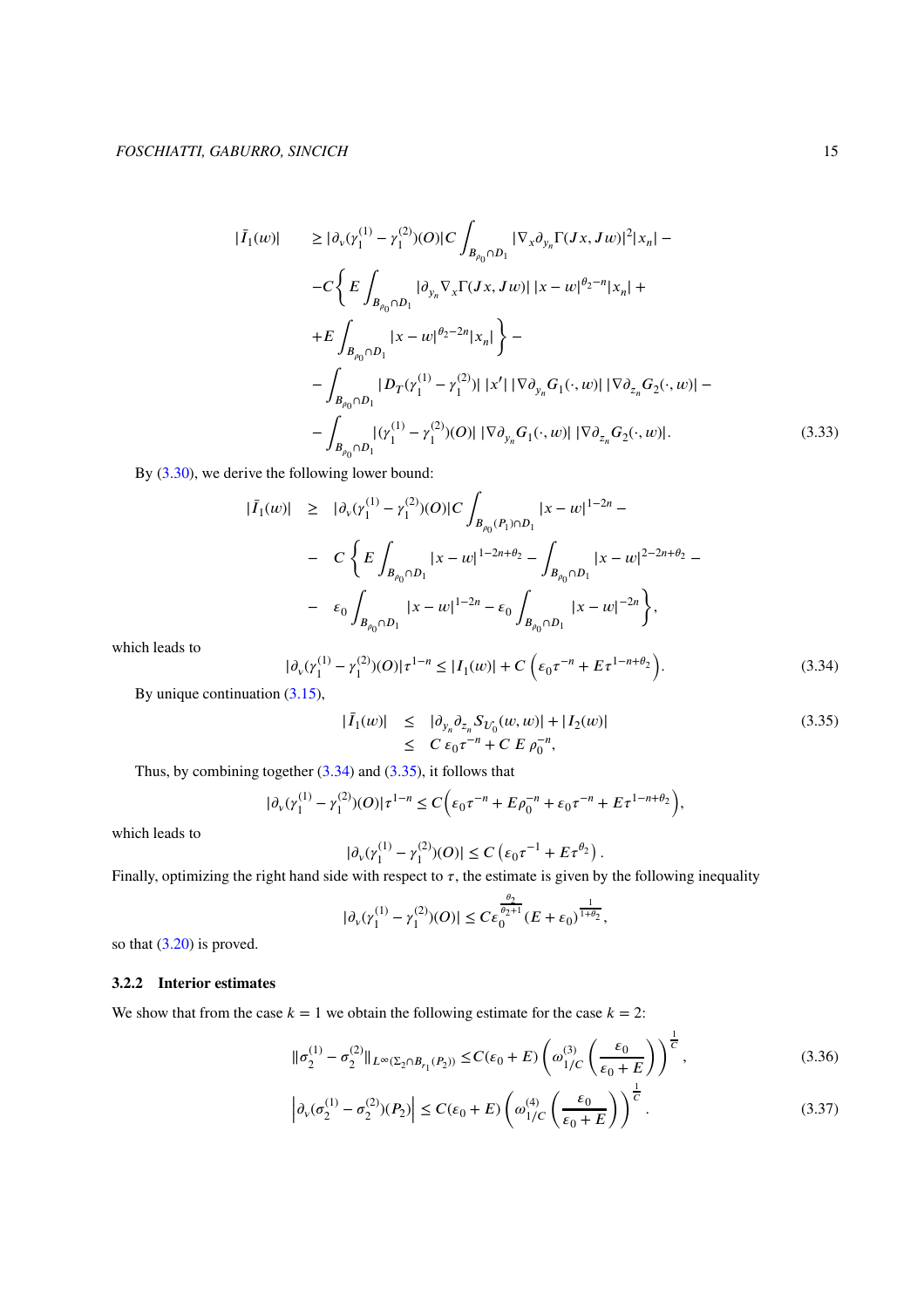$$
|\bar{I}_{1}(w)| \geq |\partial_{v}(r_{1}^{(1)} - r_{1}^{(2)})(O)|C \int_{B_{\rho_{0}} \cap D_{1}} |\nabla_{x} \partial_{y_{n}} \Gamma(Jx, Jw)|^{2}|x_{n}| -
$$
  
\n
$$
-C \Biggl\{ E \int_{B_{\rho_{0}} \cap D_{1}} |\partial_{y_{n}} \nabla_{x} \Gamma(Jx, Jw)| |x - w|^{\theta_{2} - n}|x_{n}| +
$$
  
\n
$$
+ E \int_{B_{\rho_{0}} \cap D_{1}} |x - w|^{\theta_{2} - 2n}|x_{n}| \Biggr\} -
$$
  
\n
$$
- \int_{B_{\rho_{0}} \cap D_{1}} |D_{T}(r_{1}^{(1)} - r_{1}^{(2)})| |x'| |\nabla \partial_{y_{n}} G_{1}(\cdot, w)| |\nabla \partial_{z_{n}} G_{2}(\cdot, w)| -
$$
  
\n
$$
- \int_{B_{\rho_{0}} \cap D_{1}} |(\gamma_{1}^{(1)} - \gamma_{1}^{(2)})|O|| |\nabla \partial_{y_{n}} G_{1}(\cdot, w)| |\nabla \partial_{z_{n}} G_{2}(\cdot, w)|.
$$
  
\n(3.33)

By  $(3.30)$ , we derive the following lower bound:

$$
|\bar{I}_1(w)| \geq |\partial_v(\gamma_1^{(1)} - \gamma_1^{(2)})(O)|C \int_{B_{\rho_0}(P_1) \cap D_1} |x - w|^{1 - 2n} - C \left\{ E \int_{B_{\rho_0} \cap D_1} |x - w|^{1 - 2n + \theta_2} - \int_{B_{\rho_0} \cap D_1} |x - w|^{2 - 2n + \theta_2} - \int_{B_{\rho_0} \cap D_1} |x - w|^{2 - 2n + \theta_2} \right\}
$$

which leads to

<span id="page-14-0"></span>
$$
|\partial_{\nu}(\gamma_1^{(1)} - \gamma_1^{(2)})(O)|\tau^{1-n} \le |I_1(w)| + C\left(\epsilon_0 \tau^{-n} + E\tau^{1-n+\theta_2}\right).
$$
 (3.34)

By unique continuation [\(3.15\)](#page-9-3),

<span id="page-14-1"></span>
$$
|\bar{I}_1(w)| \leq |\partial_{y_n} \partial_{z_n} S_{U_0}(w, w)| + |I_2(w)|
$$
  
 
$$
\leq C \epsilon_0 \tau^{-n} + C E \rho_0^{-n},
$$
 (3.35)

Thus, by combining together [\(3.34\)](#page-14-0) and [\(3.35\)](#page-14-1), it follows that

$$
|\partial_v(\gamma_1^{(1)} - \gamma_1^{(2)})(O)|\tau^{1-n} \le C\bigg(\varepsilon_0\tau^{-n} + E\rho_0^{-n} + \varepsilon_0\tau^{-n} + E\tau^{1-n+\theta_2}\bigg),
$$

which leads to

$$
|\partial_v(\gamma_1^{(1)} - \gamma_1^{(2)})(O)| \le C \left(\epsilon_0 \tau^{-1} + E \tau^{\theta_2}\right).
$$

Finally, optimizing the right hand side with respect to  $\tau$ , the estimate is given by the following inequality

$$
|\partial_\nu (\gamma_1^{(1)}-\gamma_1^{(2)})(O)|\leq C\varepsilon_0^{\frac{\theta_2}{\theta_2+1}}(E+\varepsilon_0)^{\frac{1}{1+\theta_2}},
$$

so that  $(3.20)$  is proved.

# **3.2.2 Interior estimates**

We show that from the case  $k = 1$  we obtain the following estimate for the case  $k = 2$ :

<span id="page-14-2"></span>
$$
\|\sigma_2^{(1)} - \sigma_2^{(2)}\|_{L^\infty(\Sigma_2 \cap B_{r_1}(P_2))} \le C(\varepsilon_0 + E) \left(\omega_{1/C}^{(3)} \left(\frac{\varepsilon_0}{\varepsilon_0 + E}\right)\right)^{\frac{1}{C}},\tag{3.36}
$$

$$
\left| \partial_{\nu} (\sigma_2^{(1)} - \sigma_2^{(2)}) (P_2) \right| \le C(\varepsilon_0 + E) \left( \omega_{1/C}^{(4)} \left( \frac{\varepsilon_0}{\varepsilon_0 + E} \right) \right)^{\frac{1}{C}}.
$$
\n(3.37)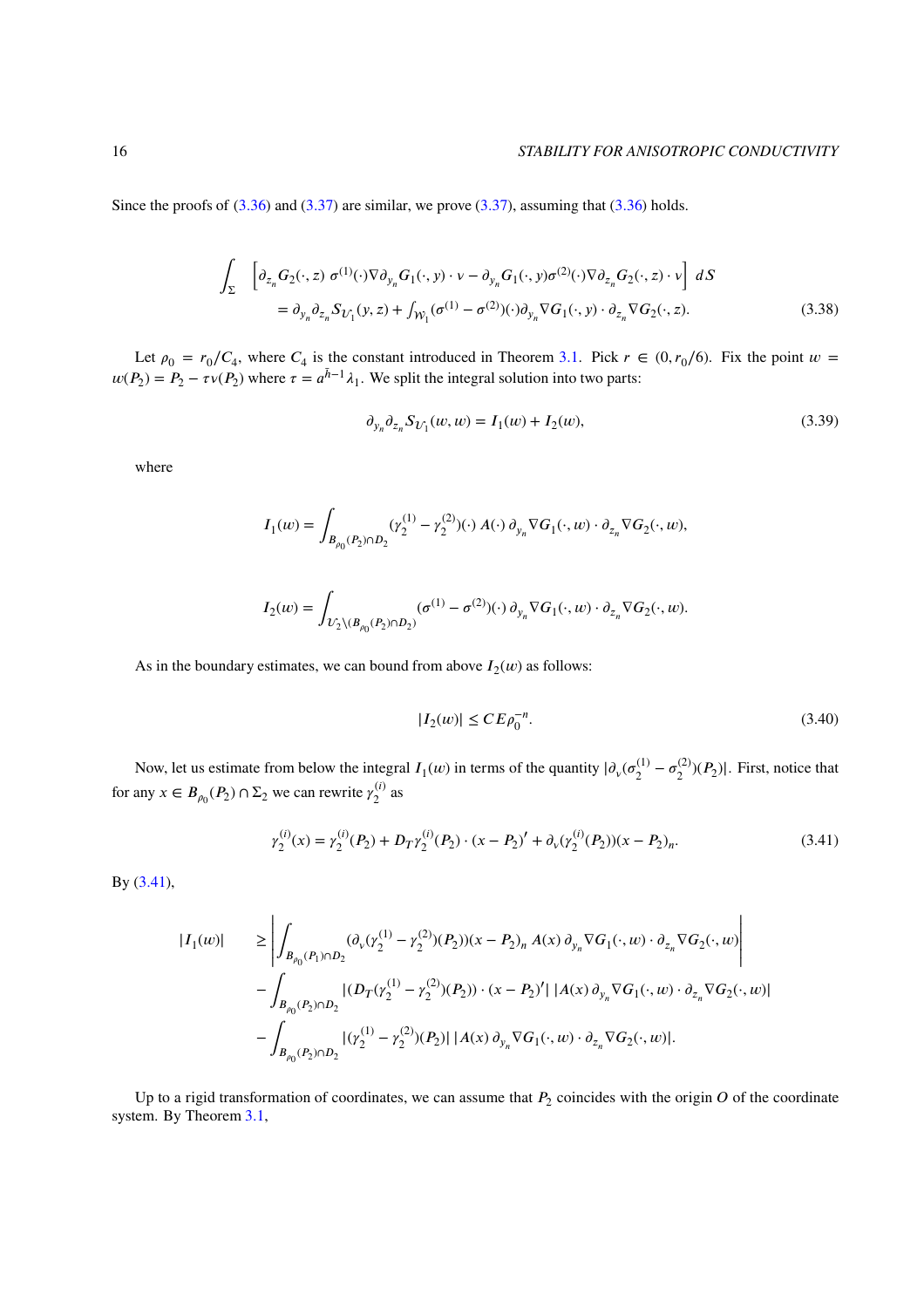Since the proofs of  $(3.36)$  and  $(3.37)$  are similar, we prove  $(3.37)$ , assuming that  $(3.36)$  holds.

$$
\int_{\Sigma} \left[ \partial_{z_n} G_2(\cdot, z) \sigma^{(1)}(\cdot) \nabla \partial_{y_n} G_1(\cdot, y) \cdot v - \partial_{y_n} G_1(\cdot, y) \sigma^{(2)}(\cdot) \nabla \partial_{z_n} G_2(\cdot, z) \cdot v \right] dS
$$
\n
$$
= \partial_{y_n} \partial_{z_n} S_{U_1}(y, z) + \int_{\mathcal{W}_1} (\sigma^{(1)} - \sigma^{(2)}) (\cdot) \partial_{y_n} \nabla G_1(\cdot, y) \cdot \partial_{z_n} \nabla G_2(\cdot, z). \tag{3.38}
$$

Let  $\rho_0 = r_0/C_4$ , where  $C_4$  is the constant introduced in Theorem [3.1.](#page-7-2) Pick  $r \in (0, r_0/6)$ . Fix the point  $w =$  $w(P_2) = P_2 - \tau v(P_2)$  where  $\tau = a^{\bar{h}-1}\lambda_1$ . We split the integral solution into two parts:

<span id="page-15-1"></span>
$$
\partial_{y_n} \partial_{z_n} S_{U_1}(w, w) = I_1(w) + I_2(w), \tag{3.39}
$$

where

$$
\begin{array}{l} \displaystyle I_1(w)=\int_{B_{\rho_0}(P_2)\cap D_2}(\gamma_2^{(1)}-\gamma_2^{(2)})(\cdot)\,A(\cdot)\,\partial_{y_n}\nabla G_1(\cdot,w)\cdot\partial_{z_n}\nabla G_2(\cdot,w),\\\\ \displaystyle I_2(w)=\int_{\mathcal{U}_2\backslash (B_{\rho_0}(P_2)\cap D_2)}(\sigma^{(1)}-\sigma^{(2)})(\cdot)\,\partial_{y_n}\nabla G_1(\cdot,w)\cdot\partial_{z_n}\nabla G_2(\cdot,w).\end{array}
$$

<span id="page-15-2"></span>As in the boundary estimates, we can bound from above  $I_2(w)$  as follows:

<span id="page-15-0"></span>
$$
|I_2(w)| \le C E \rho_0^{-n}.
$$
\n(3.40)

Now, let us estimate from below the integral  $I_1(w)$  in terms of the quantity  $|\partial_v(\sigma_2^{(1)})|$  $\sigma_2^{(1)} - \sigma_2^{(2)}$  $\binom{2}{2}$  $(P_2)$ . First, notice that for any  $x \in B_{\rho_0}(P_2) \cap \Sigma_2$  we can rewrite  $\gamma_2^{(i)}$  $\binom{l}{2}$  as

$$
\gamma_2^{(i)}(x) = \gamma_2^{(i)}(P_2) + D_T \gamma_2^{(i)}(P_2) \cdot (x - P_2)' + \partial_v(\gamma_2^{(i)}(P_2))(x - P_2)_n. \tag{3.41}
$$

By [\(3.41\)](#page-15-0),

$$
\begin{split} |I_1(w)| &\geq \left| \int_{B_{\rho_0}(P_1) \cap D_2} (\partial_v (\gamma_2^{(1)} - \gamma_2^{(2)})(P_2))(x - P_2)_n \, A(x) \, \partial_{y_n} \nabla G_1(\cdot, w) \cdot \partial_{z_n} \nabla G_2(\cdot, w) \right| \\ &- \int_{B_{\rho_0}(P_2) \cap D_2} |(D_T (\gamma_2^{(1)} - \gamma_2^{(2)})(P_2)) \cdot (x - P_2)'| \, |A(x) \, \partial_{y_n} \nabla G_1(\cdot, w) \cdot \partial_{z_n} \nabla G_2(\cdot, w)| \\ &- \int_{B_{\rho_0}(P_2) \cap D_2} |(\gamma_2^{(1)} - \gamma_2^{(2)})(P_2)| \, |A(x) \, \partial_{y_n} \nabla G_1(\cdot, w) \cdot \partial_{z_n} \nabla G_2(\cdot, w)|. \end{split}
$$

Up to a rigid transformation of coordinates, we can assume that  $P_2$  coincides with the origin  $O$  of the coordinate system. By Theorem [3.1,](#page-7-2)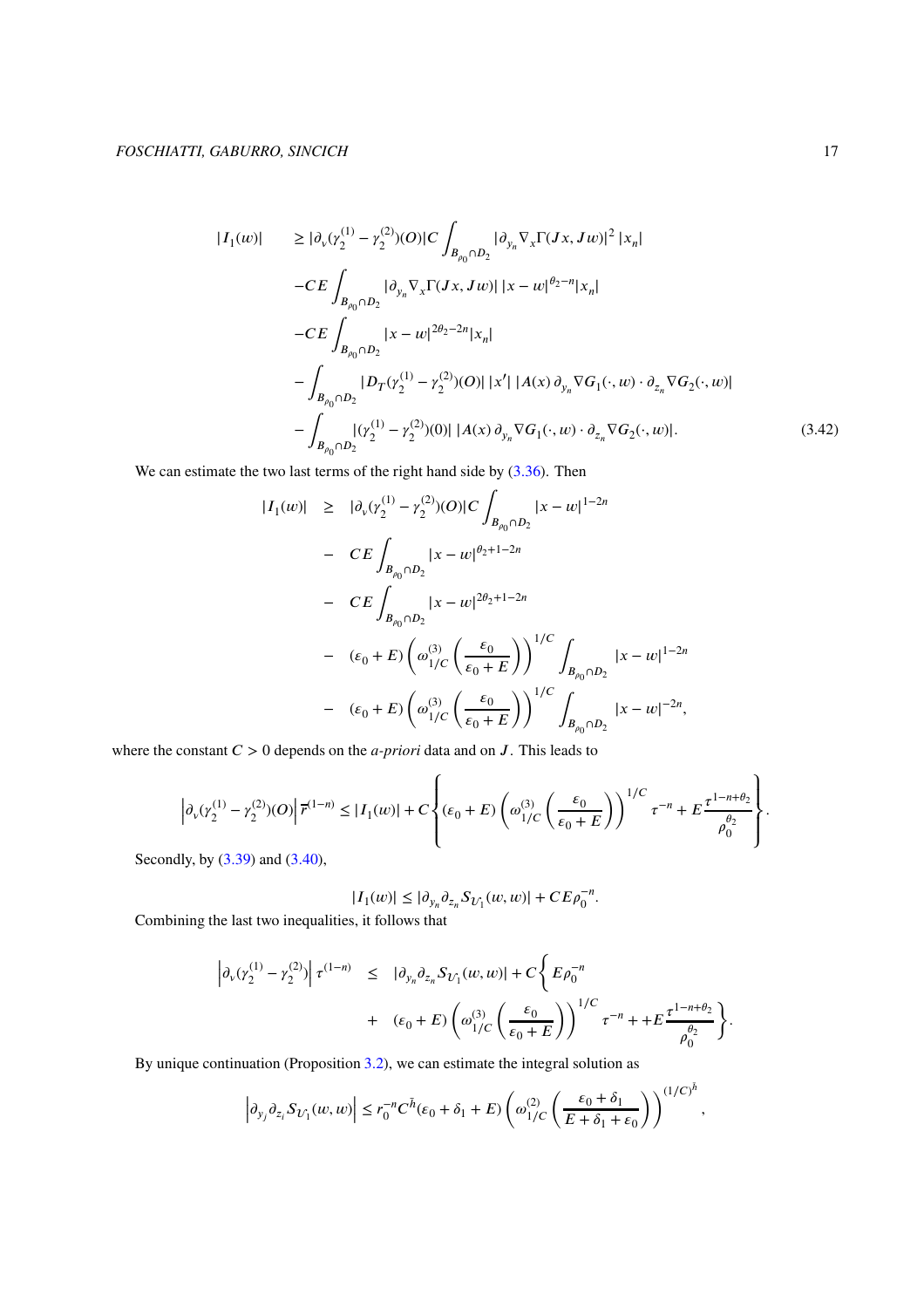$$
|I_{1}(w)| \geq |\partial_{v}(r_{2}^{(1)} - r_{2}^{(2)})(O)|C \int_{B_{\rho_{0}} \cap D_{2}} |\partial_{y_{n}} \nabla_{x} \Gamma(Jx, Jw)|^{2} |x_{n}|
$$
  
\n
$$
-CE \int_{B_{\rho_{0}} \cap D_{2}} |\partial_{y_{n}} \nabla_{x} \Gamma(Jx, Jw)| |x - w|^{\rho_{2} - n} |x_{n}|
$$
  
\n
$$
-CE \int_{B_{\rho_{0}} \cap D_{2}} |x - w|^{2\rho_{2} - 2n} |x_{n}|
$$
  
\n
$$
- \int_{B_{\rho_{0}} \cap D_{2}} |D_{T}(r_{2}^{(1)} - r_{2}^{(2)})(O)| |x'| |A(x) \partial_{y_{n}} \nabla G_{1}(\cdot, w) \cdot \partial_{z_{n}} \nabla G_{2}(\cdot, w)|
$$
  
\n
$$
- \int_{B_{\rho_{0}} \cap D_{2}} |(r_{2}^{(1)} - r_{2}^{(2)})(0)| |A(x) \partial_{y_{n}} \nabla G_{1}(\cdot, w) \cdot \partial_{z_{n}} \nabla G_{2}(\cdot, w)|.
$$
  
\n(3.42)

We can estimate the two last terms of the right hand side by  $(3.36)$ . Then

$$
|I_1(w)| \geq |\partial_v(\gamma_2^{(1)} - \gamma_2^{(2)})(O)|C \int_{B_{\rho_0} \cap D_2} |x - w|^{1-2n}
$$
  
\n
$$
- CE \int_{B_{\rho_0} \cap D_2} |x - w|^{\rho_2 + 1 - 2n}
$$
  
\n
$$
- CE \int_{B_{\rho_0} \cap D_2} |x - w|^{2\theta_2 + 1 - 2n}
$$
  
\n
$$
- (\varepsilon_0 + E) \left( \omega_{1/C}^{(3)} \left( \frac{\varepsilon_0}{\varepsilon_0 + E} \right) \right)^{1/C} \int_{B_{\rho_0} \cap D_2} |x - w|^{1-2n}
$$
  
\n
$$
- (\varepsilon_0 + E) \left( \omega_{1/C}^{(3)} \left( \frac{\varepsilon_0}{\varepsilon_0 + E} \right) \right)^{1/C} \int_{B_{\rho_0} \cap D_2} |x - w|^{-2n},
$$

where the constant  $C > 0$  depends on the *a-priori* data and on  $J$ . This leads to

$$
\left|\partial_v(\gamma_2^{(1)}-\gamma_2^{(2)})(O)\right|\overline{r}^{(1-n)}\leq |I_1(w)|+C\left\{(\varepsilon_0+E)\left(\omega_1^{(3)}\left(\frac{\varepsilon_0}{\varepsilon_0+E}\right)\right)^{1/C}\tau^{-n}+E\frac{\tau^{1-n+\theta_2}}{\rho_0^{\theta_2}}\right\}.
$$

Secondly, by [\(3.39\)](#page-15-1) and [\(3.40\)](#page-15-2),

$$
|I_1(w)|\leq |\partial_{y_n}\partial_{z_n}S_{U_1}(w,w)|+CE\rho_0^{-n}.
$$

Combining the last two inequalities, it follows that

$$
\begin{array}{lcl} \left|\partial_v(\gamma_2^{(1)}-\gamma_2^{(2)})\right|\tau^{(1-n)} & \leq & \left|\partial_{y_n}\partial_{z_n}S_{U_1}(w,w)\right|+C\left\{E\rho_0^{-n} \right. \\ & & \left. + & \left(\epsilon_0+E\right)\left(\omega_{1/C}^{(3)}\left(\frac{\epsilon_0}{\epsilon_0+E}\right)\right)^{1/C}\tau^{-n} + +E\frac{\tau^{1-n+\theta_2}}{\rho_0^{\theta_2}}\right\} . \end{array}
$$

By unique continuation (Proposition [3.2\)](#page-9-0), we can estimate the integral solution as

$$
\left|\partial_{y_j}\partial_{z_i}S_{U_1}(w,w)\right|\leq r_0^{-n}C^{\bar h}(\varepsilon_0+\delta_1+E)\left(\omega_{1/C}^{(2)}\left(\dfrac{\varepsilon_0+\delta_1}{E+\delta_1+\varepsilon_0}\right)\right)^{(1/C)^{\bar h}},
$$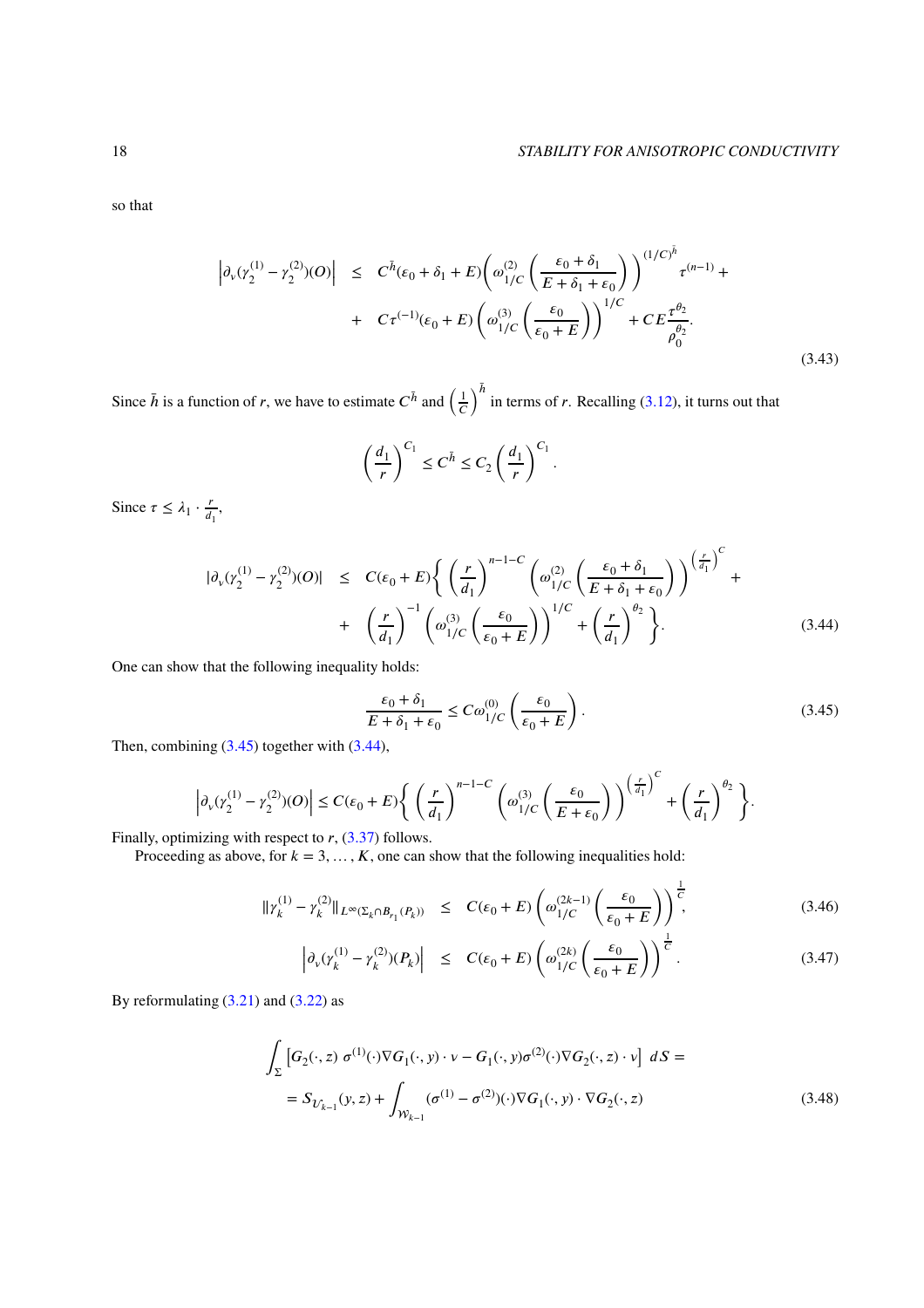so that

$$
\left| \partial_{\nu} (\gamma_2^{(1)} - \gamma_2^{(2)}) (O) \right| \leq C^{\bar{h}} (\epsilon_0 + \delta_1 + E) \left( \omega_{1/C}^{(2)} \left( \frac{\epsilon_0 + \delta_1}{E + \delta_1 + \epsilon_0} \right) \right)^{(1/C)^{\bar{h}}} \tau^{(n-1)} + C \tau^{(-1)} (\epsilon_0 + E) \left( \omega_{1/C}^{(3)} \left( \frac{\epsilon_0}{\epsilon_0 + E} \right) \right)^{1/C} + C E \frac{\tau^{\theta_2}}{\rho_0^{\theta_2}}.
$$
\n(3.43)

Since  $\bar{h}$  is a function of *r*, we have to estimate  $C^{\bar{h}}$  and  $\left(\frac{1}{C}\right)$  $\epsilon$  $\int_{0}^{\bar{h}}$  in terms of *r*. Recalling [\(3.12\)](#page-9-4), it turns out that

$$
\left(\frac{d_1}{r}\right)^{C_1} \le C^{\bar{h}} \le C_2 \left(\frac{d_1}{r}\right)^{C_1}
$$

Since  $\tau \leq \lambda_1 \cdot \frac{r}{d}$  $\frac{r}{d_1}$ ,

<span id="page-17-1"></span>
$$
|\partial_{\nu}(\gamma_2^{(1)} - \gamma_2^{(2)})(O)| \leq C(\varepsilon_0 + E) \left\{ \left(\frac{r}{d_1}\right)^{n-1-C} \left(\omega_{1/C}^{(2)} \left(\frac{\varepsilon_0 + \delta_1}{E + \delta_1 + \varepsilon_0}\right)\right)^{\left(\frac{r}{d_1}\right)^{C}} + \left(\frac{r}{d_1}\right)^{-1} \left(\omega_{1/C}^{(3)} \left(\frac{\varepsilon_0}{\varepsilon_0 + E}\right)\right)^{1/C} + \left(\frac{r}{d_1}\right)^{\theta_2} \right\}.
$$
\n(3.44)

*.*

<span id="page-17-0"></span>One can show that the following inequality holds:

$$
\frac{\varepsilon_0 + \delta_1}{E + \delta_1 + \varepsilon_0} \le C\omega_{1/C}^{(0)}\left(\frac{\varepsilon_0}{\varepsilon_0 + E}\right). \tag{3.45}
$$

Then, combining  $(3.45)$  together with  $(3.44)$ ,

$$
\left|\partial_v(\gamma_2^{(1)}-\gamma_2^{(2)})(O)\right|\leq C(\varepsilon_0+E)\left\{\left(\frac{r}{d_1}\right)^{n-1-C}\left(\omega_{1/C}^{(3)}\left(\frac{\varepsilon_0}{E+\varepsilon_0}\right)\right)^{\left(\frac{r}{d_1}\right)^{C}}+\left(\frac{r}{d_1}\right)^{\theta_2}\right\}.
$$

Finally, optimizing with respect to *r*, [\(3.37\)](#page-14-2) follows.

Proceeding as above, for  $k = 3, \ldots, K$ , one can show that the following inequalities hold:

<span id="page-17-2"></span>
$$
\|\gamma_k^{(1)} - \gamma_k^{(2)}\|_{L^\infty(\Sigma_k \cap B_{r_1}(P_k))} \leq C(\varepsilon_0 + E) \left(\omega_{1/C}^{(2k-1)}\left(\frac{\varepsilon_0}{\varepsilon_0 + E}\right)\right)^{\frac{1}{C}},\tag{3.46}
$$

$$
\left| \partial_{\nu} (\gamma_k^{(1)} - \gamma_k^{(2)}) (P_k) \right| \le C(\varepsilon_0 + E) \left( \omega_{1/C}^{(2k)} \left( \frac{\varepsilon_0}{\varepsilon_0 + E} \right) \right)^{\frac{1}{C}}.
$$
 (3.47)

By reformulating  $(3.21)$  and  $(3.22)$  as

$$
\int_{\Sigma} \left[ G_2(\cdot, z) \sigma^{(1)}(\cdot) \nabla G_1(\cdot, y) \cdot \nu - G_1(\cdot, y) \sigma^{(2)}(\cdot) \nabla G_2(\cdot, z) \cdot \nu \right] dS =
$$
\n
$$
= S_{\mathcal{U}_{k-1}}(y, z) + \int_{\mathcal{W}_{k-1}} (\sigma^{(1)} - \sigma^{(2)})(\cdot) \nabla G_1(\cdot, y) \cdot \nabla G_2(\cdot, z) \tag{3.48}
$$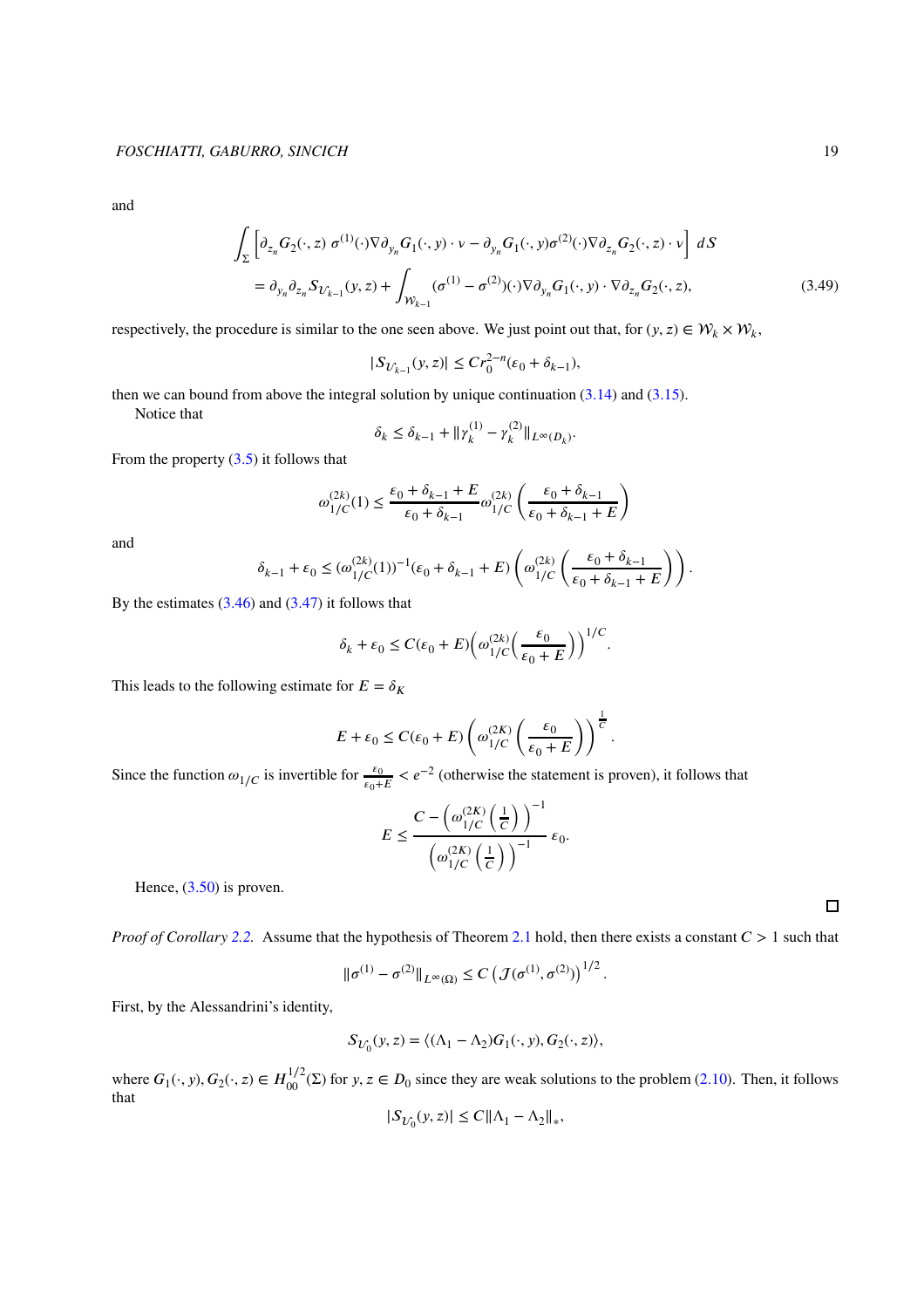and

$$
\int_{\Sigma} \left[ \partial_{z_n} G_2(\cdot, z) \, \sigma^{(1)}(\cdot) \nabla \partial_{y_n} G_1(\cdot, y) \cdot \nu - \partial_{y_n} G_1(\cdot, y) \sigma^{(2)}(\cdot) \nabla \partial_{z_n} G_2(\cdot, z) \cdot \nu \right] \, dS
$$
\n
$$
= \partial_{y_n} \partial_{z_n} S_{U_{k-1}}(y, z) + \int_{\mathcal{W}_{k-1}} (\sigma^{(1)} - \sigma^{(2)}) (\cdot) \nabla \partial_{y_n} G_1(\cdot, y) \cdot \nabla \partial_{z_n} G_2(\cdot, z), \tag{3.49}
$$

*.*

*.*

*.*

respectively, the procedure is similar to the one seen above. We just point out that, for  $(y, z) \in W_k \times W_k$ ,

$$
|S_{\mathcal{U}_{k-1}}(y,z)| \le Cr_0^{2-n}(\varepsilon_0 + \delta_{k-1}),
$$

then we can bound from above the integral solution by unique continuation  $(3.14)$  and  $(3.15)$ .

Notice that

$$
\delta_k \le \delta_{k-1} + ||\gamma_k^{(1)} - \gamma_k^{(2)}||_{L^\infty(D_k)}
$$

From the property  $(3.5)$  it follows that

$$
\omega_{1/C}^{(2k)}(1)\leq \frac{\varepsilon_0+\delta_{k-1}+E}{\varepsilon_0+\delta_{k-1}}\omega_{1/C}^{(2k)}\left(\frac{\varepsilon_0+\delta_{k-1}}{\varepsilon_0+\delta_{k-1}+E}\right)
$$

and

$$
\delta_{k-1}+\varepsilon_0\le (\omega_{1/C}^{(2k)}(1))^{-1}(\varepsilon_0+\delta_{k-1}+E)\left(\omega_{1/C}^{(2k)}\left(\frac{\varepsilon_0+\delta_{k-1}}{\varepsilon_0+\delta_{k-1}+E}\right)\right).
$$

By the estimates  $(3.46)$  and  $(3.47)$  it follows that

$$
\delta_k + \varepsilon_0 \leq C (\varepsilon_0 + E) \Big( \omega_{1/C}^{(2k)} \Big( \frac{\varepsilon_0}{\varepsilon_0 + E} \Big) \Big)^{1/C}
$$

This leads to the following estimate for  $E = \delta_K$ 

$$
E + \varepsilon_0 \le C(\varepsilon_0 + E) \left( \omega_{1/C}^{(2K)} \left( \frac{\varepsilon_0}{\varepsilon_0 + E} \right) \right)^{\frac{1}{C}}
$$

Since the function  $\omega_{1/C}$  is invertible for  $\frac{\varepsilon_0}{\varepsilon_0+E} < e^{-2}$  (otherwise the statement is proven), it follows that

$$
E \le \frac{C - \left(\omega_{1/C}^{(2K)}\left(\frac{1}{C}\right)\right)^{-1}}{\left(\omega_{1/C}^{(2K)}\left(\frac{1}{C}\right)\right)^{-1}} \varepsilon_0.
$$

Hence,  $(3.50)$  is proven.

*Proof of Corollary [2.2.](#page-7-0)* Assume that the hypothesis of Theorem [2.1](#page-6-1) hold, then there exists a constant  $C > 1$  such that

$$
\|\sigma^{(1)} - \sigma^{(2)}\|_{L^{\infty}(\Omega)} \leq C \left( \mathcal{J}(\sigma^{(1)}, \sigma^{(2)}) \right)^{1/2}.
$$

First, by the Alessandrini's identity,

$$
S_{U_0}(y, z) = \langle (\Lambda_1 - \Lambda_2) G_1(\cdot, y), G_2(\cdot, z) \rangle,
$$

where  $G_1(\cdot, y)$ ,  $G_2(\cdot, z) \in H_{00}^{1/2}(\Sigma)$  for  $y, z \in D_0$  since they are weak solutions to the problem [\(2.10\)](#page-6-2). Then, it follows that

$$
|S_{U_0}(y,z)|\leq C\|\Lambda_1-\Lambda_2\|_*,
$$

 $\Box$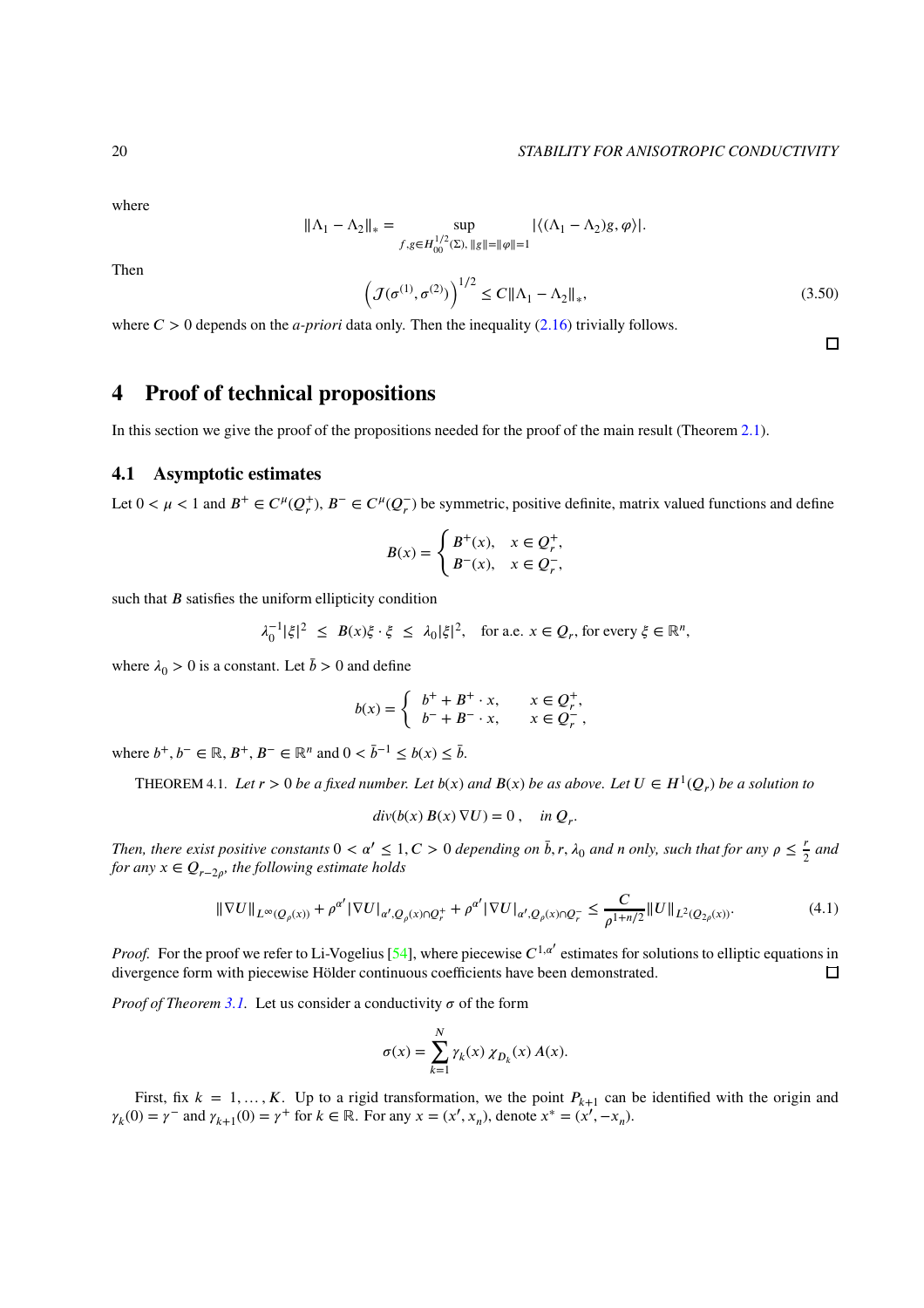$\Box$ 

where

$$
\|\Lambda_1-\Lambda_2\|_*=\sup_{f,g\in H^{1/2}_{00}(\Sigma),\,\|g\|=\|\varphi\|=1}|\langle(\Lambda_1-\Lambda_2)g,\varphi\rangle|.
$$

<span id="page-19-1"></span>Then

$$
\left(\mathcal{J}(\sigma^{(1)}, \sigma^{(2)})\right)^{1/2} \le C \|\Lambda_1 - \Lambda_2\|_*,\tag{3.50}
$$

where  $C > 0$  depends on the *a-priori* data only. Then the inequality [\(2.16\)](#page-7-6) trivially follows.

# <span id="page-19-0"></span>**4 Proof of technical propositions**

In this section we give the proof of the propositions needed for the proof of the main result (Theorem [2.1\)](#page-6-1).

## **4.1 Asymptotic estimates**

Let  $0 < \mu < 1$  and  $B^+ \in C^{\mu}(Q_r^+)$ ,  $B^- \in C^{\mu}(Q_r^-)$  be symmetric, positive definite, matrix valued functions and define

$$
B(x)=\begin{cases} B^+(x), & x\in Q^+_r,\\ B^-(x), & x\in Q^-_r,\end{cases}
$$

such that *B* satisfies the uniform ellipticity condition

$$
\lambda_0^{-1}|\xi|^2 \leq B(x)\xi \cdot \xi \leq \lambda_0|\xi|^2, \text{ for a.e. } x \in Q_r \text{, for every } \xi \in \mathbb{R}^n,
$$

where  $\lambda_0 > 0$  is a constant. Let  $\bar{b} > 0$  and define

$$
b(x) = \begin{cases} b^+ + B^+ \cdot x, & x \in Q_r^+, \\ b^- + B^- \cdot x, & x \in Q_r^-, \end{cases}
$$

where  $b^+, b^- \in \mathbb{R}, B^+, B^- \in \mathbb{R}^n$  and  $0 < \bar{b}^{-1} \leq b(x) \leq \bar{b}$ .

<span id="page-19-2"></span>THEOREM 4.1. Let  $r > 0$  be a fixed number. Let  $b(x)$  and  $B(x)$  be as above. Let  $U \in H^1(Q_r)$  be a solution to

$$
div(b(x) B(x) \nabla U) = 0 , \quad in \ Q_r.
$$

*Then, there exist positive constants*  $0 < \alpha' \leq 1, C > 0$  *depending on*  $\bar{b}$ ,  $r$ ,  $\lambda_0$  *and n only, such that for any*  $\rho \leq \frac{r}{2}$  $rac{r}{2}$  and *for any*  $x \in Q_{r-2\rho}$ , the following estimate holds

$$
\|\nabla U\|_{L^{\infty}(Q_{\rho}(x))} + \rho^{\alpha'} |\nabla U|_{\alpha',Q_{\rho}(x)\cap Q_{r}^{+}} + \rho^{\alpha'} |\nabla U|_{\alpha',Q_{\rho}(x)\cap Q_{r}^{-}} \leq \frac{C}{\rho^{1+n/2}} \|U\|_{L^{2}(Q_{2\rho}(x))}.
$$
\n(4.1)

*Proof.* For the proof we refer to Li-Vogelius [\[54\]](#page-29-15), where piecewise  $C^{1,\alpha'}$  estimates for solutions to elliptic equations in divergence form with piecewise Hölder continuous coefficients have been demonstrated.  $\Box$ 

*Proof of Theorem [3.1.](#page-7-2)* Let us consider a conductivity  $\sigma$  of the form

$$
\sigma(x) = \sum_{k=1}^{N} \gamma_k(x) \,\chi_{D_k}(x) \, A(x).
$$

First, fix  $k = 1, \ldots, K$ . Up to a rigid transformation, we the point  $P_{k+1}$  can be identified with the origin and  $\gamma_k(0) = \gamma^-$  and  $\gamma_{k+1}(0) = \gamma^+$  for  $k \in \mathbb{R}$ . For any  $x = (x', x_n)$ , denote  $x^* = (x', -x_n)$ .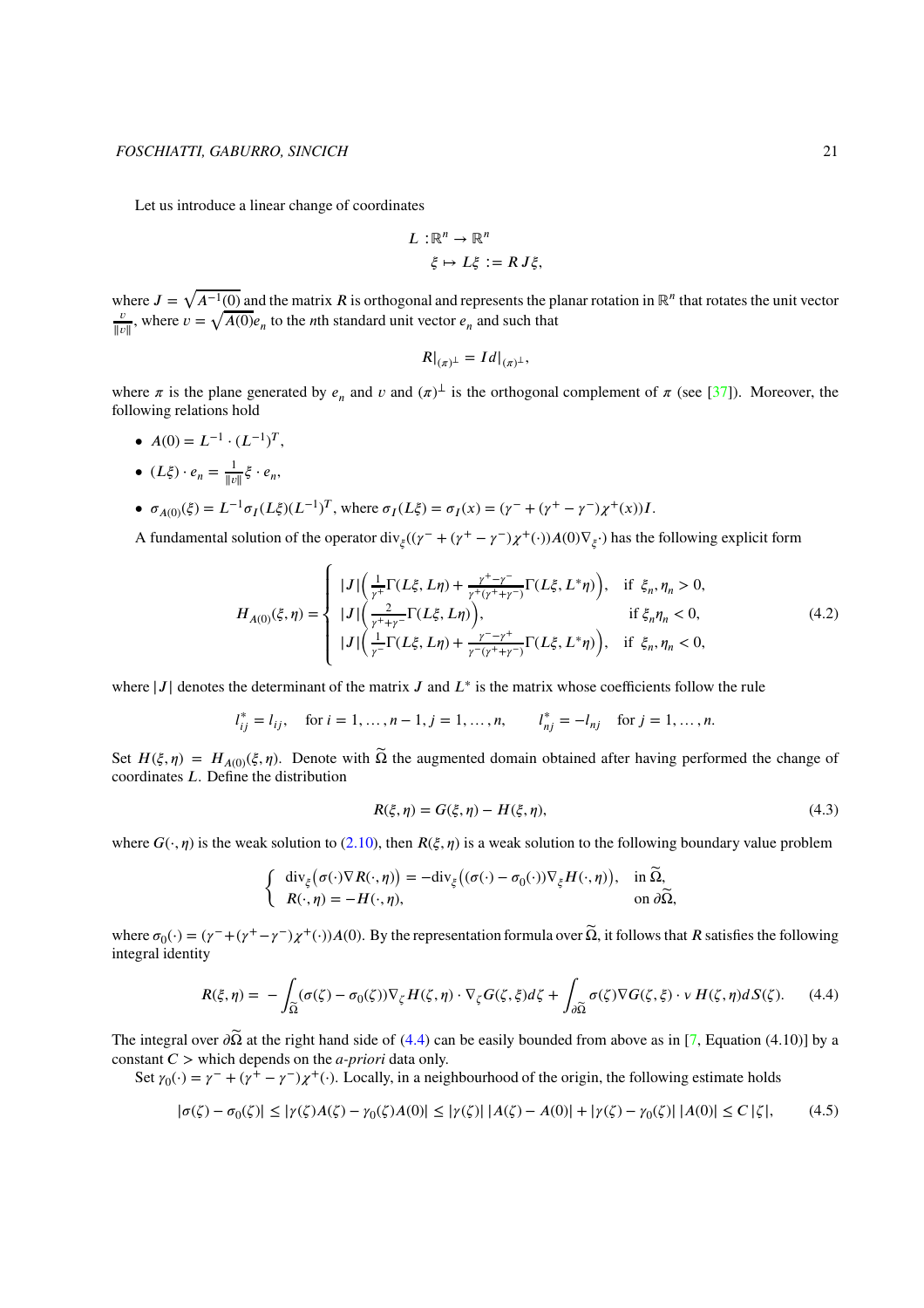Let us introduce a linear change of coordinates

$$
L: \mathbb{R}^n \to \mathbb{R}^n
$$
  

$$
\xi \mapsto L\xi := R J\xi,
$$

where  $J = \sqrt{A^{-1}(0)}$  and the matrix *R* is orthogonal and represents the planar rotation in ℝ<sup>*n*</sup> that rotates the unit vector *𝑣*  $\frac{v}{\|v\|}$ , where  $v = \sqrt{A(0)}e_n$  to the *n*th standard unit vector  $e_n$  and such that

$$
R|_{(\pi)^{\perp}} = Id|_{(\pi)^{\perp}},
$$

where  $\pi$  is the plane generated by  $e_n$  and  $\nu$  and  $(\pi)^{\perp}$  is the orthogonal complement of  $\pi$  (see [\[37\]](#page-28-7)). Moreover, the following relations hold

- $A(0) = L^{-1} \cdot (L^{-1})^T$ ,
- $(L\xi) \cdot e_n = \frac{1}{\ln n}$  $\frac{1}{\|v\|} \xi \cdot e_n$
- $\sigma_{A(0)}(\xi) = L^{-1} \sigma_I (L\xi) (L^{-1})^T$ , where  $\sigma_I (L\xi) = \sigma_I (x) = (\gamma^- + (\gamma^+ \gamma^-) \chi^+ (x)) I$ .

A fundamental solution of the operator div<sub> $\xi$ </sub>( $(\gamma^+ + (\gamma^+ - \gamma^-)\chi^+(\cdot))A(0)\nabla_{\xi}$ .) has the following explicit form

$$
H_{A(0)}(\xi,\eta) = \begin{cases} |J| \left( \frac{1}{\gamma^{+}} \Gamma(L\xi, L\eta) + \frac{\gamma^{+} - \gamma^{-}}{\gamma^{+} (\gamma^{+} + \gamma^{-})} \Gamma(L\xi, L^{*}\eta) \right), & \text{if } \xi_{n}, \eta_{n} > 0, \\ |J| \left( \frac{2}{\gamma^{+} + \gamma^{-}} \Gamma(L\xi, L\eta) \right), & \text{if } \xi_{n}\eta_{n} < 0, \\ |J| \left( \frac{1}{\gamma^{-}} \Gamma(L\xi, L\eta) + \frac{\gamma^{-} - \gamma^{+}}{\gamma^{-} (\gamma^{+} + \gamma^{-})} \Gamma(L\xi, L^{*}\eta) \right), & \text{if } \xi_{n}, \eta_{n} < 0, \end{cases}
$$
(4.2)

where  $|J|$  denotes the determinant of the matrix *J* and  $L^*$  is the matrix whose coefficients follow the rule

$$
l_{ij}^* = l_{ij}
$$
, for  $i = 1, ..., n - 1$ ,  $j = 1, ..., n$ ,  $l_{nj}^* = -l_{nj}$  for  $j = 1, ..., n$ .

Set  $H(\xi, \eta) = H_{A(0)}(\xi, \eta)$ . Denote with  $\tilde{\Omega}$  the augmented domain obtained after having performed the change of coordinates *L*. Define the distribution

<span id="page-20-2"></span><span id="page-20-1"></span>
$$
R(\xi, \eta) = G(\xi, \eta) - H(\xi, \eta),\tag{4.3}
$$

where  $G(\cdot, \eta)$  is the weak solution to [\(2.10\)](#page-6-2), then  $R(\xi, \eta)$  is a weak solution to the following boundary value problem

$$
\begin{cases} \operatorname{div}_{\xi}(\sigma(\cdot)\nabla R(\cdot,\eta)) = -\operatorname{div}_{\xi}((\sigma(\cdot)-\sigma_0(\cdot))\nabla_{\xi}H(\cdot,\eta)), & \text{in } \widetilde{\Omega}, \\ R(\cdot,\eta) = -H(\cdot,\eta), & \text{on } \partial\widetilde{\Omega}, \end{cases}
$$

where  $\sigma_0(\cdot) = (\gamma^- + (\gamma^+ - \gamma^-)\chi^+(\cdot))A(0)$ . By the representation formula over  $\tilde{\Omega}$ , it follows that *R* satisfies the following integral identity

<span id="page-20-0"></span>
$$
R(\xi,\eta) = -\int_{\widetilde{\Omega}} (\sigma(\zeta) - \sigma_0(\zeta)) \nabla_{\zeta} H(\zeta,\eta) \cdot \nabla_{\zeta} G(\zeta,\xi) d\zeta + \int_{\partial \widetilde{\Omega}} \sigma(\zeta) \nabla G(\zeta,\xi) \cdot \nu H(\zeta,\eta) dS(\zeta). \tag{4.4}
$$

The integral over  $\partial \tilde{\Omega}$  at the right hand side of [\(4.4\)](#page-20-0) can be easily bounded from above as in [\[7,](#page-27-5) Equation (4.10)] by a constant  $C$  > which depends on the *a-priori* data only.

Set  $\gamma_0(\cdot) = \gamma^- + (\gamma^+ - \gamma^-) \chi^+(\cdot)$ . Locally, in a neighbourhood of the origin, the following estimate holds

$$
|\sigma(\zeta) - \sigma_0(\zeta)| \le |\gamma(\zeta)A(\zeta) - \gamma_0(\zeta)A(0)| \le |\gamma(\zeta)| |A(\zeta) - A(0)| + |\gamma(\zeta) - \gamma_0(\zeta)| |A(0)| \le C |\zeta|,
$$
 (4.5)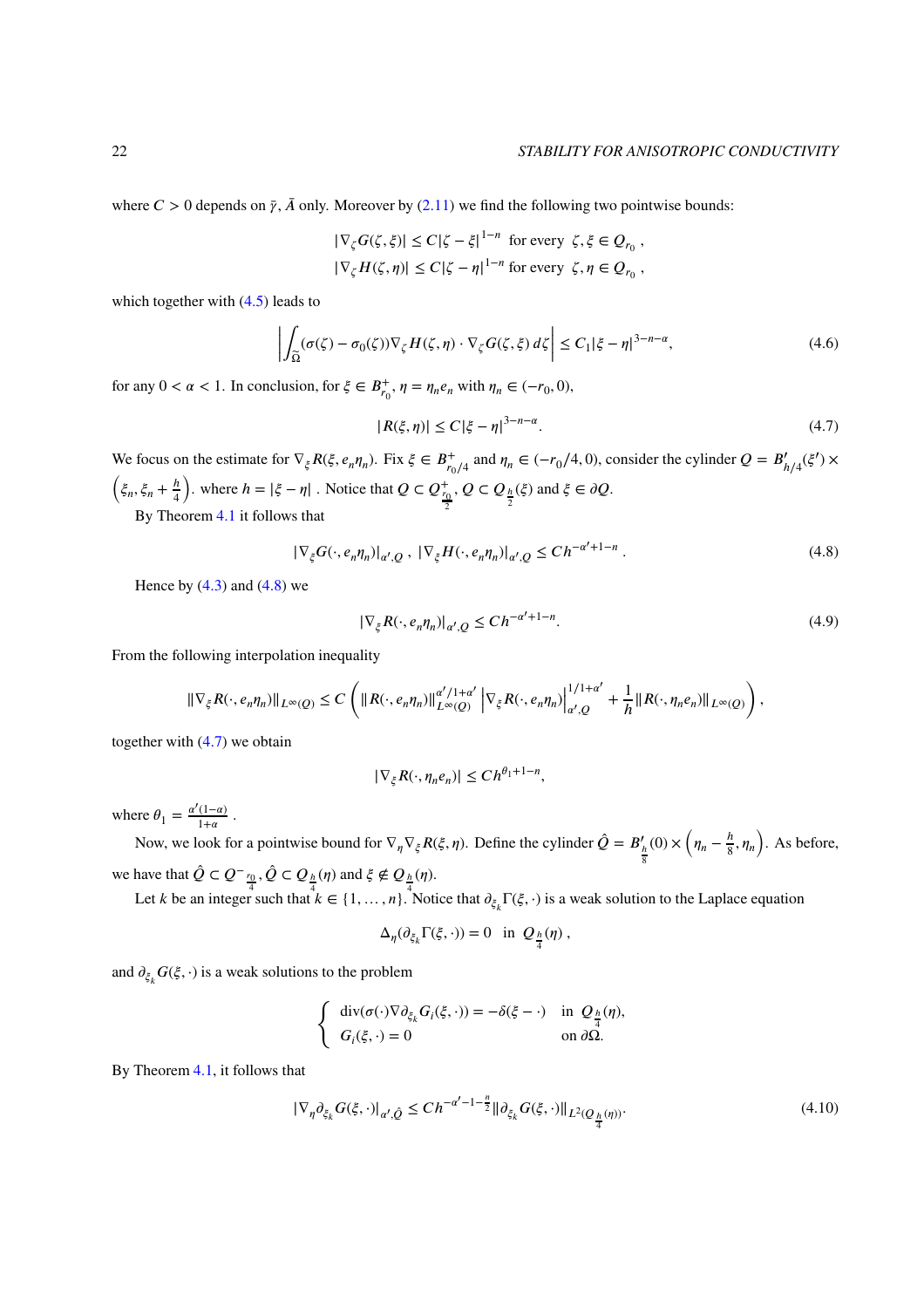where  $C > 0$  depends on  $\bar{\gamma}$ ,  $\bar{A}$  only. Moreover by [\(2.11\)](#page-6-3) we find the following two pointwise bounds:

$$
|\nabla_{\zeta} G(\zeta, \xi)| \le C|\zeta - \xi|^{1-n} \text{ for every } \zeta, \xi \in Q_{r_0},
$$
  

$$
|\nabla_{\zeta} H(\zeta, \eta)| \le C|\zeta - \eta|^{1-n} \text{ for every } \zeta, \eta \in Q_{r_0},
$$

which together with  $(4.5)$  leads to

$$
\left| \int_{\widetilde{\Omega}} (\sigma(\zeta) - \sigma_0(\zeta)) \nabla_{\zeta} H(\zeta, \eta) \cdot \nabla_{\zeta} G(\zeta, \xi) d\zeta \right| \le C_1 |\xi - \eta|^{3 - n - \alpha}, \tag{4.6}
$$

for any  $0 < \alpha < 1$ . In conclusion, for  $\xi \in B^+_{r_0}$ ,  $\eta = \eta_n e_n$  with  $\eta_n \in (-r_0, 0)$ ,

<span id="page-21-1"></span>
$$
|R(\xi,\eta)| \le C|\xi-\eta|^{3-n-\alpha}.\tag{4.7}
$$

We focus on the estimate for  $\nabla_{\xi} R(\xi, e_n \eta_n)$ . Fix  $\xi \in B^+_{r_0/4}$  and  $\eta_n \in (-r_0/4, 0)$ , consider the cylinder  $Q = B'_{h/4}(\xi') \times$  $\left(\xi_n,\xi_n+\frac{h}{4}\right)$ 4 ). where  $h = |\xi - \eta|$ . Notice that  $Q \subset Q_{\frac{r_0}{2}}^+$  $Q \subset Q_{\frac{h}{2}}(\xi)$  and  $\xi \in \partial Q$ .

By Theorem [4.1](#page-19-2) it follows that

<span id="page-21-0"></span>
$$
|\nabla_{\xi}G(\cdot, e_n \eta_n)|_{\alpha', Q}, \ |\nabla_{\xi}H(\cdot, e_n \eta_n)|_{\alpha', Q} \le Ch^{-\alpha'+1-n}.
$$
\n(4.8)

Hence by  $(4.3)$  and  $(4.8)$  we

$$
|\nabla_{\xi}R(\cdot, e_n \eta_n)|_{\alpha', Q} \le Ch^{-\alpha'+1-n}.\tag{4.9}
$$

From the following interpolation inequality

$$
\|\nabla_{\xi}R(\cdot,e_n\eta_n)\|_{L^{\infty}(Q)}\leq C\left(\|R(\cdot,e_n\eta_n)\|_{L^{\infty}(Q)}^{ \alpha'/1+\alpha'}\left|\nabla_{\xi}R(\cdot,e_n\eta_n)\right|^{{1}/{1+\alpha'}}_{\alpha',Q}+\frac{1}{h}\|R(\cdot,\eta_ne_n)\|_{L^{\infty}(Q)}\right),
$$

together with [\(4.7\)](#page-21-1) we obtain

$$
|\nabla_{\xi}R(\cdot,\eta_ne_n)|\leq Ch^{\theta_1+1-n},
$$

where  $\theta_1 = \frac{\alpha'(1-\alpha)}{1+\alpha}$  $\frac{(1-\alpha)}{1+\alpha}$ .

Now, we look for a pointwise bound for  $\nabla_{\eta} \nabla_{\xi} R(\xi, \eta)$ . Define the cylinder  $\hat{Q} = B'_{\frac{h}{8}}$  $(0) \times \left(\eta_n - \frac{h}{8}\right)$  $\left(\frac{h}{8}, \eta_n\right)$ . As before, we have that  $\hat{Q} \subset Q^-_{\frac{r_0}{4}}, \hat{Q} \subset Q_{\frac{h}{4}}(\eta)$  and  $\xi \notin Q_{\frac{h}{4}}(\eta)$ .

Let *k* be an integer such that  $k \in \{1, ..., n\}$ . Notice that  $\partial_{\xi_k} \Gamma(\xi, \cdot)$  is a weak solution to the Laplace equation

$$
\Delta_{\eta}(\partial_{\xi_k}\Gamma(\xi,\cdot))=0 \text{ in } Q_{\frac{h}{4}}(\eta),
$$

and  $\partial_{\xi_k} G(\xi, \cdot)$  is a weak solutions to the problem

$$
\begin{cases}\n\operatorname{div}(\sigma(\cdot)\nabla\partial_{\xi_k}G_i(\xi,\cdot)) = -\delta(\xi-\cdot) & \text{in } \mathcal{Q}_{\frac{h}{4}}(\eta), \\
G_i(\xi,\cdot) = 0 & \text{on } \partial\Omega.\n\end{cases}
$$

By Theorem [4.1,](#page-19-2) it follows that

<span id="page-21-2"></span>
$$
|\nabla_{\eta} \partial_{\xi_k} G(\xi, \cdot)|_{\alpha', \hat{Q}} \le C h^{-\alpha'-1-\frac{n}{2}} ||\partial_{\xi_k} G(\xi, \cdot)||_{L^2(Q_{\frac{h}{4}}(\eta))}.
$$
\n(4.10)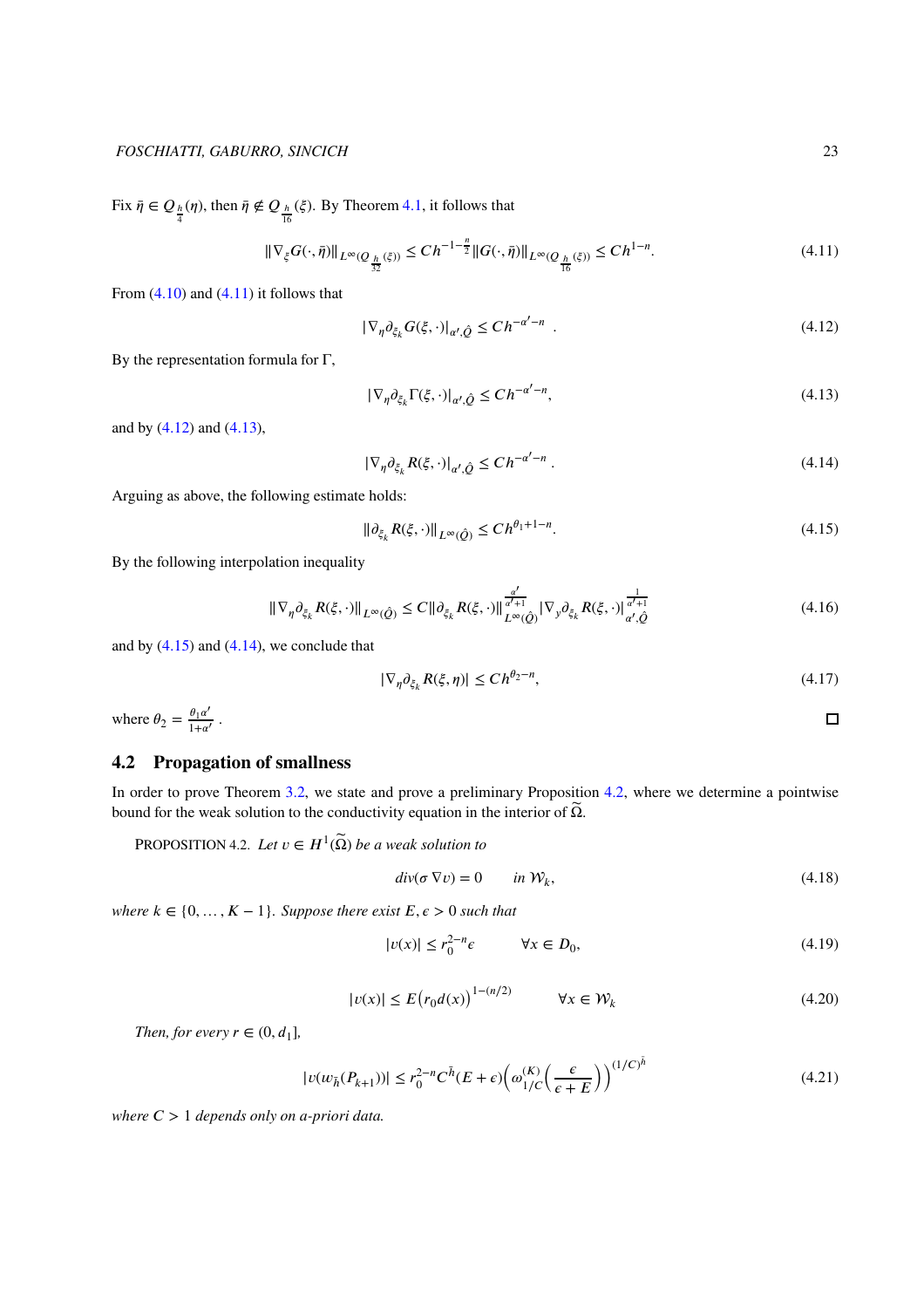Fix  $\bar{\eta} \in Q_{\frac{h}{4}}(\eta)$ , then  $\bar{\eta} \notin Q_{\frac{h}{16}}(\xi)$ . By Theorem [4.1,](#page-19-2) it follows that

<span id="page-22-1"></span> $\vert$ 

<span id="page-22-0"></span>
$$
\|\nabla_{\xi} G(\cdot, \bar{\eta})\|_{L^{\infty}(Q_{\frac{h}{32}}(\xi))} \le Ch^{-1-\frac{n}{2}} \|G(\cdot, \bar{\eta})\|_{L^{\infty}(Q_{\frac{h}{16}}(\xi))} \le Ch^{1-n}.
$$
\n(4.11)

From  $(4.10)$  and  $(4.11)$  it follows that

$$
\nabla_{\eta} \partial_{\xi_k} G(\xi, \cdot)|_{\alpha', \hat{Q}} \le Ch^{-\alpha'-n} \tag{4.12}
$$

By the representation formula for  $\Gamma$ ,

<span id="page-22-2"></span>
$$
|\nabla_{\eta} \partial_{\xi_k} \Gamma(\xi, \cdot)|_{\alpha', \hat{Q}} \le Ch^{-\alpha'-n},\tag{4.13}
$$

and by [\(4.12\)](#page-22-1) and [\(4.13\)](#page-22-2),

<span id="page-22-4"></span>
$$
|\nabla_{\eta} \partial_{\xi_k} R(\xi, \cdot)|_{\alpha', \hat{Q}} \le Ch^{-\alpha'-n} \tag{4.14}
$$

Arguing as above, the following estimate holds:

<span id="page-22-3"></span>
$$
\|\partial_{\xi_k} R(\xi, \cdot)\|_{L^\infty(\hat{Q})} \le C h^{\theta_1 + 1 - n}.\tag{4.15}
$$

By the following interpolation inequality

$$
\|\nabla_{\eta}\partial_{\xi_k}R(\xi,\cdot)\|_{L^{\infty}(\hat{Q})} \leq C\|\partial_{\xi_k}R(\xi,\cdot)\|_{L^{\infty}(\hat{Q})}^{\frac{\alpha'}{a'+1}}|\nabla_{y}\partial_{\xi_k}R(\xi,\cdot)\|_{\alpha',\hat{Q}}^{\frac{1}{\alpha'+1}}\tag{4.16}
$$

and by  $(4.15)$  and  $(4.14)$ , we conclude that

$$
|\nabla_{\eta} \partial_{\xi_k} R(\xi, \eta)| \le Ch^{\theta_2 - n},\tag{4.17}
$$

where  $\theta_2 = \frac{\theta_1 \alpha'}{1 + \alpha'}$  $\frac{\theta_1\alpha}{1+\alpha'}$ .

# **4.2 Propagation of smallness**

In order to prove Theorem [3.2,](#page-9-0) we state and prove a preliminary Proposition [4.2,](#page-22-5) where we determine a pointwise bound for the weak solution to the conductivity equation in the interior of  $\widetilde{\Omega}$ .

<span id="page-22-5"></span>PROPOSITION 4.2. *Let*  $v \in H^1(\widetilde{\Omega})$  *be a weak solution to* 

<span id="page-22-8"></span>
$$
div(\sigma \nabla v) = 0 \qquad in \mathcal{W}_k,
$$
\n(4.18)

*where*  $k \in \{0, ..., K-1\}$ *. Suppose there exist*  $E, \epsilon > 0$  *such that* 

<span id="page-22-7"></span>
$$
|v(x)| \le r_0^{2-n} \epsilon \qquad \forall x \in D_0,\tag{4.19}
$$

<span id="page-22-6"></span>
$$
|v(x)| \le E(r_0 d(x))^{1-(n/2)} \qquad \forall x \in \mathcal{W}_k
$$
\n(4.20)

*Then, for every*  $r \in (0, d_1]$ ,

$$
|\nu(w_{\bar{h}}(P_{k+1}))| \le r_0^{2-n} C^{\bar{h}}(E+\epsilon) \left(\omega_{1/C}^{(K)}\left(\frac{\epsilon}{\epsilon+E}\right)\right)^{(1/C)^{\bar{h}}} \tag{4.21}
$$

*where*  $C > 1$  *depends only on a-priori data.* 

 $\Box$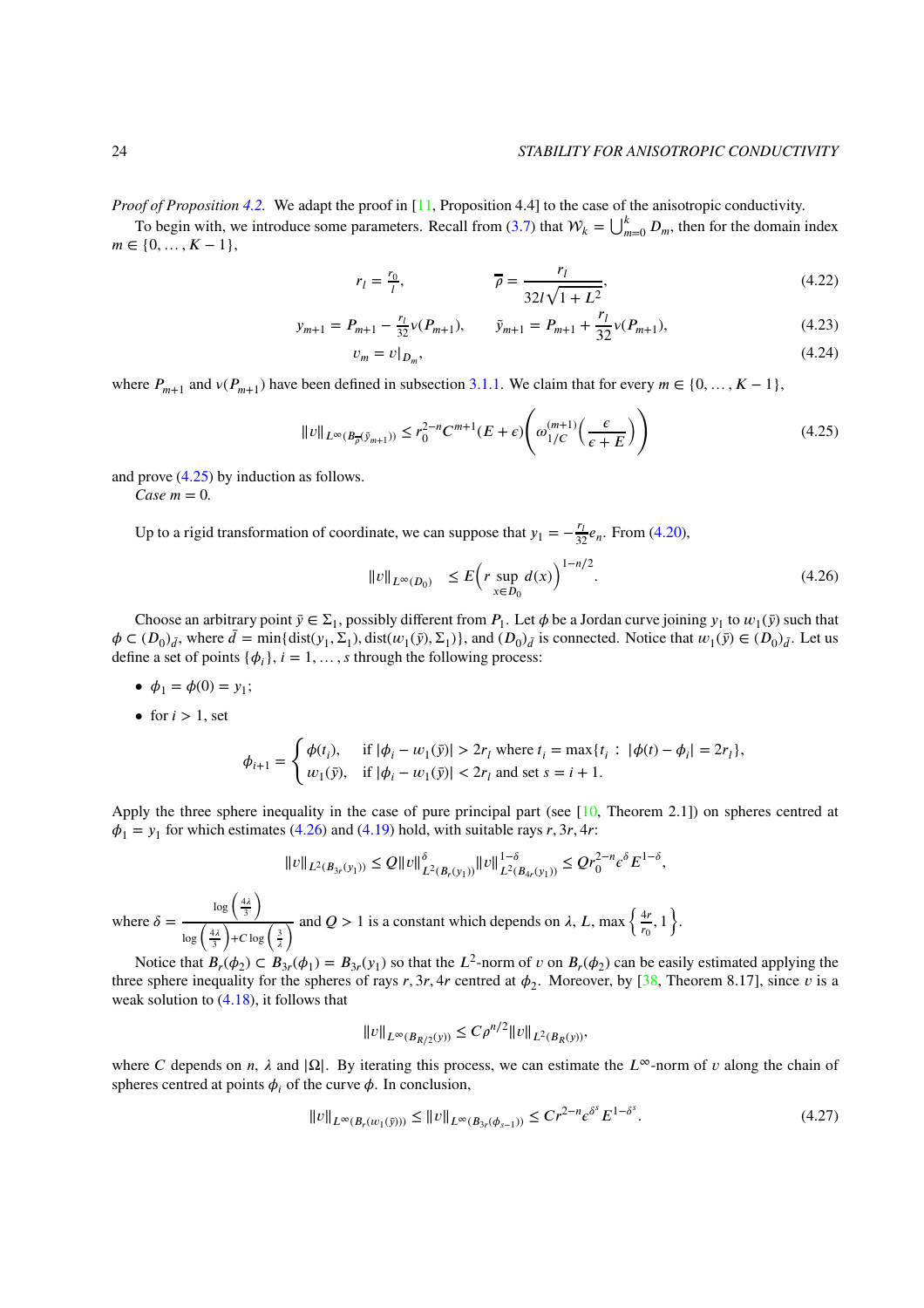*Proof of Proposition [4.2.](#page-22-5)* We adapt the proof in [\[11,](#page-27-0) Proposition 4.4] to the case of the anisotropic conductivity.

To begin with, we introduce some parameters. Recall from [\(3.7\)](#page-8-2) that  $W_k = \bigcup_{m=0}^k D_m$ , then for the domain index  $m \in \{0, \ldots, K-1\},\$ 

$$
r_l = \frac{r_0}{l}, \qquad \qquad \overline{\rho} = \frac{r_l}{32l\sqrt{1 + L^2}}, \qquad (4.22)
$$

$$
y_{m+1} = P_{m+1} - \frac{r_1}{32} \nu(P_{m+1}), \qquad \tilde{y}_{m+1} = P_{m+1} + \frac{r_1}{32} \nu(P_{m+1}), \tag{4.23}
$$

<span id="page-23-0"></span>
$$
v_m = v|_{D_m},\tag{4.24}
$$

where  $P_{m+1}$  and  $v(P_{m+1})$  have been defined in subsection [3.1.1.](#page-7-7) We claim that for every  $m \in \{0, ..., K-1\}$ ,

$$
||v||_{L^{\infty}(B_{\overline{\rho}}(\tilde{y}_{m+1}))} \le r_0^{2-n} C^{m+1}(E+\epsilon) \left(\omega_{1/C}^{(m+1)}\left(\frac{\epsilon}{\epsilon+E}\right)\right)
$$
(4.25)

and prove [\(4.25\)](#page-23-0) by induction as follows.

 $Case \, m = 0.$ 

Up to a rigid transformation of coordinate, we can suppose that  $y_1 = -\frac{r_l}{32} e_n$ . From [\(4.20\)](#page-22-6),

<span id="page-23-1"></span>
$$
||v||_{L^{\infty}(D_0)} \le E\Big(r \sup_{x \in D_0} d(x)\Big)^{1 - n/2}.
$$
\n(4.26)

Choose an arbitrary point  $\bar{y} \in \Sigma_1$ , possibly different from  $P_1$ . Let  $\phi$  be a Jordan curve joining  $y_1$  to  $w_1(\bar{y})$  such that  $\phi \in (D_0)_{\bar{d}}$ , where  $\bar{d} = \min\{\text{dist}(y_1, \Sigma_1), \text{dist}(w_1(\bar{y}), \Sigma_1)\}\$ , and  $(D_0)_{\bar{d}}$  is connected. Notice that  $w_1(\bar{y}) \in (D_0)_{\bar{d}}\$ . Let us define a set of points  $\{\phi_i\}$ ,  $i = 1, \ldots, s$  through the following process:

- $\phi_1 = \phi(0) = y_1;$
- for  $i > 1$ , set

$$
\phi_{i+1} = \begin{cases} \phi(t_i), & \text{if } |\phi_i - w_1(\bar{y})| > 2r_l \text{ where } t_i = \max\{t_i : |\phi(t) - \phi_i| = 2r_l\}, \\ w_1(\bar{y}), & \text{if } |\phi_i - w_1(\bar{y})| < 2r_l \text{ and set } s = i+1. \end{cases}
$$

Apply the three sphere inequality in the case of pure principal part (see  $[10,$  Theorem 2.1]) on spheres centred at  $\phi_1 = y_1$  for which estimates [\(4.26\)](#page-23-1) and [\(4.19\)](#page-22-7) hold, with suitable rays *r*, 3*r*, 4*r*:

$$
||v||_{L^2(B_{3r}(y_1))} \leq Q||v||_{L^2(B_r(y_1))}^{\delta} ||v||_{L^2(B_{4r}(y_1))}^{1-\delta} \leq Qr_0^{2-n}\epsilon^{\delta}E^{1-\delta},
$$

where  $\delta =$  $\log\left(\frac{4\lambda}{3}\right)$  $\lambda$  $\log\left(\frac{4\lambda}{3}\right)$  $\frac{3}{4}$  + *C* log  $\frac{3}{4}$  $\frac{4r}{\lambda}$  and *Q* > 1 is a constant which depends on  $\lambda$ , *L*, max  $\left\{\frac{4r}{r_0}\right\}$  $\frac{4r}{r_0}, 1$ .

Notice that  $B_r(\phi_2) \subset B_{3r}(\phi_1) = B_{3r}(y_1)$  so that the  $L^2$ -norm of  $v$  on  $B_r(\phi_2)$  can be easily estimated applying the three sphere inequality for the spheres of rays  $r, 3r, 4r$  centred at  $\phi_2$ . Moreover, by [\[38,](#page-28-16) Theorem 8.17], since  $v$  is a weak solution to  $(4.18)$ , it follows that

<span id="page-23-2"></span>
$$
||v||_{L^{\infty}(B_{R/2}(y))} \leq C \rho^{n/2} ||v||_{L^{2}(B_{R}(y))},
$$

where *C* depends on *n*,  $\lambda$  and  $|\Omega|$ . By iterating this process, we can estimate the  $L^{\infty}$ -norm of *v* along the chain of spheres centred at points  $\phi_i$  of the curve  $\phi$ . In conclusion,

$$
||v||_{L^{\infty}(B_r(w_1(\bar{y})))} \le ||v||_{L^{\infty}(B_{3r}(\phi_{s-1}))} \le Cr^{2-n} \epsilon^{\delta^s} E^{1-\delta^s}.
$$
\n(4.27)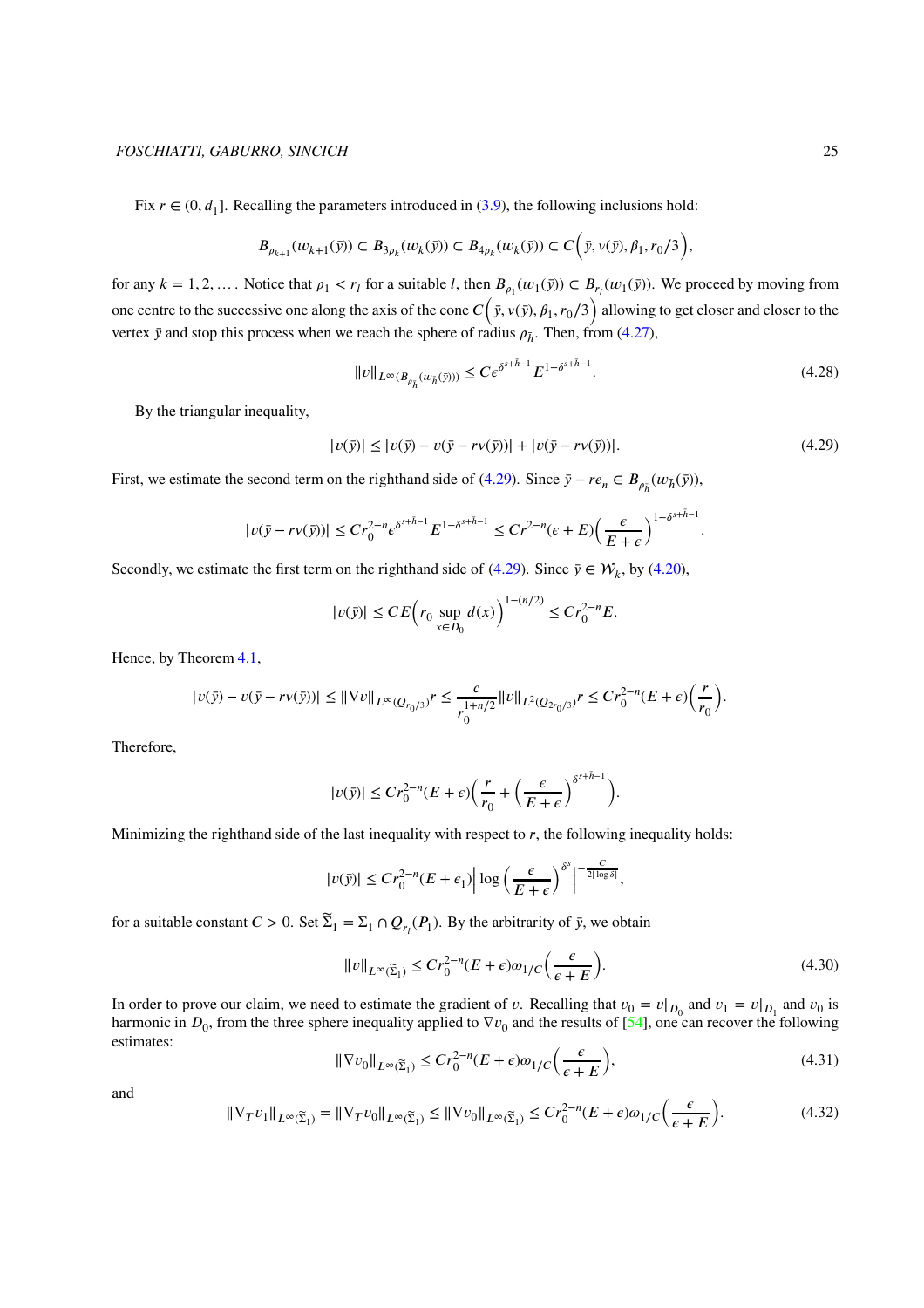Fix  $r \in (0, d_1]$ . Recalling the parameters introduced in [\(3.9\)](#page-8-3), the following inclusions hold:

$$
B_{\rho_{k+1}}(w_{k+1}(\bar{y}))\subset B_{3\rho_k}(w_k(\bar{y}))\subset B_{4\rho_k}(w_k(\bar{y}))\subset C\bigg(\bar{y},\nu(\bar{y}),\beta_1,r_0/3\bigg),
$$

for any  $k = 1, 2, ...$  Notice that  $\rho_1 < r_l$  for a suitable *l*, then  $B_{\rho_1}(w_1(\bar{y})) \subset B_{r_l}(w_1(\bar{y}))$ . We proceed by moving from one centre to the successive one along the axis of the cone  $C( \bar{y}, v( \bar{y}), \beta_1, r_0/3)$  allowing to get closer and closer to the vertex  $\bar{y}$  and stop this process when we reach the sphere of radius  $\rho_{\bar{h}}$ . Then, from [\(4.27\)](#page-23-2),

$$
||v||_{L^{\infty}(B_{\rho_{\tilde{h}}}(\omega_{\tilde{h}}(\tilde{y})))} \leq Ce^{\delta^{s+\tilde{h}-1}} E^{1-\delta^{s+\tilde{h}-1}}.
$$
\n(4.28)

By the triangular inequality,

<span id="page-24-0"></span>
$$
|v(\bar{y})| \le |v(\bar{y}) - v(\bar{y} - rv(\bar{y}))| + |v(\bar{y} - rv(\bar{y}))|.
$$
 (4.29)

<span id="page-24-3"></span>*.*

First, we estimate the second term on the righthand side of [\(4.29\)](#page-24-0). Since  $\bar{y} - re_n \in B_{\rho_{\bar{h}}}(w_{\bar{h}}(\bar{y}))$ ,

$$
|v(\bar{y} - rv(\bar{y}))| \le Cr_0^{2-n} \epsilon^{\delta^{s+\bar{h}-1}} E^{1-\delta^{s+\bar{h}-1}} \le Cr^{2-n} (\epsilon + E) \left(\frac{\epsilon}{E+\epsilon}\right)^{1-\delta^{s+\bar{h}-1}}
$$

Secondly, we estimate the first term on the righthand side of [\(4.29\)](#page-24-0). Since  $\bar{y} \in \mathcal{W}_k$ , by [\(4.20\)](#page-22-6),

$$
|v(\bar{y})| \leq CE \Big( r_0 \sup_{x \in D_0} d(x) \Big)^{1 - (n/2)} \leq Cr_0^{2 - n} E.
$$

Hence, by Theorem [4.1,](#page-19-2)

$$
|v(\bar{y})-v(\bar{y}-rv(\bar{y}))|\leq \|\nabla v\|_{L^\infty(Q_{r_0/3})}r\leq \frac{c}{r_0^{1+n/2}}\|v\|_{L^2(Q_{2r_0/3})}r\leq Cr_0^{2-n}(E+\epsilon)\bigg(\frac{r}{r_0}\bigg).
$$

Therefore,

$$
|v(\bar{y})| \le Cr_0^{2-n}(E+\epsilon)\bigg(\frac{r}{r_0}+\bigg(\frac{\epsilon}{E+\epsilon}\bigg)^{\delta^{s+\bar{h}-1}}\bigg).
$$

Minimizing the righthand side of the last inequality with respect to  $r$ , the following inequality holds:

$$
|\upsilon(\bar{y})| \leq C r_0^{2-n} (E+\epsilon_1) \Big| \log \left( \frac{\epsilon}{E+\epsilon} \right)^{\delta^s} \Big|^{-\frac{C}{2|\log \delta|}},
$$

for a suitable constant  $C > 0$ . Set  $\widetilde{\Sigma}_1 = \Sigma_1 \cap Q_{r_1}(P_1)$ . By the arbitrarity of  $\bar{y}$ , we obtain

<span id="page-24-1"></span>
$$
||v||_{L^{\infty}(\widetilde{\Sigma}_1)} \le Cr_0^{2-n}(E+\epsilon)\omega_{1/C}\left(\frac{\epsilon}{\epsilon+E}\right).
$$
\n(4.30)

In order to prove our claim, we need to estimate the gradient of *v*. Recalling that  $v_0 = v|_{D_0}$  and  $v_1 = v|_{D_1}$  and  $v_0$  is harmonic in  $D_0$ , from the three sphere inequality applied to  $\nabla v_0$  and the results of [\[54\]](#page-29-15), one can recover the following estimates:

$$
\|\nabla v_0\|_{L^\infty(\widetilde{\Sigma}_1)} \le C r_0^{2-n} (E+\epsilon)\omega_1/C\left(\frac{\epsilon}{\epsilon+E}\right),\tag{4.31}
$$

<span id="page-24-2"></span>and

$$
\|\nabla_T v_1\|_{L^\infty(\widetilde{\Sigma}_1)} = \|\nabla_T v_0\|_{L^\infty(\widetilde{\Sigma}_1)} \le \|\nabla v_0\|_{L^\infty(\widetilde{\Sigma}_1)} \le C r_0^{2-n} (E + \epsilon)\omega_{1/C} \left(\frac{\epsilon}{\epsilon + E}\right). \tag{4.32}
$$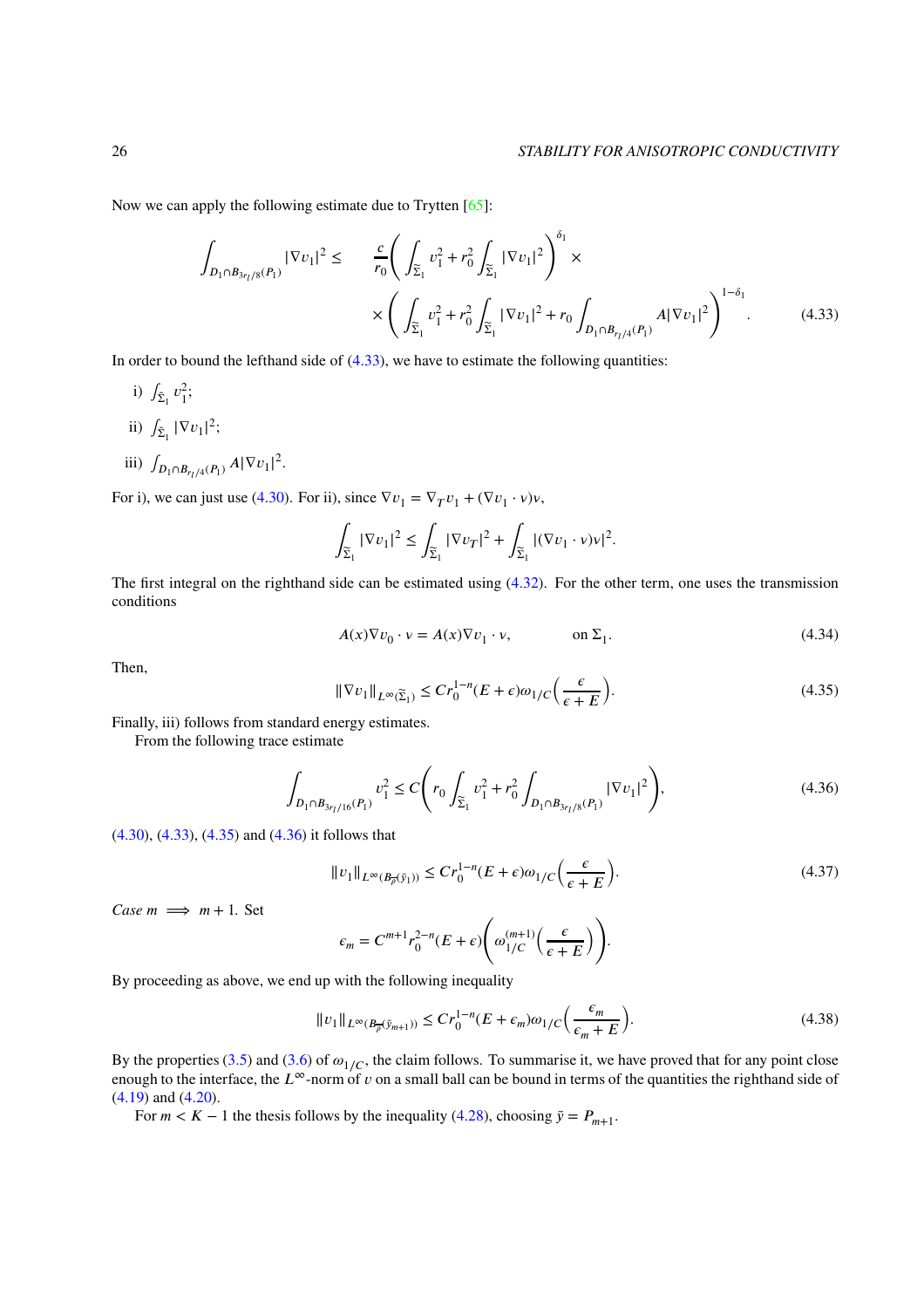Now we can apply the following estimate due to Trytten [\[65\]](#page-30-5):

<span id="page-25-0"></span>
$$
\int_{D_1 \cap B_{3r_1/8}(P_1)} |\nabla v_1|^2 \leq \frac{c}{r_0} \left( \int_{\widetilde{\Sigma}_1} v_1^2 + r_0^2 \int_{\widetilde{\Sigma}_1} |\nabla v_1|^2 \right)^{\delta_1} \times \left( \int_{\widetilde{\Sigma}_1} v_1^2 + r_0^2 \int_{\widetilde{\Sigma}_1} |\nabla v_1|^2 + r_0 \int_{D_1 \cap B_{r_1/4}(P_1)} A |\nabla v_1|^2 \right)^{1-\delta_1} .
$$
\n(4.33)

In order to bound the lefthand side of  $(4.33)$ , we have to estimate the following quantities:

- i)  $\int_{\tilde{\Sigma}_1} v_1^2$ ;
- ii)  $\int_{\tilde{\Sigma}_1} |\nabla v_1|^2;$
- iii)  $\int_{D_1 \cap B_{r_1/4}(P_1)} A |\nabla v_1|^2$ .

For i), we can just use [\(4.30\)](#page-24-1). For ii), since  $\nabla v_1 = \nabla_T v_1 + (\nabla v_1 \cdot v)v$ ,

$$
\int_{\widetilde{\Sigma}_1}|\nabla v_1|^2\leq \int_{\widetilde{\Sigma}_1}|\nabla v_T|^2+\int_{\widetilde{\Sigma}_1}|(\nabla v_1\cdot v)v|^2.
$$

The first integral on the righthand side can be estimated using [\(4.32\)](#page-24-2). For the other term, one uses the transmission conditions

$$
A(x)\nabla v_0 \cdot v = A(x)\nabla v_1 \cdot v, \qquad \text{on } \Sigma_1.
$$
 (4.34)

<span id="page-25-1"></span>Then,

<span id="page-25-2"></span>
$$
\|\nabla v_1\|_{L^{\infty}(\widetilde{\Sigma}_1)} \le Cr_0^{1-n}(E+\epsilon)\omega_1/C\left(\frac{\epsilon}{\epsilon+E}\right). \tag{4.35}
$$

Finally, iii) follows from standard energy estimates.

From the following trace estimate

$$
\int_{D_1 \cap B_{3r_1/16}(P_1)} v_1^2 \le C \Bigg( r_0 \int_{\widetilde{\Sigma}_1} v_1^2 + r_0^2 \int_{D_1 \cap B_{3r_1/8}(P_1)} |\nabla v_1|^2 \Bigg),\tag{4.36}
$$

[\(4.30\)](#page-24-1), [\(4.33\)](#page-25-0), [\(4.35\)](#page-25-1) and [\(4.36\)](#page-25-2) it follows that

$$
||v_1||_{L^{\infty}(B_{\overline{\rho}}(\tilde{y}_1))} \le Cr_0^{1-n}(E+\epsilon)\omega_{1/C}\left(\frac{\epsilon}{\epsilon+E}\right).
$$
\n(4.37)

*Case*  $m \implies m + 1$ *. Set* 

$$
\epsilon_m = C^{m+1} r_0^{2-n} (E + \epsilon) \left( \omega_{1/C}^{(m+1)} \left( \frac{\epsilon}{\epsilon + E} \right) \right).
$$

By proceeding as above, we end up with the following inequality

$$
||v_1||_{L^{\infty}(B_{\overline{\rho}}(\tilde{y}_{m+1}))} \le Cr_0^{1-n}(E+\epsilon_m)\omega_{1/C}\left(\frac{\epsilon_m}{\epsilon_m+E}\right).
$$
\n(4.38)

By the properties [\(3.5\)](#page-8-1) and [\(3.6\)](#page-8-4) of  $\omega_{1/C}$ , the claim follows. To summarise it, we have proved that for any point close enough to the interface, the  $L^\infty$ -norm of  $\nu$  on a small ball can be bound in terms of the quantities the righthand side of [\(4.19\)](#page-22-7) and [\(4.20\)](#page-22-6).

For  $m < K - 1$  the thesis follows by the inequality [\(4.28\)](#page-24-3), choosing  $\bar{y} = P_{m+1}$ .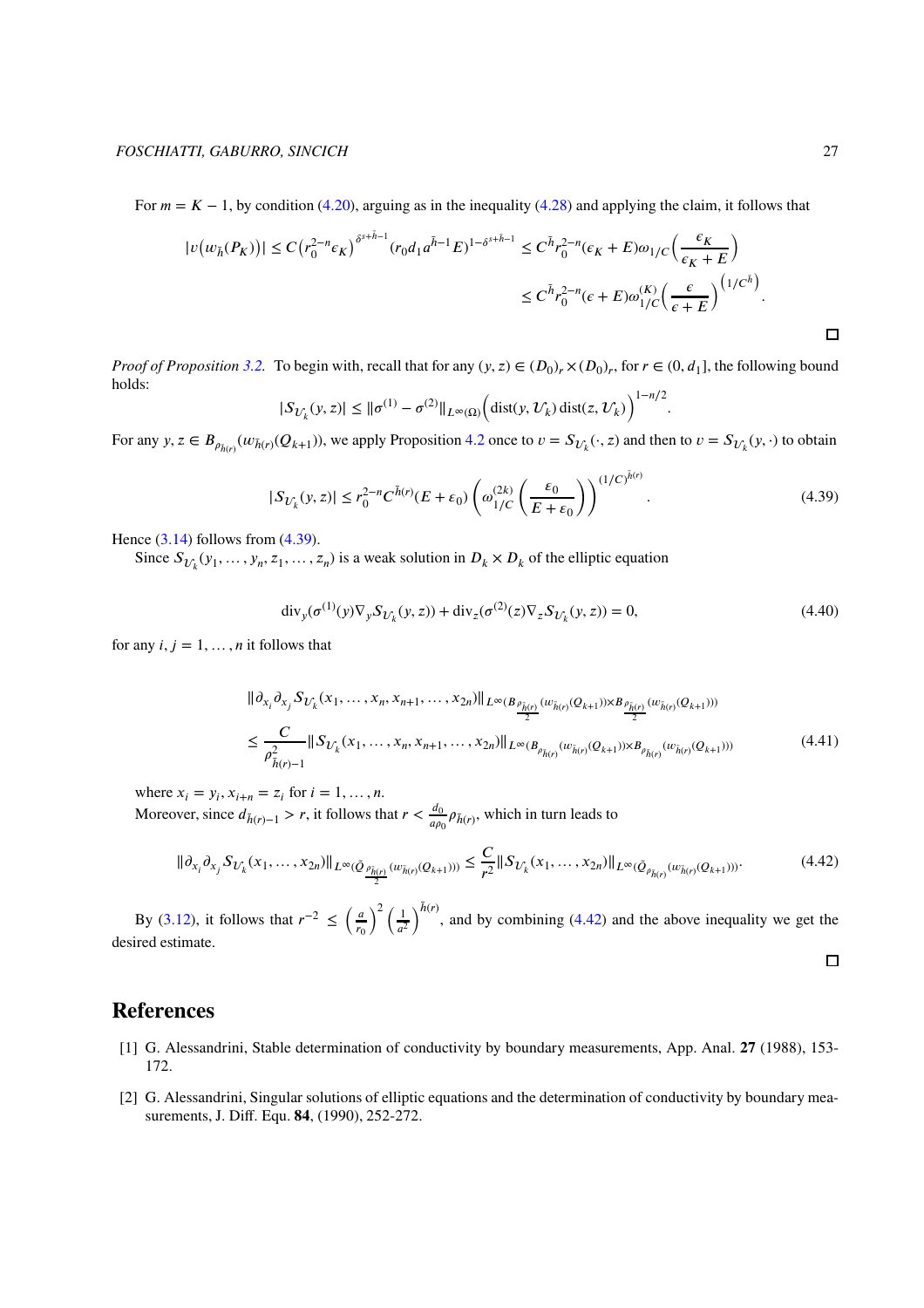For  $m = K - 1$ , by condition [\(4.20\)](#page-22-6), arguing as in the inequality [\(4.28\)](#page-24-3) and applying the claim, it follows that

$$
|v(w_{\bar{h}}(P_K))| \le C \left(r_0^{2-n} \epsilon_K\right)^{\delta^{s+\bar{h}-1}} (r_0 d_1 a^{\bar{h}-1} E)^{1-\delta^{s+\bar{h}-1}} \le C^{\bar{h}} r_0^{2-n} (\epsilon_K + E) \omega_{1/C} \left(\frac{\epsilon_K}{\epsilon_K + E}\right)
$$
  

$$
\le C^{\bar{h}} r_0^{2-n} (\epsilon + E) \omega_{1/C}^{(K)} \left(\frac{\epsilon}{\epsilon + E}\right)^{\left(1/C^{\bar{h}}\right)}.
$$

*Proof of Proposition* [3.2.](#page-9-0) To begin with, recall that for any  $(y, z) \in (D_0)_r \times (D_0)_r$ , for  $r \in (0, d_1]$ , the following bound holds:

$$
|S_{\mathcal{U}_k}(y,z)| \le ||\sigma^{(1)} - \sigma^{(2)}||_{L^{\infty}(\Omega)} \Big(\text{dist}(y, \mathcal{U}_k)\,\text{dist}(z, \mathcal{U}_k)\Big)^{1-n/2}
$$

For any  $y, z \in B_{\rho_{\bar{h}(r)}}(w_{\bar{h}(r)}(Q_{k+1}))$ , we apply Proposition [4.2](#page-22-5) once to  $v = S_{\mathcal{U}_k}(\cdot, z)$  and then to  $v = S_{\mathcal{U}_k}(y, \cdot)$  to obtain

<span id="page-26-2"></span>
$$
|S_{U_k}(y,z)| \le r_0^{2-n} C^{\bar{h}(r)}(E+\varepsilon_0) \left(\omega_{1/C}^{(2k)}\left(\frac{\varepsilon_0}{E+\varepsilon_0}\right)\right)^{(1/C)^{\bar{h}(r)}}.\tag{4.39}
$$

*.*

Hence  $(3.14)$  follows from  $(4.39)$ .

Since  $S_{\mathcal{U}_k}(y_1, \ldots, y_n, z_1, \ldots, z_n)$  is a weak solution in  $D_k \times D_k$  of the elliptic equation

$$
\operatorname{div}_{y}(\sigma^{(1)}(y)\nabla_{y}S_{U_{k}}(y,z)) + \operatorname{div}_{z}(\sigma^{(2)}(z)\nabla_{z}S_{U_{k}}(y,z)) = 0, \tag{4.40}
$$

for any  $i, j = 1, \ldots, n$  it follows that

$$
\| \partial_{x_i} \partial_{x_j} S_{U_k}(x_1, \dots, x_n, x_{n+1}, \dots, x_{2n}) \|_{L^\infty(B_{\frac{\rho_{\tilde{h}(r)}}{2}}(w_{\tilde{h}(r)}(Q_{k+1})) \times B_{\frac{\rho_{\tilde{h}(r)}}{2}}(w_{\tilde{h}(r)}(Q_{k+1})))}
$$
\n
$$
\leq \frac{C}{\rho_{\tilde{h}(r)-1}^2} \| S_{U_k}(x_1, \dots, x_n, x_{n+1}, \dots, x_{2n}) \|_{L^\infty(B_{\rho_{\tilde{h}(r)}}(w_{\tilde{h}(r)}(Q_{k+1})) \times B_{\rho_{\tilde{h}(r)}}(w_{\tilde{h}(r)}(Q_{k+1})))}
$$
\n(4.41)

where  $x_i = y_i, x_{i+n} = z_i$  for  $i = 1, ..., n$ . Moreover, since  $d_{\bar{h}(r)-1} > r$ , it follows that  $r < \frac{d_0}{d\rho}$  $\frac{a_0}{a\rho_0} \rho_{\bar{h}(r)}$ , which in turn leads to

<span id="page-26-3"></span>
$$
\|\partial_{x_i}\partial_{x_j} S_{U_k}(x_1,\ldots,x_{2n})\|_{L^\infty(\tilde{Q}_{\frac{\rho_{\tilde{h}(r)} }{2}}(w_{\tilde{h}(r)}(Q_{k+1})))}\leq \frac{C}{r^2}\|S_{U_k}(x_1,\ldots,x_{2n})\|_{L^\infty(\tilde{Q}_{\rho_{\tilde{h}(r)}}(w_{\tilde{h}(r)}(Q_{k+1})))}.\tag{4.42}
$$

 $\frac{1}{a^2}$ )<sup> $\bar{h}(r)$ </sup>, and by combining [\(4.42\)](#page-26-3) and the above inequality we get the  $\binom{2}{1}$ By [\(3.12\)](#page-9-4), it follows that  $r^{-2} \leq \left(\frac{a}{r}\right)$  $r_0$ desired estimate.  $\Box$ 

## <span id="page-26-1"></span>**References**

- [1] G. Alessandrini, Stable determination of conductivity by boundary measurements, App. Anal. **27** (1988), 153- 172.
- <span id="page-26-0"></span>[2] G. Alessandrini, Singular solutions of elliptic equations and the determination of conductivity by boundary measurements, J. Diff. Equ. **84**, (1990), 252-272.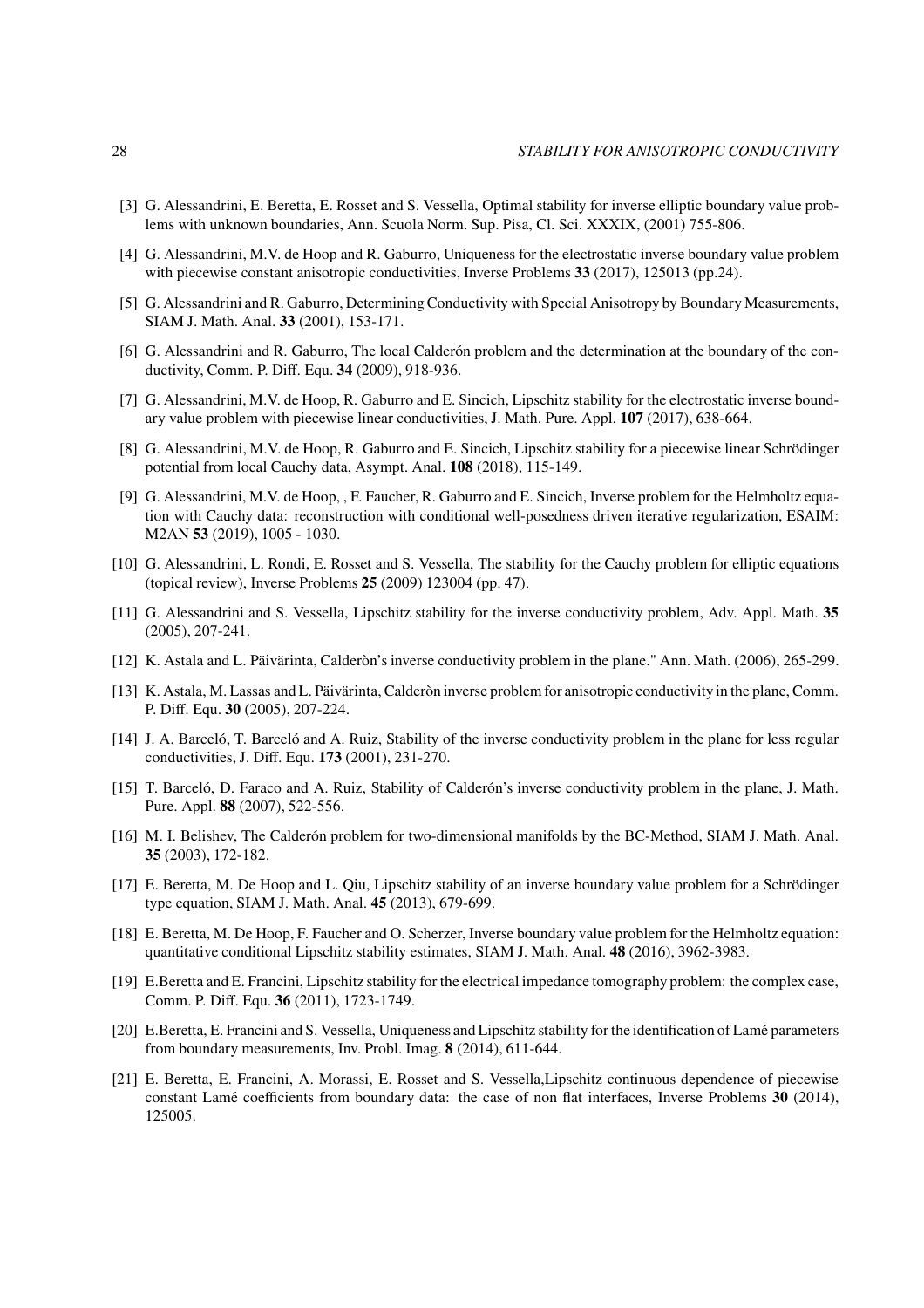- <span id="page-27-14"></span>[3] G. Alessandrini, E. Beretta, E. Rosset and S. Vessella, Optimal stability for inverse elliptic boundary value problems with unknown boundaries, Ann. Scuola Norm. Sup. Pisa, Cl. Sci. XXXIX, (2001) 755-806.
- <span id="page-27-3"></span>[4] G. Alessandrini, M.V. de Hoop and R. Gaburro, Uniqueness for the electrostatic inverse boundary value problem with piecewise constant anisotropic conductivities, Inverse Problems **33** (2017), 125013 (pp.24).
- <span id="page-27-4"></span>[5] G. Alessandrini and R. Gaburro, Determining Conductivity with Special Anisotropy by Boundary Measurements, SIAM J. Math. Anal. **33** (2001), 153-171.
- [6] G. Alessandrini and R. Gaburro, The local Calderón problem and the determination at the boundary of the conductivity, Comm. P. Diff. Equ. **34** (2009), 918-936.
- <span id="page-27-9"></span><span id="page-27-5"></span>[7] G. Alessandrini, M.V. de Hoop, R. Gaburro and E. Sincich, Lipschitz stability for the electrostatic inverse boundary value problem with piecewise linear conductivities, J. Math. Pure. Appl. **107** (2017), 638-664.
- [8] G. Alessandrini, M.V. de Hoop, R. Gaburro and E. Sincich, Lipschitz stability for a piecewise linear Schrödinger potential from local Cauchy data, Asympt. Anal. **108** (2018), 115-149.
- <span id="page-27-15"></span>[9] G. Alessandrini, M.V. de Hoop, , F. Faucher, R. Gaburro and E. Sincich, Inverse problem for the Helmholtz equation with Cauchy data: reconstruction with conditional well-posedness driven iterative regularization, ESAIM: M2AN **53** (2019), 1005 - 1030.
- <span id="page-27-16"></span>[10] G. Alessandrini, L. Rondi, E. Rosset and S. Vessella, The stability for the Cauchy problem for elliptic equations (topical review), Inverse Problems **25** (2009) 123004 (pp. 47).
- <span id="page-27-0"></span>[11] G. Alessandrini and S. Vessella, Lipschitz stability for the inverse conductivity problem, Adv. Appl. Math. **35** (2005), 207-241.
- <span id="page-27-12"></span>[12] K. Astala and L. Päivärinta, Calderòn's inverse conductivity problem in the plane." Ann. Math. (2006), 265-299.
- [13] K. Astala, M. Lassas and L. Päivärinta, Calderòn inverse problem for anisotropic conductivityin the plane, Comm. P. Diff. Equ. **30** (2005), 207-224.
- <span id="page-27-1"></span>[14] J. A. Barceló, T. Barceló and A. Ruiz, Stability of the inverse conductivity problem in the plane for less regular conductivities, J. Diff. Equ. **173** (2001), 231-270.
- <span id="page-27-2"></span>[15] T. Barceló, D. Faraco and A. Ruiz, Stability of Calderón's inverse conductivity problem in the plane, J. Math. Pure. Appl. **88** (2007), 522-556.
- <span id="page-27-13"></span>[16] M. I. Belishev, The Calderón problem for two-dimensional manifolds by the BC-Method, SIAM J. Math. Anal. **35** (2003), 172-182.
- <span id="page-27-10"></span>[17] E. Beretta, M. De Hoop and L. Qiu, Lipschitz stability of an inverse boundary value problem for a Schrödinger type equation, SIAM J. Math. Anal. **45** (2013), 679-699.
- <span id="page-27-11"></span>[18] E. Beretta, M. De Hoop, F. Faucher and O. Scherzer, Inverse boundary value problem for the Helmholtz equation: quantitative conditional Lipschitz stability estimates, SIAM J. Math. Anal. **48** (2016), 3962-3983.
- <span id="page-27-6"></span>[19] E.Beretta and E. Francini, Lipschitz stability for the electrical impedance tomography problem: the complex case, Comm. P. Diff. Equ. **36** (2011), 1723-1749.
- <span id="page-27-7"></span>[20] E.Beretta, E. Francini and S. Vessella, Uniqueness and Lipschitz stability for the identification of Lamé parameters from boundary measurements, Inv. Probl. Imag. **8** (2014), 611-644.
- <span id="page-27-8"></span>[21] E. Beretta, E. Francini, A. Morassi, E. Rosset and S. Vessella,Lipschitz continuous dependence of piecewise constant Lamé coefficients from boundary data: the case of non flat interfaces, Inverse Problems **30** (2014), 125005.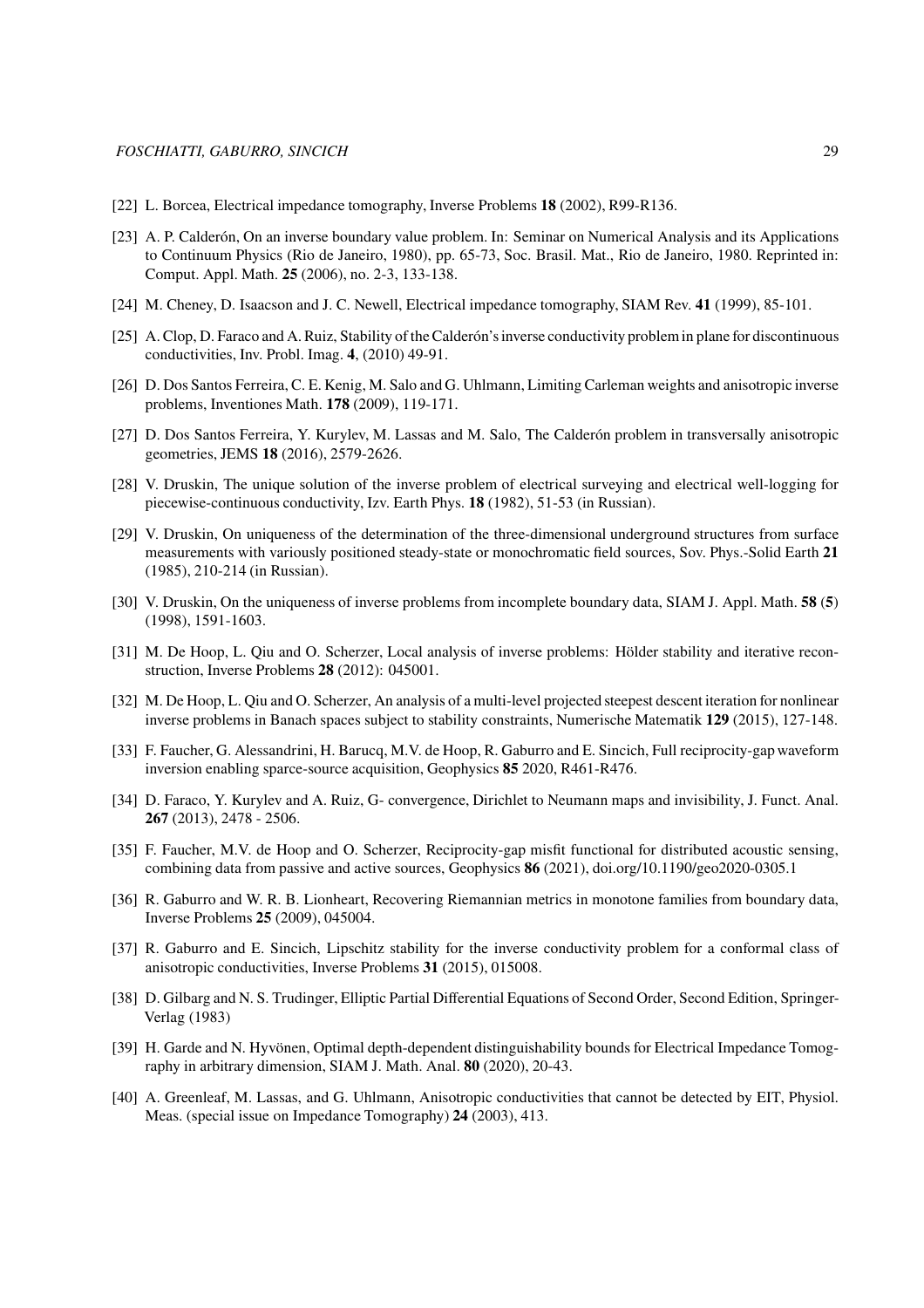- <span id="page-28-4"></span><span id="page-28-0"></span>[22] L. Borcea, Electrical impedance tomography, Inverse Problems **18** (2002), R99-R136.
- [23] A. P. Calderón, On an inverse boundary value problem. In: Seminar on Numerical Analysis and its Applications to Continuum Physics (Rio de Janeiro, 1980), pp. 65-73, Soc. Brasil. Mat., Rio de Janeiro, 1980. Reprinted in: Comput. Appl. Math. **25** (2006), no. 2-3, 133-138.
- <span id="page-28-5"></span>[24] M. Cheney, D. Isaacson and J. C. Newell, Electrical impedance tomography, SIAM Rev. **41** (1999), 85-101.
- [25] A. Clop, D. Faraco and A. Ruiz, Stability of the Calderón's inverse conductivity problemin plane for discontinuous conductivities, Inv. Probl. Imag. **4**, (2010) 49-91.
- <span id="page-28-8"></span>[26] D. Dos Santos Ferreira, C. E. Kenig, M. Salo and G. Uhlmann, Limiting Carleman weights and anisotropic inverse problems, Inventiones Math. **178** (2009), 119-171.
- <span id="page-28-9"></span>[27] D. Dos Santos Ferreira, Y. Kurylev, M. Lassas and M. Salo, The Calderón problem in transversally anisotropic geometries, JEMS **18** (2016), 2579-2626.
- <span id="page-28-1"></span>[28] V. Druskin, The unique solution of the inverse problem of electrical surveying and electrical well-logging for piecewise-continuous conductivity, Izv. Earth Phys. **18** (1982), 51-53 (in Russian).
- <span id="page-28-3"></span>[29] V. Druskin, On uniqueness of the determination of the three-dimensional underground structures from surface measurements with variously positioned steady-state or monochromatic field sources, Sov. Phys.-Solid Earth **21** (1985), 210-214 (in Russian).
- <span id="page-28-2"></span>[30] V. Druskin, On the uniqueness of inverse problems from incomplete boundary data, SIAM J. Appl. Math. **58** (**5**) (1998), 1591-1603.
- <span id="page-28-14"></span>[31] M. De Hoop, L. Qiu and O. Scherzer, Local analysis of inverse problems: Hölder stability and iterative reconstruction, Inverse Problems **28** (2012): 045001.
- [32] M. De Hoop, L. Qiu and O. Scherzer, An analysis of a multi-level projected steepest descent iteration for nonlinear inverse problems in Banach spaces subject to stability constraints, Numerische Matematik **129** (2015), 127-148.
- <span id="page-28-13"></span>[33] F. Faucher, G. Alessandrini, H. Barucq, M.V. de Hoop, R. Gaburro and E. Sincich, Full reciprocity-gap waveform inversion enabling sparce-source acquisition, Geophysics **85** 2020, R461-R476.
- <span id="page-28-10"></span>[34] D. Faraco, Y. Kurylev and A. Ruiz, G- convergence, Dirichlet to Neumann maps and invisibility, J. Funct. Anal. **267** (2013), 2478 - 2506.
- <span id="page-28-15"></span>[35] F. Faucher, M.V. de Hoop and O. Scherzer, Reciprocity-gap misfit functional for distributed acoustic sensing, combining data from passive and active sources, Geophysics **86** (2021), doi.org/10.1190/geo2020-0305.1
- <span id="page-28-6"></span>[36] R. Gaburro and W. R. B. Lionheart, Recovering Riemannian metrics in monotone families from boundary data, Inverse Problems **25** (2009), 045004.
- <span id="page-28-7"></span>[37] R. Gaburro and E. Sincich, Lipschitz stability for the inverse conductivity problem for a conformal class of anisotropic conductivities, Inverse Problems **31** (2015), 015008.
- <span id="page-28-16"></span>[38] D. Gilbarg and N. S. Trudinger, Elliptic Partial Differential Equations of Second Order, Second Edition, Springer-Verlag (1983)
- <span id="page-28-12"></span>[39] H. Garde and N. Hyvönen, Optimal depth-dependent distinguishability bounds for Electrical Impedance Tomography in arbitrary dimension, SIAM J. Math. Anal. **80** (2020), 20-43.
- <span id="page-28-11"></span>[40] A. Greenleaf, M. Lassas, and G. Uhlmann, Anisotropic conductivities that cannot be detected by EIT, Physiol. Meas. (special issue on Impedance Tomography) **24** (2003), 413.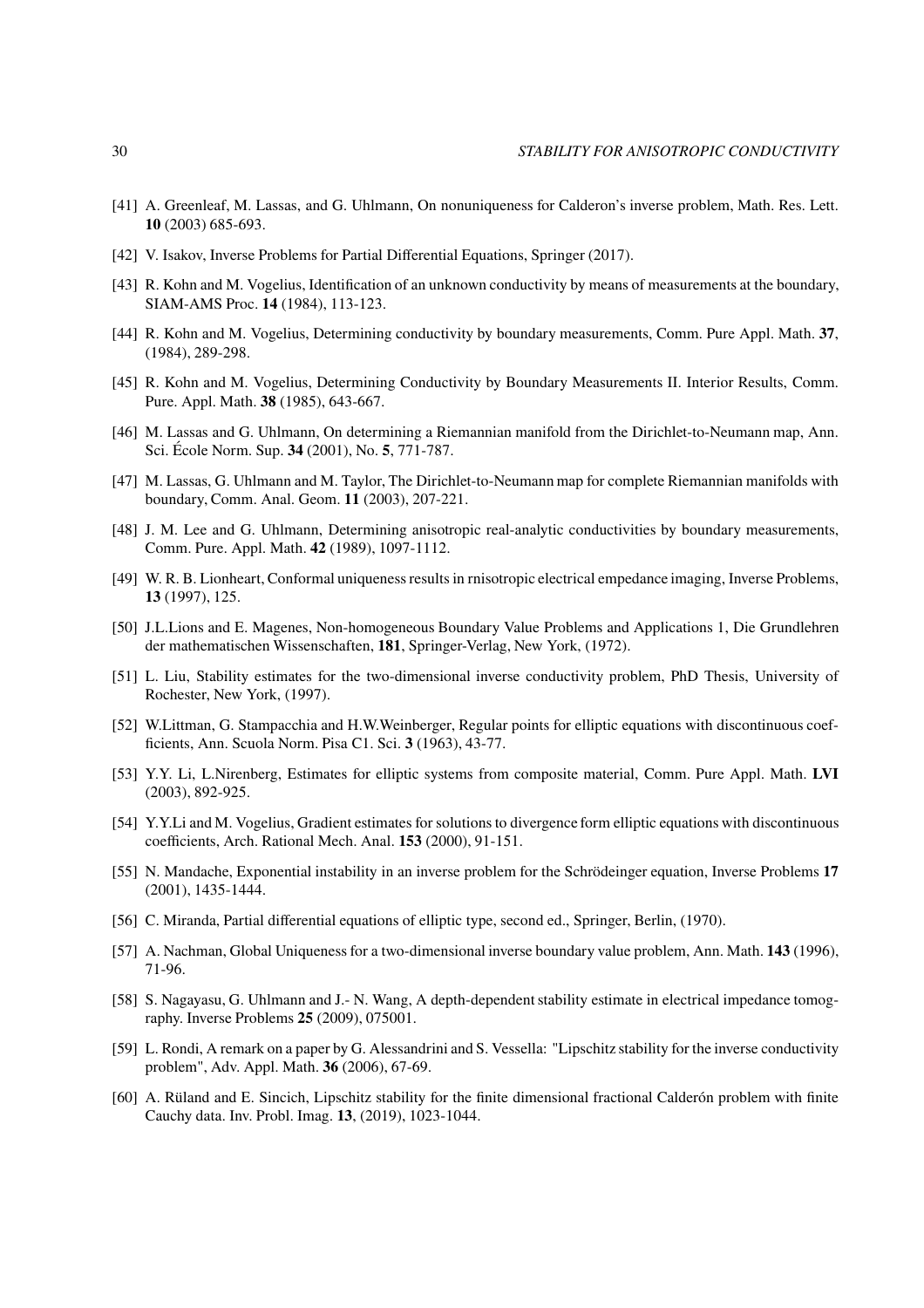- <span id="page-29-12"></span>[41] A. Greenleaf, M. Lassas, and G. Uhlmann, On nonuniqueness for Calderon's inverse problem, Math. Res. Lett. **10** (2003) 685-693.
- <span id="page-29-9"></span>[42] V. Isakov, Inverse Problems for Partial Differential Equations, Springer (2017).
- <span id="page-29-0"></span>[43] R. Kohn and M. Vogelius, Identification of an unknown conductivity by means of measurements at the boundary, SIAM-AMS Proc. **14** (1984), 113-123.
- <span id="page-29-1"></span>[44] R. Kohn and M. Vogelius, Determining conductivity by boundary measurements, Comm. Pure Appl. Math. **37**, (1984), 289-298.
- [45] R. Kohn and M. Vogelius, Determining Conductivity by Boundary Measurements II. Interior Results, Comm. Pure. Appl. Math. **38** (1985), 643-667.
- <span id="page-29-3"></span>[46] M. Lassas and G. Uhlmann, On determining a Riemannian manifold from the Dirichlet-to-Neumann map, Ann. Sci. École Norm. Sup. **34** (2001), No. **5**, 771-787.
- <span id="page-29-4"></span>[47] M. Lassas, G. Uhlmann and M. Taylor, The Dirichlet-to-Neumann map for complete Riemannian manifolds with boundary, Comm. Anal. Geom. **11** (2003), 207-221.
- <span id="page-29-11"></span><span id="page-29-10"></span>[48] J. M. Lee and G. Uhlmann, Determining anisotropic real-analytic conductivities by boundary measurements, Comm. Pure. Appl. Math. **42** (1989), 1097-1112.
- [49] W. R. B. Lionheart, Conformal uniqueness results in rnisotropic electrical empedance imaging, Inverse Problems, **13** (1997), 125.
- [50] J.L.Lions and E. Magenes, Non-homogeneous Boundary Value Problems and Applications 1, Die Grundlehren der mathematischen Wissenschaften, **181**, Springer-Verlag, New York, (1972).
- <span id="page-29-5"></span>[51] L. Liu, Stability estimates for the two-dimensional inverse conductivity problem, PhD Thesis, University of Rochester, New York, (1997).
- <span id="page-29-14"></span>[52] W.Littman, G. Stampacchia and H.W.Weinberger, Regular points for elliptic equations with discontinuous coefficients, Ann. Scuola Norm. Pisa C1. Sci. **3** (1963), 43-77.
- [53] Y.Y. Li, L.Nirenberg, Estimates for elliptic systems from composite material, Comm. Pure Appl. Math. **LVI** (2003), 892-925.
- <span id="page-29-15"></span>[54] Y.Y.Li and M. Vogelius, Gradient estimates for solutions to divergence form elliptic equations with discontinuous coefficients, Arch. Rational Mech. Anal. **153** (2000), 91-151.
- <span id="page-29-6"></span>[55] N. Mandache, Exponential instability in an inverse problem for the Schrödeinger equation, Inverse Problems **17** (2001), 1435-1444.
- <span id="page-29-2"></span>[56] C. Miranda, Partial differential equations of elliptic type, second ed., Springer, Berlin, (1970).
- <span id="page-29-13"></span>[57] A. Nachman, Global Uniqueness for a two-dimensional inverse boundary value problem, Ann. Math. **143** (1996), 71-96.
- [58] S. Nagayasu, G. Uhlmann and J.- N. Wang, A depth-dependent stability estimate in electrical impedance tomography. Inverse Problems **25** (2009), 075001.
- <span id="page-29-7"></span>[59] L. Rondi, A remark on a paper by G. Alessandrini and S. Vessella: "Lipschitz stability for the inverse conductivity problem", Adv. Appl. Math. **36** (2006), 67-69.
- <span id="page-29-8"></span>[60] A. Rüland and E. Sincich, Lipschitz stability for the finite dimensional fractional Calderón problem with finite Cauchy data. Inv. Probl. Imag. **13**, (2019), 1023-1044.